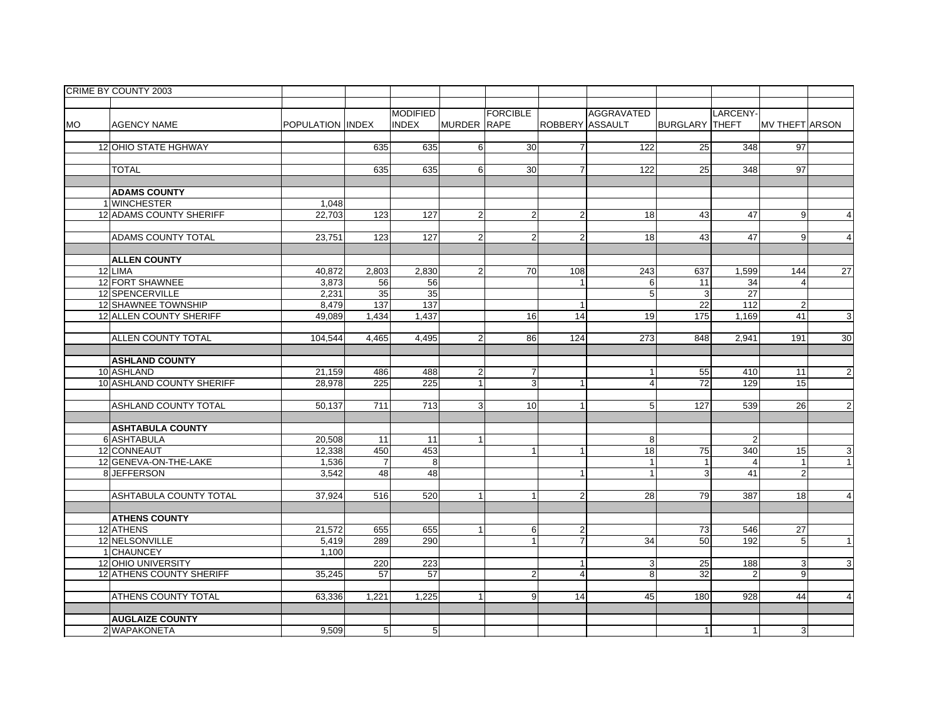|           | CRIME BY COUNTY 2003            |                         |                 |                  |                    |                 |                        |                  |                       |                  |                       |                           |
|-----------|---------------------------------|-------------------------|-----------------|------------------|--------------------|-----------------|------------------------|------------------|-----------------------|------------------|-----------------------|---------------------------|
|           |                                 |                         |                 |                  |                    |                 |                        |                  |                       |                  |                       |                           |
|           |                                 |                         |                 | <b>MODIFIED</b>  |                    | <b>FORCIBLE</b> |                        | AGGRAVATED       |                       | <b>LARCENY-</b>  |                       |                           |
| <b>MO</b> | <b>AGENCY NAME</b>              | <b>POPULATION INDEX</b> |                 | <b>INDEX</b>     | <b>MURDER RAPE</b> |                 | <b>ROBBERY ASSAULT</b> |                  | <b>BURGLARY THEFT</b> |                  | <b>MV THEFT ARSON</b> |                           |
|           |                                 |                         |                 |                  |                    |                 |                        |                  |                       |                  |                       |                           |
|           | 12 OHIO STATE HGHWAY            |                         | 635             | 635              | 6                  | 30              | $\overline{7}$         | 122              | 25                    | 348              | 97                    |                           |
|           |                                 |                         |                 |                  |                    |                 |                        |                  |                       |                  |                       |                           |
|           | <b>TOTAL</b>                    |                         | 635             | 635              | 6                  | $\overline{30}$ | $\overline{7}$         | $\overline{122}$ | 25                    | $\overline{348}$ | 97                    |                           |
|           |                                 |                         |                 |                  |                    |                 |                        |                  |                       |                  |                       |                           |
|           | <b>ADAMS COUNTY</b>             |                         |                 |                  |                    |                 |                        |                  |                       |                  |                       |                           |
|           | 1 WINCHESTER                    | 1,048                   |                 |                  |                    |                 |                        |                  |                       |                  |                       |                           |
|           | 12 ADAMS COUNTY SHERIFF         | 22,703                  | 123             | 127              | $\overline{2}$     | $\overline{2}$  | $\overline{2}$         | 18               | 43                    | 47               | 9 <sup>1</sup>        | $\overline{4}$            |
|           |                                 |                         |                 |                  |                    |                 |                        |                  |                       |                  |                       |                           |
|           | <b>ADAMS COUNTY TOTAL</b>       | 23,751                  | 123             | $\overline{127}$ | $\overline{2}$     | $\overline{2}$  | $\overline{2}$         | 18               | 43                    | 47               | 9                     | $\overline{\mathbf{A}}$   |
|           |                                 |                         |                 |                  |                    |                 |                        |                  |                       |                  |                       |                           |
|           | <b>ALLEN COUNTY</b>             |                         |                 |                  |                    |                 |                        |                  |                       |                  |                       |                           |
|           | 12 LIMA                         | 40,872                  | 2,803           | 2,830            | $\overline{2}$     | 70              | 108                    | 243              | 637                   | 1,599            | 144                   | 27                        |
|           | 12 FORT SHAWNEE                 | 3,873                   | 56              | 56               |                    |                 | $\mathbf{1}$           | 6                | 11                    | 34               | $\overline{4}$        |                           |
|           | 12 SPENCERVILLE                 | 2,231                   | 35              | 35               |                    |                 |                        | 5                | 3                     | $\overline{27}$  |                       |                           |
|           | 12 SHAWNEE TOWNSHIP             | 8,479                   | 137             | 137              |                    |                 | $\overline{1}$         |                  | $\overline{22}$       | 112              | $\overline{a}$        |                           |
|           | 12 ALLEN COUNTY SHERIFF         | 49,089                  | 1,434           | 1,437            |                    | 16              | 14                     | 19               | 175                   | 1,169            | 41                    | $\ensuremath{\mathsf{3}}$ |
|           |                                 |                         |                 |                  |                    |                 |                        |                  |                       |                  |                       |                           |
|           | <b>ALLEN COUNTY TOTAL</b>       | 104.544                 | 4,465           | 4,495            | $\overline{2}$     | 86              | 124                    | 273              | 848                   | 2,941            | 191                   | 30                        |
|           |                                 |                         |                 |                  |                    |                 |                        |                  |                       |                  |                       |                           |
|           | <b>ASHLAND COUNTY</b>           |                         |                 |                  |                    |                 |                        |                  |                       |                  |                       |                           |
|           | 10 ASHLAND                      | 21,159                  | 486             | 488              | $\overline{2}$     | $\overline{7}$  |                        |                  | 55                    | 410              | 11                    | $\overline{2}$            |
|           | 10 ASHLAND COUNTY SHERIFF       | 28.978                  | 225             | 225              | $\mathbf{1}$       | $\mathbf{3}$    | 1                      | $\overline{4}$   | 72                    | 129              | 15                    |                           |
|           |                                 |                         |                 |                  |                    |                 |                        |                  |                       |                  |                       |                           |
|           | <b>ASHLAND COUNTY TOTAL</b>     | 50,137                  | 711             | 713              | ω                  | 10              | 1                      | 5                | $\overline{127}$      | 539              | 26                    | $\overline{2}$            |
|           |                                 |                         |                 |                  |                    |                 |                        |                  |                       |                  |                       |                           |
|           | <b>ASHTABULA COUNTY</b>         |                         |                 |                  |                    |                 |                        |                  |                       |                  |                       |                           |
|           | 6 ASHTABULA                     | 20,508                  | 11              | 11               | $\mathbf{1}$       |                 |                        | 8                |                       | $\overline{2}$   |                       |                           |
|           | 12 CONNEAUT                     | 12,338                  | 450             | 453              |                    | $\mathbf{1}$    | $\mathbf{1}$           | 18               | 75                    | 340              | 15                    | 3                         |
|           | 12 GENEVA-ON-THE-LAKE           | 1,536                   | $\overline{7}$  | 8                |                    |                 |                        | $\overline{1}$   |                       | $\overline{4}$   | $\mathbf{1}$          | $\mathbf{1}$              |
|           | 8JEFFERSON                      | 3.542                   | 48              | 48               |                    |                 | $\mathbf{1}$           | $\mathbf{1}$     | 3                     | 41               | $\overline{2}$        |                           |
|           |                                 |                         |                 |                  |                    |                 |                        |                  |                       |                  |                       |                           |
|           | ASHTABULA COUNTY TOTAL          | 37,924                  | 516             | 520              | 1                  | $\mathbf{1}$    | $\overline{2}$         | 28               | 79                    | 387              | 18                    | $\overline{4}$            |
|           |                                 |                         |                 |                  |                    |                 |                        |                  |                       |                  |                       |                           |
|           | <b>ATHENS COUNTY</b>            |                         |                 |                  |                    |                 |                        |                  |                       |                  |                       |                           |
|           | 12 ATHENS                       | 21,572                  | 655             | 655              | $\mathbf{1}$       | 6               | $\sqrt{2}$             |                  | 73                    | 546              | 27                    |                           |
|           | 12 NELSONVILLE                  | 5,419                   | 289             | 290              |                    | $\mathbf{1}$    | $\overline{7}$         | 34               | 50                    | 192              | 5                     | $\mathbf{1}$              |
|           | 1 CHAUNCEY                      | 1,100                   |                 |                  |                    |                 |                        |                  |                       |                  |                       |                           |
|           | <b>12 OHIO UNIVERSITY</b>       |                         | 220             | 223              |                    |                 | $\mathbf{1}$           | 3                | 25                    | 188              | $\overline{3}$        | 3                         |
|           | <b>12 ATHENS COUNTY SHERIFF</b> | 35,245                  | 57              | $\overline{57}$  |                    | $\overline{2}$  | $\overline{4}$         | 8                | $\overline{32}$       | $\overline{2}$   | $\mathbf{g}$          |                           |
|           |                                 |                         |                 |                  |                    |                 |                        |                  |                       |                  |                       |                           |
|           | ATHENS COUNTY TOTAL             | 63,336                  | 1,221           | 1,225            |                    | 9               | 14                     | 45               | 180                   | 928              | 44                    | $\overline{4}$            |
|           |                                 |                         |                 |                  |                    |                 |                        |                  |                       |                  |                       |                           |
|           | <b>AUGLAIZE COUNTY</b>          |                         |                 |                  |                    |                 |                        |                  |                       |                  |                       |                           |
|           | 2 WAPAKONETA                    | 9,509                   | $5\overline{)}$ | $5\overline{)}$  |                    |                 |                        |                  |                       | $\mathbf{1}$     | 3                     |                           |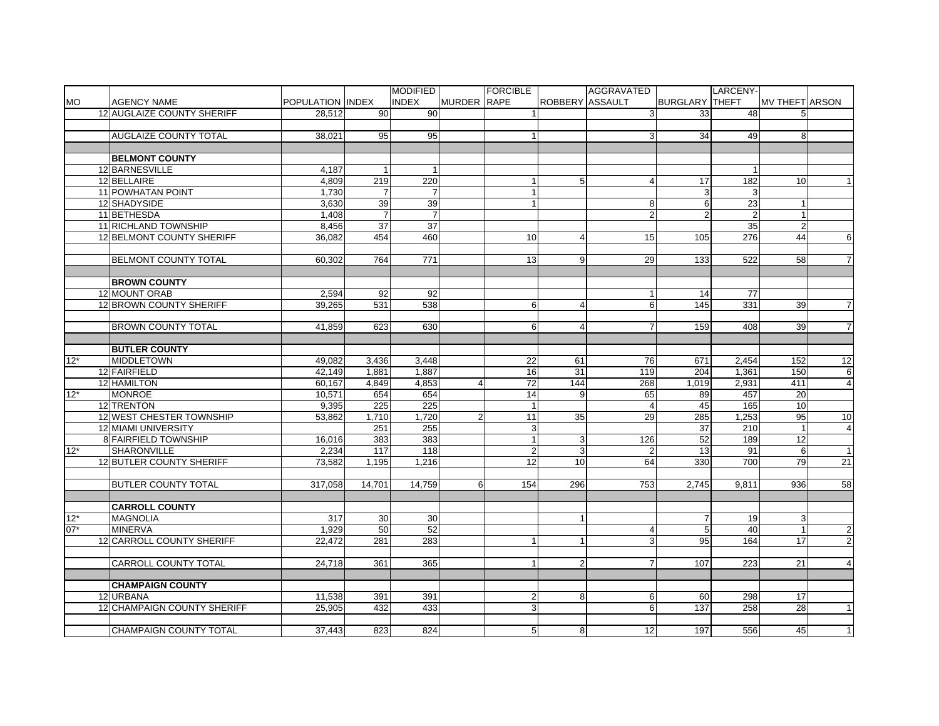| <b>MO</b><br><b>INDEX</b><br><b>MURDER RAPE</b><br><b>ROBBERY ASSAULT</b><br><b>POPULATION IINDEX</b><br><b>BURGLARY THEFT</b><br><b>MV THEFT ARSON</b><br><b>AGENCY NAME</b><br>12 AUGLAIZE COUNTY SHERIFF<br>28.512<br>90<br>90<br>3<br>33<br>48<br>5<br><b>AUGLAIZE COUNTY TOTAL</b><br>95<br>38.021<br>95<br>$\mathbf{1}$<br>3<br>34<br>49<br>8<br><b>BELMONT COUNTY</b><br>12 BARNESVILLE<br>4,187<br>12 BELLAIRE<br>219<br>220<br>182<br>4,809<br>5<br>17<br>10<br>$\overline{4}$<br>11 POWHATAN POINT<br>1,730<br>$\overline{7}$<br>$\overline{7}$<br>3<br>3<br>39<br>39<br>23<br>12 SHADYSIDE<br>3,630<br>6<br>8<br>11 BETHESDA<br>$\overline{7}$<br>$\overline{7}$<br>$\overline{2}$<br>$\overline{2}$<br>1,408<br>$\overline{2}$<br>$\overline{37}$<br>$\overline{37}$<br>35<br>$\overline{2}$<br>11 RICHLAND TOWNSHIP<br>8,456<br>12 BELMONT COUNTY SHERIFF<br>36,082<br>454<br>460<br>15<br>276<br>44<br>10<br>$\overline{4}$<br>105<br><b>BELMONT COUNTY TOTAL</b><br>60,302<br>764<br>771<br>13<br>9<br>29<br>133<br>522<br>58<br><b>BROWN COUNTY</b><br>12 MOUNT ORAB<br>2,594<br>77<br>92<br>92<br>14<br>$\overline{1}$<br>12 BROWN COUNTY SHERIFF<br>531<br>538<br>6<br>6<br>331<br>39.265<br>145<br>39<br>4<br>$6 \overline{6}$<br><b>BROWN COUNTY TOTAL</b><br>41,859<br>623<br>630<br>$\overline{4}$<br>$\overline{7}$<br>159<br>408<br>39<br><b>BUTLER COUNTY</b><br>$12*$<br><b>MIDDLETOWN</b><br>49,082<br>3,436<br>3,448<br>22<br>61<br>76<br>671<br>2,454<br>152<br>12 FAIRFIELD<br>16<br>31<br>119<br>42,149<br>1,881<br>1,887<br>204<br>1,361<br>150<br>12 HAMILTON<br>60,167<br>4,849<br>4,853<br>72<br>144<br>268<br>1,019<br>2,931<br>411<br>4<br>$12*$<br><b>MONROE</b><br>14<br>9<br>10,571<br>654<br>654<br>65<br>89<br>457<br>20<br>12 TRENTON<br>225<br>225<br>$\mathbf{1}$<br>45<br>165<br>10<br>9,395<br>$\overline{4}$<br>12 WEST CHESTER TOWNSHIP<br>1,710<br>1,720<br>$\overline{2}$<br>11<br>35<br>29<br>285<br>1,253<br>95<br>53,862<br>12 MIAMI UNIVERSITY<br>251<br>255<br>$\mathbf{3}$<br>37<br>210<br>8 FAIRFIELD TOWNSHIP<br>16,016<br>383<br>383<br>$\mathbf{1}$<br>3<br>126<br>52<br>189<br>12<br>$12*$<br>SHARONVILLE<br>2,234<br>117<br>118<br>$\overline{2}$<br>3<br>13<br>91<br>6<br>$\overline{2}$<br>12<br>79<br>12 BUTLER COUNTY SHERIFF<br>73,582<br>1,195<br>1,216<br>10<br>64<br>330<br>700<br><b>BUTLER COUNTY TOTAL</b><br>317,058<br>14,701<br>14,759<br>6<br>154<br>296<br>753<br>2,745<br>936<br>9,811<br><b>CARROLL COUNTY</b><br>$12*$<br><b>MAGNOLIA</b><br>317<br>30<br>30<br>$\mathbf{1}$<br>19<br>3<br>$07*$<br>52<br><b>MINERVA</b><br>1,929<br>50<br>40<br>$\overline{1}$<br>$\overline{4}$<br>5<br>283<br>12 CARROLL COUNTY SHERIFF<br>22.472<br>281<br>3<br>95<br>164<br>17<br>$\mathbf{1}$<br>$\mathbf{1}$ |                             |        |     | <b>MODIFIED</b> | <b>FORCIBLE</b> |                | AGGRAVATED     |     | <b>LARCENY-</b> |    |                |
|---------------------------------------------------------------------------------------------------------------------------------------------------------------------------------------------------------------------------------------------------------------------------------------------------------------------------------------------------------------------------------------------------------------------------------------------------------------------------------------------------------------------------------------------------------------------------------------------------------------------------------------------------------------------------------------------------------------------------------------------------------------------------------------------------------------------------------------------------------------------------------------------------------------------------------------------------------------------------------------------------------------------------------------------------------------------------------------------------------------------------------------------------------------------------------------------------------------------------------------------------------------------------------------------------------------------------------------------------------------------------------------------------------------------------------------------------------------------------------------------------------------------------------------------------------------------------------------------------------------------------------------------------------------------------------------------------------------------------------------------------------------------------------------------------------------------------------------------------------------------------------------------------------------------------------------------------------------------------------------------------------------------------------------------------------------------------------------------------------------------------------------------------------------------------------------------------------------------------------------------------------------------------------------------------------------------------------------------------------------------------------------------------------------------------------------------------------------------------------------------------------------------------------------------------------------------------------------------------------------------------------------------------------------------------------------------------------------------------------------------------------------------------------------|-----------------------------|--------|-----|-----------------|-----------------|----------------|----------------|-----|-----------------|----|----------------|
|                                                                                                                                                                                                                                                                                                                                                                                                                                                                                                                                                                                                                                                                                                                                                                                                                                                                                                                                                                                                                                                                                                                                                                                                                                                                                                                                                                                                                                                                                                                                                                                                                                                                                                                                                                                                                                                                                                                                                                                                                                                                                                                                                                                                                                                                                                                                                                                                                                                                                                                                                                                                                                                                                                                                                                                       |                             |        |     |                 |                 |                |                |     |                 |    |                |
|                                                                                                                                                                                                                                                                                                                                                                                                                                                                                                                                                                                                                                                                                                                                                                                                                                                                                                                                                                                                                                                                                                                                                                                                                                                                                                                                                                                                                                                                                                                                                                                                                                                                                                                                                                                                                                                                                                                                                                                                                                                                                                                                                                                                                                                                                                                                                                                                                                                                                                                                                                                                                                                                                                                                                                                       |                             |        |     |                 |                 |                |                |     |                 |    |                |
|                                                                                                                                                                                                                                                                                                                                                                                                                                                                                                                                                                                                                                                                                                                                                                                                                                                                                                                                                                                                                                                                                                                                                                                                                                                                                                                                                                                                                                                                                                                                                                                                                                                                                                                                                                                                                                                                                                                                                                                                                                                                                                                                                                                                                                                                                                                                                                                                                                                                                                                                                                                                                                                                                                                                                                                       |                             |        |     |                 |                 |                |                |     |                 |    |                |
|                                                                                                                                                                                                                                                                                                                                                                                                                                                                                                                                                                                                                                                                                                                                                                                                                                                                                                                                                                                                                                                                                                                                                                                                                                                                                                                                                                                                                                                                                                                                                                                                                                                                                                                                                                                                                                                                                                                                                                                                                                                                                                                                                                                                                                                                                                                                                                                                                                                                                                                                                                                                                                                                                                                                                                                       |                             |        |     |                 |                 |                |                |     |                 |    |                |
|                                                                                                                                                                                                                                                                                                                                                                                                                                                                                                                                                                                                                                                                                                                                                                                                                                                                                                                                                                                                                                                                                                                                                                                                                                                                                                                                                                                                                                                                                                                                                                                                                                                                                                                                                                                                                                                                                                                                                                                                                                                                                                                                                                                                                                                                                                                                                                                                                                                                                                                                                                                                                                                                                                                                                                                       |                             |        |     |                 |                 |                |                |     |                 |    |                |
|                                                                                                                                                                                                                                                                                                                                                                                                                                                                                                                                                                                                                                                                                                                                                                                                                                                                                                                                                                                                                                                                                                                                                                                                                                                                                                                                                                                                                                                                                                                                                                                                                                                                                                                                                                                                                                                                                                                                                                                                                                                                                                                                                                                                                                                                                                                                                                                                                                                                                                                                                                                                                                                                                                                                                                                       |                             |        |     |                 |                 |                |                |     |                 |    |                |
|                                                                                                                                                                                                                                                                                                                                                                                                                                                                                                                                                                                                                                                                                                                                                                                                                                                                                                                                                                                                                                                                                                                                                                                                                                                                                                                                                                                                                                                                                                                                                                                                                                                                                                                                                                                                                                                                                                                                                                                                                                                                                                                                                                                                                                                                                                                                                                                                                                                                                                                                                                                                                                                                                                                                                                                       |                             |        |     |                 |                 |                |                |     |                 |    |                |
|                                                                                                                                                                                                                                                                                                                                                                                                                                                                                                                                                                                                                                                                                                                                                                                                                                                                                                                                                                                                                                                                                                                                                                                                                                                                                                                                                                                                                                                                                                                                                                                                                                                                                                                                                                                                                                                                                                                                                                                                                                                                                                                                                                                                                                                                                                                                                                                                                                                                                                                                                                                                                                                                                                                                                                                       |                             |        |     |                 |                 |                |                |     |                 |    |                |
|                                                                                                                                                                                                                                                                                                                                                                                                                                                                                                                                                                                                                                                                                                                                                                                                                                                                                                                                                                                                                                                                                                                                                                                                                                                                                                                                                                                                                                                                                                                                                                                                                                                                                                                                                                                                                                                                                                                                                                                                                                                                                                                                                                                                                                                                                                                                                                                                                                                                                                                                                                                                                                                                                                                                                                                       |                             |        |     |                 |                 |                |                |     |                 |    |                |
|                                                                                                                                                                                                                                                                                                                                                                                                                                                                                                                                                                                                                                                                                                                                                                                                                                                                                                                                                                                                                                                                                                                                                                                                                                                                                                                                                                                                                                                                                                                                                                                                                                                                                                                                                                                                                                                                                                                                                                                                                                                                                                                                                                                                                                                                                                                                                                                                                                                                                                                                                                                                                                                                                                                                                                                       |                             |        |     |                 |                 |                |                |     |                 |    |                |
|                                                                                                                                                                                                                                                                                                                                                                                                                                                                                                                                                                                                                                                                                                                                                                                                                                                                                                                                                                                                                                                                                                                                                                                                                                                                                                                                                                                                                                                                                                                                                                                                                                                                                                                                                                                                                                                                                                                                                                                                                                                                                                                                                                                                                                                                                                                                                                                                                                                                                                                                                                                                                                                                                                                                                                                       |                             |        |     |                 |                 |                |                |     |                 |    |                |
|                                                                                                                                                                                                                                                                                                                                                                                                                                                                                                                                                                                                                                                                                                                                                                                                                                                                                                                                                                                                                                                                                                                                                                                                                                                                                                                                                                                                                                                                                                                                                                                                                                                                                                                                                                                                                                                                                                                                                                                                                                                                                                                                                                                                                                                                                                                                                                                                                                                                                                                                                                                                                                                                                                                                                                                       |                             |        |     |                 |                 |                |                |     |                 |    |                |
|                                                                                                                                                                                                                                                                                                                                                                                                                                                                                                                                                                                                                                                                                                                                                                                                                                                                                                                                                                                                                                                                                                                                                                                                                                                                                                                                                                                                                                                                                                                                                                                                                                                                                                                                                                                                                                                                                                                                                                                                                                                                                                                                                                                                                                                                                                                                                                                                                                                                                                                                                                                                                                                                                                                                                                                       |                             |        |     |                 |                 |                |                |     |                 |    | 6              |
|                                                                                                                                                                                                                                                                                                                                                                                                                                                                                                                                                                                                                                                                                                                                                                                                                                                                                                                                                                                                                                                                                                                                                                                                                                                                                                                                                                                                                                                                                                                                                                                                                                                                                                                                                                                                                                                                                                                                                                                                                                                                                                                                                                                                                                                                                                                                                                                                                                                                                                                                                                                                                                                                                                                                                                                       |                             |        |     |                 |                 |                |                |     |                 |    |                |
|                                                                                                                                                                                                                                                                                                                                                                                                                                                                                                                                                                                                                                                                                                                                                                                                                                                                                                                                                                                                                                                                                                                                                                                                                                                                                                                                                                                                                                                                                                                                                                                                                                                                                                                                                                                                                                                                                                                                                                                                                                                                                                                                                                                                                                                                                                                                                                                                                                                                                                                                                                                                                                                                                                                                                                                       |                             |        |     |                 |                 |                |                |     |                 |    | $\overline{7}$ |
|                                                                                                                                                                                                                                                                                                                                                                                                                                                                                                                                                                                                                                                                                                                                                                                                                                                                                                                                                                                                                                                                                                                                                                                                                                                                                                                                                                                                                                                                                                                                                                                                                                                                                                                                                                                                                                                                                                                                                                                                                                                                                                                                                                                                                                                                                                                                                                                                                                                                                                                                                                                                                                                                                                                                                                                       |                             |        |     |                 |                 |                |                |     |                 |    |                |
|                                                                                                                                                                                                                                                                                                                                                                                                                                                                                                                                                                                                                                                                                                                                                                                                                                                                                                                                                                                                                                                                                                                                                                                                                                                                                                                                                                                                                                                                                                                                                                                                                                                                                                                                                                                                                                                                                                                                                                                                                                                                                                                                                                                                                                                                                                                                                                                                                                                                                                                                                                                                                                                                                                                                                                                       |                             |        |     |                 |                 |                |                |     |                 |    |                |
|                                                                                                                                                                                                                                                                                                                                                                                                                                                                                                                                                                                                                                                                                                                                                                                                                                                                                                                                                                                                                                                                                                                                                                                                                                                                                                                                                                                                                                                                                                                                                                                                                                                                                                                                                                                                                                                                                                                                                                                                                                                                                                                                                                                                                                                                                                                                                                                                                                                                                                                                                                                                                                                                                                                                                                                       |                             |        |     |                 |                 |                |                |     |                 |    |                |
|                                                                                                                                                                                                                                                                                                                                                                                                                                                                                                                                                                                                                                                                                                                                                                                                                                                                                                                                                                                                                                                                                                                                                                                                                                                                                                                                                                                                                                                                                                                                                                                                                                                                                                                                                                                                                                                                                                                                                                                                                                                                                                                                                                                                                                                                                                                                                                                                                                                                                                                                                                                                                                                                                                                                                                                       |                             |        |     |                 |                 |                |                |     |                 |    | $\overline{7}$ |
|                                                                                                                                                                                                                                                                                                                                                                                                                                                                                                                                                                                                                                                                                                                                                                                                                                                                                                                                                                                                                                                                                                                                                                                                                                                                                                                                                                                                                                                                                                                                                                                                                                                                                                                                                                                                                                                                                                                                                                                                                                                                                                                                                                                                                                                                                                                                                                                                                                                                                                                                                                                                                                                                                                                                                                                       |                             |        |     |                 |                 |                |                |     |                 |    |                |
|                                                                                                                                                                                                                                                                                                                                                                                                                                                                                                                                                                                                                                                                                                                                                                                                                                                                                                                                                                                                                                                                                                                                                                                                                                                                                                                                                                                                                                                                                                                                                                                                                                                                                                                                                                                                                                                                                                                                                                                                                                                                                                                                                                                                                                                                                                                                                                                                                                                                                                                                                                                                                                                                                                                                                                                       |                             |        |     |                 |                 |                |                |     |                 |    | $\overline{7}$ |
|                                                                                                                                                                                                                                                                                                                                                                                                                                                                                                                                                                                                                                                                                                                                                                                                                                                                                                                                                                                                                                                                                                                                                                                                                                                                                                                                                                                                                                                                                                                                                                                                                                                                                                                                                                                                                                                                                                                                                                                                                                                                                                                                                                                                                                                                                                                                                                                                                                                                                                                                                                                                                                                                                                                                                                                       |                             |        |     |                 |                 |                |                |     |                 |    |                |
|                                                                                                                                                                                                                                                                                                                                                                                                                                                                                                                                                                                                                                                                                                                                                                                                                                                                                                                                                                                                                                                                                                                                                                                                                                                                                                                                                                                                                                                                                                                                                                                                                                                                                                                                                                                                                                                                                                                                                                                                                                                                                                                                                                                                                                                                                                                                                                                                                                                                                                                                                                                                                                                                                                                                                                                       |                             |        |     |                 |                 |                |                |     |                 |    |                |
|                                                                                                                                                                                                                                                                                                                                                                                                                                                                                                                                                                                                                                                                                                                                                                                                                                                                                                                                                                                                                                                                                                                                                                                                                                                                                                                                                                                                                                                                                                                                                                                                                                                                                                                                                                                                                                                                                                                                                                                                                                                                                                                                                                                                                                                                                                                                                                                                                                                                                                                                                                                                                                                                                                                                                                                       |                             |        |     |                 |                 |                |                |     |                 |    | 12             |
|                                                                                                                                                                                                                                                                                                                                                                                                                                                                                                                                                                                                                                                                                                                                                                                                                                                                                                                                                                                                                                                                                                                                                                                                                                                                                                                                                                                                                                                                                                                                                                                                                                                                                                                                                                                                                                                                                                                                                                                                                                                                                                                                                                                                                                                                                                                                                                                                                                                                                                                                                                                                                                                                                                                                                                                       |                             |        |     |                 |                 |                |                |     |                 |    | 6              |
|                                                                                                                                                                                                                                                                                                                                                                                                                                                                                                                                                                                                                                                                                                                                                                                                                                                                                                                                                                                                                                                                                                                                                                                                                                                                                                                                                                                                                                                                                                                                                                                                                                                                                                                                                                                                                                                                                                                                                                                                                                                                                                                                                                                                                                                                                                                                                                                                                                                                                                                                                                                                                                                                                                                                                                                       |                             |        |     |                 |                 |                |                |     |                 |    | $\overline{a}$ |
|                                                                                                                                                                                                                                                                                                                                                                                                                                                                                                                                                                                                                                                                                                                                                                                                                                                                                                                                                                                                                                                                                                                                                                                                                                                                                                                                                                                                                                                                                                                                                                                                                                                                                                                                                                                                                                                                                                                                                                                                                                                                                                                                                                                                                                                                                                                                                                                                                                                                                                                                                                                                                                                                                                                                                                                       |                             |        |     |                 |                 |                |                |     |                 |    |                |
|                                                                                                                                                                                                                                                                                                                                                                                                                                                                                                                                                                                                                                                                                                                                                                                                                                                                                                                                                                                                                                                                                                                                                                                                                                                                                                                                                                                                                                                                                                                                                                                                                                                                                                                                                                                                                                                                                                                                                                                                                                                                                                                                                                                                                                                                                                                                                                                                                                                                                                                                                                                                                                                                                                                                                                                       |                             |        |     |                 |                 |                |                |     |                 |    |                |
|                                                                                                                                                                                                                                                                                                                                                                                                                                                                                                                                                                                                                                                                                                                                                                                                                                                                                                                                                                                                                                                                                                                                                                                                                                                                                                                                                                                                                                                                                                                                                                                                                                                                                                                                                                                                                                                                                                                                                                                                                                                                                                                                                                                                                                                                                                                                                                                                                                                                                                                                                                                                                                                                                                                                                                                       |                             |        |     |                 |                 |                |                |     |                 |    | 10             |
|                                                                                                                                                                                                                                                                                                                                                                                                                                                                                                                                                                                                                                                                                                                                                                                                                                                                                                                                                                                                                                                                                                                                                                                                                                                                                                                                                                                                                                                                                                                                                                                                                                                                                                                                                                                                                                                                                                                                                                                                                                                                                                                                                                                                                                                                                                                                                                                                                                                                                                                                                                                                                                                                                                                                                                                       |                             |        |     |                 |                 |                |                |     |                 |    | $\overline{4}$ |
|                                                                                                                                                                                                                                                                                                                                                                                                                                                                                                                                                                                                                                                                                                                                                                                                                                                                                                                                                                                                                                                                                                                                                                                                                                                                                                                                                                                                                                                                                                                                                                                                                                                                                                                                                                                                                                                                                                                                                                                                                                                                                                                                                                                                                                                                                                                                                                                                                                                                                                                                                                                                                                                                                                                                                                                       |                             |        |     |                 |                 |                |                |     |                 |    |                |
|                                                                                                                                                                                                                                                                                                                                                                                                                                                                                                                                                                                                                                                                                                                                                                                                                                                                                                                                                                                                                                                                                                                                                                                                                                                                                                                                                                                                                                                                                                                                                                                                                                                                                                                                                                                                                                                                                                                                                                                                                                                                                                                                                                                                                                                                                                                                                                                                                                                                                                                                                                                                                                                                                                                                                                                       |                             |        |     |                 |                 |                |                |     |                 |    | $\overline{1}$ |
|                                                                                                                                                                                                                                                                                                                                                                                                                                                                                                                                                                                                                                                                                                                                                                                                                                                                                                                                                                                                                                                                                                                                                                                                                                                                                                                                                                                                                                                                                                                                                                                                                                                                                                                                                                                                                                                                                                                                                                                                                                                                                                                                                                                                                                                                                                                                                                                                                                                                                                                                                                                                                                                                                                                                                                                       |                             |        |     |                 |                 |                |                |     |                 |    | 21             |
|                                                                                                                                                                                                                                                                                                                                                                                                                                                                                                                                                                                                                                                                                                                                                                                                                                                                                                                                                                                                                                                                                                                                                                                                                                                                                                                                                                                                                                                                                                                                                                                                                                                                                                                                                                                                                                                                                                                                                                                                                                                                                                                                                                                                                                                                                                                                                                                                                                                                                                                                                                                                                                                                                                                                                                                       |                             |        |     |                 |                 |                |                |     |                 |    |                |
|                                                                                                                                                                                                                                                                                                                                                                                                                                                                                                                                                                                                                                                                                                                                                                                                                                                                                                                                                                                                                                                                                                                                                                                                                                                                                                                                                                                                                                                                                                                                                                                                                                                                                                                                                                                                                                                                                                                                                                                                                                                                                                                                                                                                                                                                                                                                                                                                                                                                                                                                                                                                                                                                                                                                                                                       |                             |        |     |                 |                 |                |                |     |                 |    | 58             |
|                                                                                                                                                                                                                                                                                                                                                                                                                                                                                                                                                                                                                                                                                                                                                                                                                                                                                                                                                                                                                                                                                                                                                                                                                                                                                                                                                                                                                                                                                                                                                                                                                                                                                                                                                                                                                                                                                                                                                                                                                                                                                                                                                                                                                                                                                                                                                                                                                                                                                                                                                                                                                                                                                                                                                                                       |                             |        |     |                 |                 |                |                |     |                 |    |                |
|                                                                                                                                                                                                                                                                                                                                                                                                                                                                                                                                                                                                                                                                                                                                                                                                                                                                                                                                                                                                                                                                                                                                                                                                                                                                                                                                                                                                                                                                                                                                                                                                                                                                                                                                                                                                                                                                                                                                                                                                                                                                                                                                                                                                                                                                                                                                                                                                                                                                                                                                                                                                                                                                                                                                                                                       |                             |        |     |                 |                 |                |                |     |                 |    |                |
|                                                                                                                                                                                                                                                                                                                                                                                                                                                                                                                                                                                                                                                                                                                                                                                                                                                                                                                                                                                                                                                                                                                                                                                                                                                                                                                                                                                                                                                                                                                                                                                                                                                                                                                                                                                                                                                                                                                                                                                                                                                                                                                                                                                                                                                                                                                                                                                                                                                                                                                                                                                                                                                                                                                                                                                       |                             |        |     |                 |                 |                |                |     |                 |    |                |
|                                                                                                                                                                                                                                                                                                                                                                                                                                                                                                                                                                                                                                                                                                                                                                                                                                                                                                                                                                                                                                                                                                                                                                                                                                                                                                                                                                                                                                                                                                                                                                                                                                                                                                                                                                                                                                                                                                                                                                                                                                                                                                                                                                                                                                                                                                                                                                                                                                                                                                                                                                                                                                                                                                                                                                                       |                             |        |     |                 |                 |                |                |     |                 |    | $\mathbf{2}$   |
|                                                                                                                                                                                                                                                                                                                                                                                                                                                                                                                                                                                                                                                                                                                                                                                                                                                                                                                                                                                                                                                                                                                                                                                                                                                                                                                                                                                                                                                                                                                                                                                                                                                                                                                                                                                                                                                                                                                                                                                                                                                                                                                                                                                                                                                                                                                                                                                                                                                                                                                                                                                                                                                                                                                                                                                       |                             |        |     |                 |                 |                |                |     |                 |    | $\overline{2}$ |
|                                                                                                                                                                                                                                                                                                                                                                                                                                                                                                                                                                                                                                                                                                                                                                                                                                                                                                                                                                                                                                                                                                                                                                                                                                                                                                                                                                                                                                                                                                                                                                                                                                                                                                                                                                                                                                                                                                                                                                                                                                                                                                                                                                                                                                                                                                                                                                                                                                                                                                                                                                                                                                                                                                                                                                                       |                             |        |     |                 |                 |                |                |     |                 |    |                |
|                                                                                                                                                                                                                                                                                                                                                                                                                                                                                                                                                                                                                                                                                                                                                                                                                                                                                                                                                                                                                                                                                                                                                                                                                                                                                                                                                                                                                                                                                                                                                                                                                                                                                                                                                                                                                                                                                                                                                                                                                                                                                                                                                                                                                                                                                                                                                                                                                                                                                                                                                                                                                                                                                                                                                                                       | <b>CARROLL COUNTY TOTAL</b> | 24.718 | 361 | 365             | $\mathbf{1}$    | $\overline{2}$ | $\overline{7}$ | 107 | 223             | 21 | $\overline{4}$ |
|                                                                                                                                                                                                                                                                                                                                                                                                                                                                                                                                                                                                                                                                                                                                                                                                                                                                                                                                                                                                                                                                                                                                                                                                                                                                                                                                                                                                                                                                                                                                                                                                                                                                                                                                                                                                                                                                                                                                                                                                                                                                                                                                                                                                                                                                                                                                                                                                                                                                                                                                                                                                                                                                                                                                                                                       |                             |        |     |                 |                 |                |                |     |                 |    |                |
| <b>CHAMPAIGN COUNTY</b>                                                                                                                                                                                                                                                                                                                                                                                                                                                                                                                                                                                                                                                                                                                                                                                                                                                                                                                                                                                                                                                                                                                                                                                                                                                                                                                                                                                                                                                                                                                                                                                                                                                                                                                                                                                                                                                                                                                                                                                                                                                                                                                                                                                                                                                                                                                                                                                                                                                                                                                                                                                                                                                                                                                                                               |                             |        |     |                 |                 |                |                |     |                 |    |                |
| 12 URBANA<br>$\overline{2}$<br>8<br>11,538<br>391<br>391<br>6<br>60<br>298<br>17                                                                                                                                                                                                                                                                                                                                                                                                                                                                                                                                                                                                                                                                                                                                                                                                                                                                                                                                                                                                                                                                                                                                                                                                                                                                                                                                                                                                                                                                                                                                                                                                                                                                                                                                                                                                                                                                                                                                                                                                                                                                                                                                                                                                                                                                                                                                                                                                                                                                                                                                                                                                                                                                                                      |                             |        |     |                 |                 |                |                |     |                 |    |                |
| 12 CHAMPAIGN COUNTY SHERIFF<br>ω<br>25,905<br>432<br>433<br>6<br>137<br>258<br>28                                                                                                                                                                                                                                                                                                                                                                                                                                                                                                                                                                                                                                                                                                                                                                                                                                                                                                                                                                                                                                                                                                                                                                                                                                                                                                                                                                                                                                                                                                                                                                                                                                                                                                                                                                                                                                                                                                                                                                                                                                                                                                                                                                                                                                                                                                                                                                                                                                                                                                                                                                                                                                                                                                     |                             |        |     |                 |                 |                |                |     |                 |    | $\overline{1}$ |
|                                                                                                                                                                                                                                                                                                                                                                                                                                                                                                                                                                                                                                                                                                                                                                                                                                                                                                                                                                                                                                                                                                                                                                                                                                                                                                                                                                                                                                                                                                                                                                                                                                                                                                                                                                                                                                                                                                                                                                                                                                                                                                                                                                                                                                                                                                                                                                                                                                                                                                                                                                                                                                                                                                                                                                                       |                             |        |     |                 |                 |                |                |     |                 |    |                |
| 5 <sub>5</sub><br>8 <sup>1</sup><br><b>CHAMPAIGN COUNTY TOTAL</b><br>37,443<br>823<br>824<br>12<br>197<br>556<br>45                                                                                                                                                                                                                                                                                                                                                                                                                                                                                                                                                                                                                                                                                                                                                                                                                                                                                                                                                                                                                                                                                                                                                                                                                                                                                                                                                                                                                                                                                                                                                                                                                                                                                                                                                                                                                                                                                                                                                                                                                                                                                                                                                                                                                                                                                                                                                                                                                                                                                                                                                                                                                                                                   |                             |        |     |                 |                 |                |                |     |                 |    | $\overline{1}$ |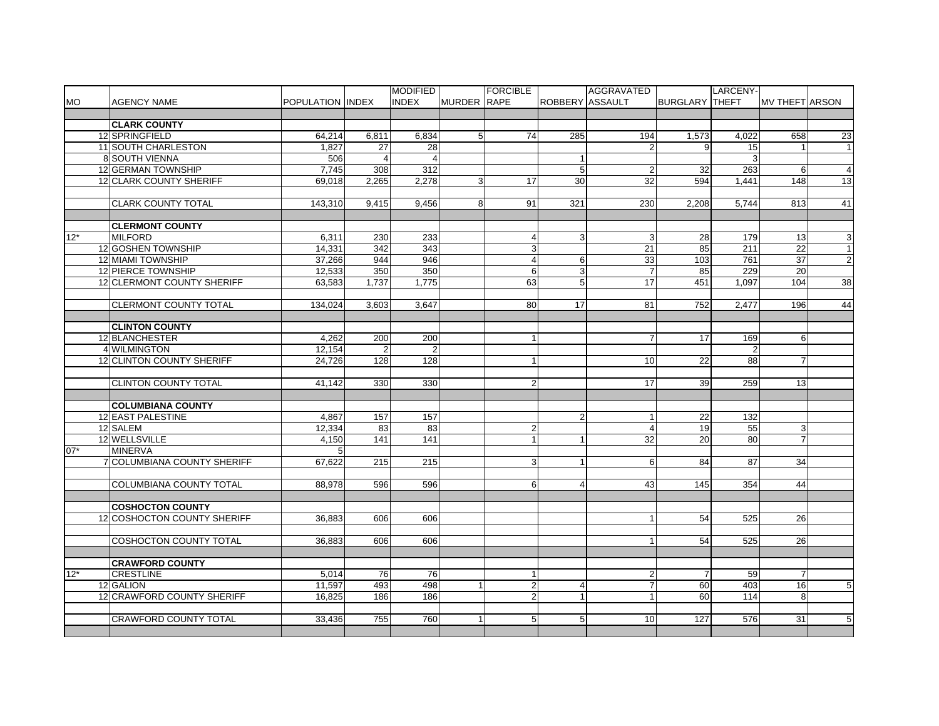|       |                                  |                  |                  | <b>MODIFIED</b> |                | <b>FORCIBLE</b>  |                 | AGGRAVATED      |                       | LARCENY- |                 |                 |
|-------|----------------------------------|------------------|------------------|-----------------|----------------|------------------|-----------------|-----------------|-----------------------|----------|-----------------|-----------------|
| МO    | <b>AGENCY NAME</b>               | POPULATION INDEX |                  | <b>INDEX</b>    | MURDER RAPE    |                  | ROBBERY ASSAULT |                 | <b>BURGLARY THEFT</b> |          | MV THEFT ARSON  |                 |
|       |                                  |                  |                  |                 |                |                  |                 |                 |                       |          |                 |                 |
|       | <b>CLARK COUNTY</b>              |                  |                  |                 |                |                  |                 |                 |                       |          |                 |                 |
|       | 12 SPRINGFIELD                   | 64,214           | 6,811            | 6,834           | 5 <sup>1</sup> | 74               | 285             | 194             | 1,573                 | 4,022    | 658             | 23              |
|       | 11 SOUTH CHARLESTON              | 1.827            | 27               | 28              |                |                  |                 | $\overline{2}$  | 9                     | 15       | $\overline{1}$  | $\mathbf{1}$    |
|       | <b>8 SOUTH VIENNA</b>            | 506              |                  |                 |                |                  |                 |                 |                       | 3        |                 |                 |
|       | 12 GERMAN TOWNSHIP               | 7,745            | 308              | 312             |                |                  | 5               | 2               | 32                    | 263      | 6               | $\overline{4}$  |
|       | 12 CLARK COUNTY SHERIFF          | 69,018           | 2,265            | 2,278           | $\overline{3}$ | 17               | 30              | 32              | 594                   | 1,441    | 148             | 13              |
|       |                                  |                  |                  |                 |                |                  |                 |                 |                       |          |                 |                 |
|       | <b>CLARK COUNTY TOTAL</b>        | 143,310          | 9,415            | 9,456           | 8 <sup>1</sup> | 91               | 321             | 230             | 2,208                 | 5,744    | 813             | 41              |
|       |                                  |                  |                  |                 |                |                  |                 |                 |                       |          |                 |                 |
|       | <b>CLERMONT COUNTY</b>           |                  |                  |                 |                |                  |                 |                 |                       |          |                 |                 |
| $12*$ | <b>MILFORD</b>                   | 6.311            | 230              | 233             |                | $\overline{4}$   | 3               | 3               | 28                    | 179      | 13 <sup>1</sup> | ω               |
|       | 12 GOSHEN TOWNSHIP               | 14,331           | $\overline{342}$ | 343             |                | $\overline{3}$   |                 | 21              | 85                    | 211      | 22              | $\overline{1}$  |
|       | 12 MIAMI TOWNSHIP                | 37,266           | 944              | 946             |                | $\overline{4}$   | 6               | 33              | 103                   | 761      | 37              | $\overline{c}$  |
|       | 12 PIERCE TOWNSHIP               | 12,533           | 350              | 350             |                | $6 \overline{6}$ | 3               | $\overline{7}$  | 85                    | 229      | 20              |                 |
|       | 12 CLERMONT COUNTY SHERIFF       | 63.583           | 1.737            | 1.775           |                | 63               | 5               | $\overline{17}$ | 451                   | 1.097    | 104             | 38              |
|       |                                  |                  |                  |                 |                |                  |                 |                 |                       |          |                 |                 |
|       | <b>CLERMONT COUNTY TOTAL</b>     | 134,024          | 3.603            | 3.647           |                | 80               | 17              | 81              | 752                   |          | 196             | 44              |
|       |                                  |                  |                  |                 |                |                  |                 |                 |                       | 2,477    |                 |                 |
|       |                                  |                  |                  |                 |                |                  |                 |                 |                       |          |                 |                 |
|       | <b>CLINTON COUNTY</b>            |                  |                  |                 |                |                  |                 |                 |                       |          |                 |                 |
|       | 12 BLANCHESTER                   | 4,262            | 200              | 200             |                | $\mathbf{1}$     |                 | $\overline{7}$  | 17                    | 169      | 6               |                 |
|       | 4 WILMINGTON                     | 12.154           | $\overline{2}$   | $\overline{2}$  |                |                  |                 |                 |                       | 2        |                 |                 |
|       | <b>12 CLINTON COUNTY SHERIFF</b> | 24,726           | 128              | 128             |                | $\mathbf{1}$     |                 | 10              | $\overline{22}$       | 88       | $\overline{7}$  |                 |
|       |                                  |                  |                  |                 |                |                  |                 |                 |                       |          |                 |                 |
|       | <b>CLINTON COUNTY TOTAL</b>      | 41,142           | 330              | 330             |                | $\overline{2}$   |                 | $\overline{17}$ | 39                    | 259      | 13              |                 |
|       |                                  |                  |                  |                 |                |                  |                 |                 |                       |          |                 |                 |
|       | <b>COLUMBIANA COUNTY</b>         |                  |                  |                 |                |                  |                 |                 |                       |          |                 |                 |
|       | 12 EAST PALESTINE                | 4.867            | 157              | 157             |                |                  | $\overline{2}$  | $\mathbf{1}$    | 22                    | 132      |                 |                 |
|       | 12 SALEM                         | 12.334           | 83               | 83              |                | $\overline{2}$   |                 | $\overline{4}$  | 19                    | 55       | $\mathbf{3}$    |                 |
|       | 12 WELLSVILLE                    | 4,150            | 141              | 141             |                | $\mathbf{1}$     |                 | 32              | 20                    | 80       | $\overline{7}$  |                 |
| $07*$ | <b>MINERVA</b>                   | 5                |                  |                 |                |                  |                 |                 |                       |          |                 |                 |
|       | 7 COLUMBIANA COUNTY SHERIFF      | 67.622           | 215              | 215             |                | 3 <sup>1</sup>   |                 | 6               | 84                    | 87       | 34              |                 |
|       |                                  |                  |                  |                 |                |                  |                 |                 |                       |          |                 |                 |
|       | <b>COLUMBIANA COUNTY TOTAL</b>   | 88.978           | 596              | 596             |                | $6 \mid$         | $\overline{4}$  | 43              | 145                   | 354      | 44              |                 |
|       |                                  |                  |                  |                 |                |                  |                 |                 |                       |          |                 |                 |
|       | <b>COSHOCTON COUNTY</b>          |                  |                  |                 |                |                  |                 |                 |                       |          |                 |                 |
|       | 12 COSHOCTON COUNTY SHERIFF      | 36,883           | 606              | 606             |                |                  |                 | 1               | 54                    | 525      | 26              |                 |
|       |                                  |                  |                  |                 |                |                  |                 |                 |                       |          |                 |                 |
|       | COSHOCTON COUNTY TOTAL           | 36,883           | 606              | 606             |                |                  |                 | 1               | 54                    | 525      | 26              |                 |
|       |                                  |                  |                  |                 |                |                  |                 |                 |                       |          |                 |                 |
|       | <b>CRAWFORD COUNTY</b>           |                  |                  |                 |                |                  |                 |                 |                       |          |                 |                 |
| $12*$ | <b>CRESTLINE</b>                 | 5,014            | 76               | 76              |                | $\mathbf{1}$     |                 | $\overline{2}$  | 7                     | 59       | $\overline{7}$  |                 |
|       | 12 GALION                        | 11,597           | 493              | 498             |                | $\overline{2}$   | $\overline{4}$  | $\overline{7}$  | 60                    | 403      | 16              | $5\overline{)}$ |
|       | 12 CRAWFORD COUNTY SHERIFF       | 16,825           | 186              | 186             |                | $\overline{2}$   |                 | 1               | 60                    | 114      | 8               |                 |
|       |                                  |                  |                  |                 |                |                  |                 |                 |                       |          |                 |                 |
|       | <b>CRAWFORD COUNTY TOTAL</b>     | 33.436           | 755              | 760             | $\mathbf{1}$   | 5 <sup>1</sup>   | 5 <sup>1</sup>  | 10              | 127                   | 576      | 31              | 5               |
|       |                                  |                  |                  |                 |                |                  |                 |                 |                       |          |                 |                 |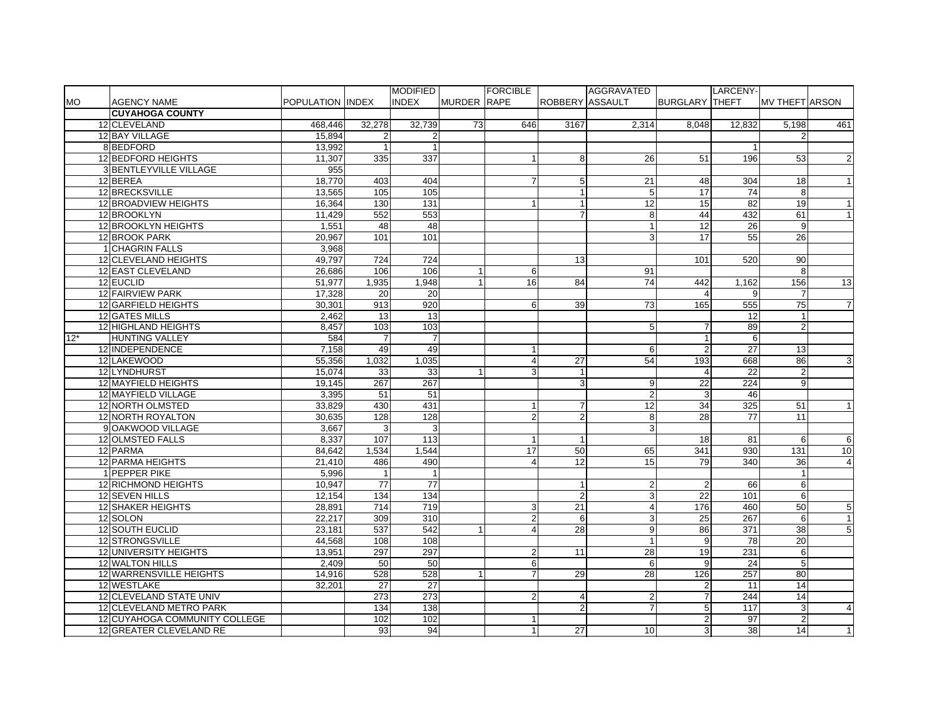|           |                               |                  |                | <b>MODIFIED</b> |                    | <b>FORCIBLE</b> |                        | AGGRAVATED      |                         | LARCENY- |                       |                 |
|-----------|-------------------------------|------------------|----------------|-----------------|--------------------|-----------------|------------------------|-----------------|-------------------------|----------|-----------------------|-----------------|
| <b>MO</b> | <b>AGENCY NAME</b>            | POPULATION INDEX |                | <b>INDEX</b>    | <b>MURDER RAPE</b> |                 | <b>ROBBERY ASSAULT</b> |                 | <b>BURGLARY THEFT</b>   |          | <b>MV THEFT ARSON</b> |                 |
|           | <b>CUYAHOGA COUNTY</b>        |                  |                |                 |                    |                 |                        |                 |                         |          |                       |                 |
|           | 12 CLEVELAND                  | 468,446          | 32,278         | 32,739          | 73                 | 646             | 3167                   | 2,314           | 8,048                   | 12,832   | 5,198                 | 461             |
|           | 12 BAY VILLAGE                | 15,894           | $\overline{2}$ | $\overline{2}$  |                    |                 |                        |                 |                         |          | 2                     |                 |
|           | 8 BEDFORD                     | 13,992           | $\overline{1}$ | $\mathbf{1}$    |                    |                 |                        |                 |                         |          |                       |                 |
|           | 12 BEDFORD HEIGHTS            | 11,307           | 335            | 337             |                    |                 | 8                      | 26              | 51                      | 196      | 53                    | $\overline{2}$  |
|           | 3 BENTLEYVILLE VILLAGE        | 955              |                |                 |                    |                 |                        |                 |                         |          |                       |                 |
|           | 12 BEREA                      | 18,770           | 403            | 404             |                    | $\overline{7}$  | 5                      | 21              | 48                      | 304      | 18                    |                 |
|           | 12 BRECKSVILLE                | 13,565           | 105            | 105             |                    |                 |                        | 5               | $\overline{17}$         | 74       | 8                     |                 |
|           | 12 BROADVIEW HEIGHTS          | 16,364           | 130            | 131             |                    |                 |                        | 12              | 15                      | 82       | 19                    |                 |
|           | 12 BROOKLYN                   | 11,429           | 552            | 553             |                    |                 | $\overline{7}$         | 8               | 44                      | 432      | 61                    | $\mathbf{1}$    |
|           | 12 BROOKLYN HEIGHTS           | 1,551            | 48             | $\overline{48}$ |                    |                 |                        | $\overline{1}$  | 12                      | 26       | 9                     |                 |
|           | 12 BROOK PARK                 | 20.967           | 101            | 101             |                    |                 |                        | 3               | 17                      | 55       | 26                    |                 |
|           | 1 CHAGRIN FALLS               | 3,968            |                |                 |                    |                 |                        |                 |                         |          |                       |                 |
|           | 12 CLEVELAND HEIGHTS          | 49.797           | 724            | 724             |                    |                 | 13                     |                 | 101                     | 520      | 90                    |                 |
|           | 12 EAST CLEVELAND             | 26,686           | 106            | 106             |                    | 6               |                        | 91              |                         |          | 8                     |                 |
|           | 12 EUCLID                     | 51,977           | 1,935          | 1.948           | $\mathbf{1}$       | 16              | 84                     | $\overline{74}$ | 442                     | 1,162    | 156                   | 13              |
|           | 12 FAIRVIEW PARK              | 17,328           | 20             | 20              |                    |                 |                        |                 | $\overline{\mathbf{A}}$ | 9        | $\overline{7}$        |                 |
|           | 12 GARFIELD HEIGHTS           | 30.301           | 913            | 920             |                    | 6               | 39                     | 73              | 165                     | 555      | 75                    | $\overline{7}$  |
|           | 12 GATES MILLS                | 2.462            | 13             | $\overline{13}$ |                    |                 |                        |                 |                         | 12       | 1                     |                 |
|           | 12 HIGHLAND HEIGHTS           | 8,457            | 103            | 103             |                    |                 |                        | 5               | 7                       | 89       | $\overline{2}$        |                 |
| $12*$     | <b>HUNTING VALLEY</b>         | 584              | $\overline{7}$ | $\overline{7}$  |                    |                 |                        |                 | $\overline{1}$          | 6        |                       |                 |
|           | 12 INDEPENDENCE               | 7,158            | 49             | 49              |                    | $\mathbf{1}$    |                        | 6               | $\overline{2}$          | 27       | 13                    |                 |
|           | 12 LAKEWOOD                   | 55,356           | 1,032          | 1,035           |                    | $\overline{4}$  | 27                     | 54              | 193                     | 668      | 86                    | 3               |
|           | 12 LYNDHURST                  | 15,074           | 33             | 33              | $\overline{1}$     | 3               |                        |                 | $\Delta$                | 22       | $\overline{2}$        |                 |
|           | 12 MAYFIELD HEIGHTS           | 19,145           | 267            | 267             |                    |                 | 3                      | 9               | 22                      | 224      | 9                     |                 |
|           | 12 MAYFIELD VILLAGE           | 3,395            | 51             | 51              |                    |                 |                        | $\overline{2}$  | 3                       | 46       |                       |                 |
|           | 12 NORTH OLMSTED              | 33,829           | 430            | 431             |                    |                 | $\overline{7}$         | $\overline{12}$ | 34                      | 325      | 51                    |                 |
|           | 12 NORTH ROYALTON             | 30,635           | 128            | 128             |                    | $\overline{2}$  | $\overline{2}$         | 8               | 28                      | 77       | 11                    |                 |
|           | 9 OAKWOOD VILLAGE             | 3,667            | 3              | 3               |                    |                 |                        | 3               |                         |          |                       |                 |
|           | 12 OLMSTED FALLS              | 8,337            | 107            | 113             |                    | $\mathbf{1}$    |                        |                 | 18                      | 81       | 6                     | 6               |
|           | 12 PARMA                      | 84,642           | 1,534          | 1,544           |                    | 17              | 50                     | 65              | 341                     | 930      | 131                   | $\overline{10}$ |
|           | 12 PARMA HEIGHTS              | 21,410           | 486            | 490             |                    | $\overline{4}$  | 12                     | 15              | 79                      | 340      | 36                    | $\overline{4}$  |
|           | 1 PEPPER PIKE                 | 5.996            | $\mathbf{1}$   | $\mathbf{1}$    |                    |                 |                        |                 |                         |          | $\mathbf{1}$          |                 |
|           | <b>12 RICHMOND HEIGHTS</b>    | 10.947           | 77             | 77              |                    |                 |                        | $\overline{2}$  | $\overline{2}$          | 66       | 6                     |                 |
|           | 12 SEVEN HILLS                | 12,154           | 134            | $\frac{1}{34}$  |                    |                 | $\overline{2}$         | 3               | 22                      | 101      | $6 \overline{6}$      |                 |
|           | 12 SHAKER HEIGHTS             | 28,891           | 714            | 719             |                    | 3               | 21                     | 4               | 176                     | 460      | 50                    | 5               |
|           | 12 SOLON                      | 22,217           | 309            | 310             |                    | $\overline{2}$  | 6                      | 3               | 25                      | 267      | $6 \overline{}$       | $\mathbf{1}$    |
|           | 12 SOUTH EUCLID               | 23,181           | 537            | 542             |                    | $\overline{4}$  | 28                     | 9               | 86                      | 371      | 38                    | 5               |
|           | 12 STRONGSVILLE               | 44.568           | 108            | 108             |                    |                 |                        | $\mathbf{1}$    | 9                       | 78       | $\overline{20}$       |                 |
|           | 12 UNIVERSITY HEIGHTS         | 13,951           | 297            | 297             |                    | $\overline{2}$  | 11                     | 28              | 19                      | 231      | 6                     |                 |
|           | 12 WALTON HILLS               | 2.409            | 50             | 50              |                    | 6               |                        | 6               | 9                       | 24       | 5                     |                 |
|           | 12 WARRENSVILLE HEIGHTS       | 14,916           | 528            | 528             |                    | $\overline{7}$  | 29                     | $\overline{28}$ | 126                     | 257      | 80                    |                 |
|           | 12 WESTLAKE                   | 32,201           | 27             | $\overline{27}$ |                    |                 |                        |                 | $\overline{2}$          | 11       | 14                    |                 |
|           | 12 CLEVELAND STATE UNIV       |                  | 273            | 273             |                    | $\overline{2}$  | 4                      |                 |                         | 244      | 14                    |                 |
|           | 12 CLEVELAND METRO PARK       |                  | 134            | 138             |                    |                 | $\overline{2}$         | $\overline{7}$  | 5                       | 117      | 3                     | $\overline{4}$  |
|           | 12 CUYAHOGA COMMUNITY COLLEGE |                  | 102            | 102             |                    |                 |                        |                 | $\overline{2}$          | 97       | $\overline{2}$        |                 |
|           | 12 GREATER CLEVELAND RE       |                  | 93             | 94              |                    | 1               | 27                     | 10              | 3 <sup>1</sup>          | 38       | 14                    | $\mathbf{1}$    |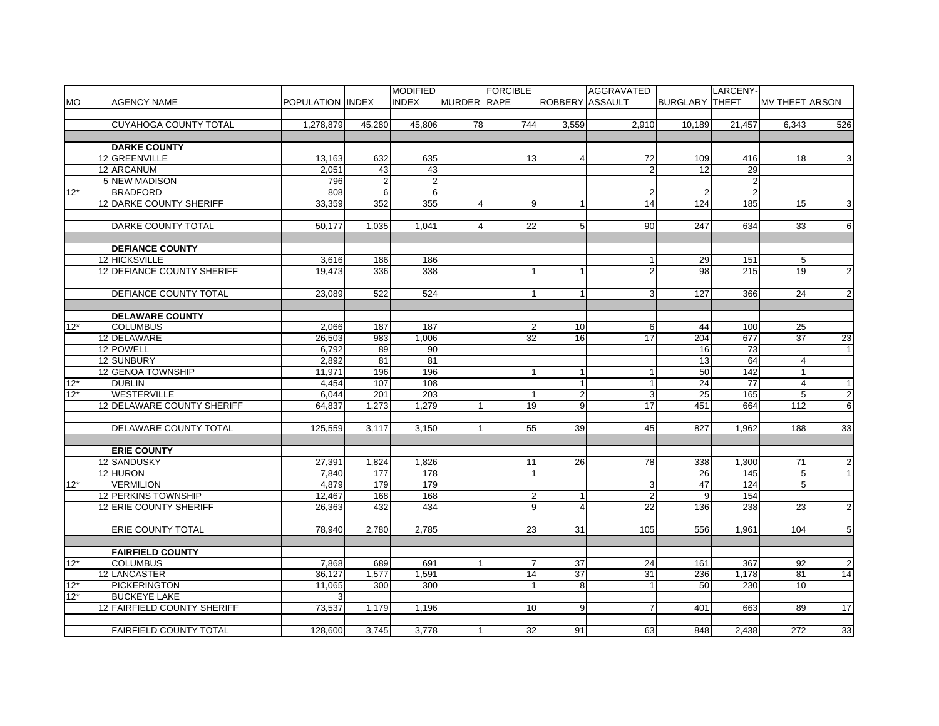|           |                                                    |                          |                | <b>MODIFIED</b> |                    | <b>FORCIBLE</b> |                  | AGGRAVATED                     |                       | LARCENY-       |                       |                 |
|-----------|----------------------------------------------------|--------------------------|----------------|-----------------|--------------------|-----------------|------------------|--------------------------------|-----------------------|----------------|-----------------------|-----------------|
| <b>MO</b> | <b>AGENCY NAME</b>                                 | <b>POPULATION IINDEX</b> |                | <b>INDEX</b>    | <b>MURDER RAPE</b> |                 | ROBBERY ASSAULT  |                                | <b>BURGLARY THEFT</b> |                | <b>MV THEFT ARSON</b> |                 |
|           |                                                    |                          |                |                 |                    |                 |                  |                                |                       |                |                       |                 |
|           | CUYAHOGA COUNTY TOTAL                              | 1,278,879                | 45,280         | 45,806          | 78                 | 744             | 3,559            | 2,910                          | 10,189                | 21,457         | 6,343                 | 526             |
|           |                                                    |                          |                |                 |                    |                 |                  |                                |                       |                |                       |                 |
|           | <b>DARKE COUNTY</b>                                |                          |                |                 |                    |                 |                  |                                |                       |                |                       |                 |
|           | 12 GREENVILLE                                      | 13,163                   | 632            | 635             |                    | 13              | 4                | 72                             | 109                   | 416            | 18                    | $\mathbf{3}$    |
|           | 12 ARCANUM                                         | 2,051                    | 43             | 43              |                    |                 |                  |                                | 12                    | 29             |                       |                 |
|           | 5 NEW MADISON                                      | 796                      | $\overline{2}$ | $\overline{2}$  |                    |                 |                  |                                |                       | $\overline{2}$ |                       |                 |
| $12*$     | <b>BRADFORD</b>                                    | 808                      | $6 \mid$       | 6               |                    |                 |                  | $\overline{2}$                 | $\overline{2}$        | $\overline{2}$ |                       |                 |
|           | 12 DARKE COUNTY SHERIFF                            | 33.359                   | 352            | 355             | 4                  | 9               |                  | $\overline{14}$                | 124                   | 185            | 15                    | 3               |
|           |                                                    |                          |                |                 |                    |                 |                  |                                |                       |                |                       |                 |
|           | DARKE COUNTY TOTAL                                 | 50.177                   | 1,035          | 1,041           | 4                  | 22              | 5                | 90                             | 247                   | 634            | 33                    | 6               |
|           |                                                    |                          |                |                 |                    |                 |                  |                                |                       |                |                       |                 |
|           | <b>DEFIANCE COUNTY</b>                             |                          |                |                 |                    |                 |                  |                                |                       |                |                       |                 |
|           | 12 HICKSVILLE                                      | 3,616                    |                | 186             |                    |                 |                  |                                |                       | 151            | 5 <sub>5</sub>        |                 |
|           | 12 DEFIANCE COUNTY SHERIFF                         |                          | 186            |                 |                    | 1               |                  | $\mathbf{1}$<br>$\overline{2}$ | 29                    |                |                       |                 |
|           |                                                    | 19,473                   | 336            | 338             |                    |                 |                  |                                | 98                    | 215            | 19                    | $\overline{2}$  |
|           |                                                    |                          |                |                 |                    |                 |                  |                                |                       |                |                       |                 |
|           | <b>DEFIANCE COUNTY TOTAL</b>                       | 23,089                   | 522            | 524             |                    | 1               | $\mathbf{1}$     | 3                              | 127                   | 366            | 24                    | $\overline{2}$  |
|           |                                                    |                          |                |                 |                    |                 |                  |                                |                       |                |                       |                 |
|           | <b>DELAWARE COUNTY</b>                             |                          |                |                 |                    |                 |                  |                                |                       |                |                       |                 |
| $12*$     | <b>COLUMBUS</b>                                    | 2,066                    | 187            | 187             |                    | $\overline{2}$  | 10               | 6                              | 44                    | 100            | 25                    |                 |
|           | 12 DELAWARE                                        | 26,503                   | 983            | 1,006           |                    | 32              | 16               | 17                             | 204                   | 677            | 37                    | 23              |
|           | 12 POWELL                                          | 6,792                    | 89             | 90              |                    |                 |                  |                                | 16                    | 73             |                       | $\overline{1}$  |
|           | 12 SUNBURY                                         | 2,892                    | 81             | 81              |                    |                 |                  |                                | 13                    | 64             | $\overline{4}$        |                 |
|           | 12 GENOA TOWNSHIP                                  | 11,971                   | 196            | 196             |                    | 1               |                  | 1                              | 50                    | 142            | $\overline{1}$        |                 |
| $12*$     | <b>DUBLIN</b>                                      | 4,454                    | 107            | 108             |                    |                 |                  | 1                              | 24                    | 77             | $\overline{4}$        | $\mathbf{1}$    |
| $12*$     | <b>WESTERVILLE</b>                                 | 6,044                    | 201            | 203             |                    | $\mathbf{1}$    | $\boldsymbol{2}$ | 3                              | 25                    | 165            | 5 <sub>5</sub>        | $\mathbf{L}$    |
|           | 12 DELAWARE COUNTY SHERIFF                         | 64,837                   | 1,273          | 1,279           |                    | 19              | 9                | 17                             | 451                   | 664            | 112                   | 6               |
|           |                                                    |                          |                |                 |                    |                 |                  |                                |                       |                |                       |                 |
|           | DELAWARE COUNTY TOTAL                              | 125,559                  | 3,117          | 3,150           |                    | 55              | 39               | 45                             | 827                   | 1,962          | 188                   | 33              |
|           |                                                    |                          |                |                 |                    |                 |                  |                                |                       |                |                       |                 |
|           | <b>ERIE COUNTY</b>                                 |                          |                |                 |                    |                 |                  |                                |                       |                |                       |                 |
|           | 12 SANDUSKY                                        | 27,391                   | 1,824          | 1,826           |                    | 11              | 26               | 78                             | 338                   | 1,300          | 71                    | $\mathbf{2}$    |
|           | 12 HURON                                           | 7,840                    | 177            | 178             |                    | 1               |                  |                                | 26                    | 145            | $5\overline{)}$       | $\mathbf{1}$    |
| $12*$     | <b>VERMILION</b>                                   | 4,879                    | 179            | 179             |                    |                 |                  | 3                              | 47                    | 124            | $5\overline{)}$       |                 |
|           | <b>12 PERKINS TOWNSHIP</b>                         | 12,467                   | 168            | 168             |                    | $\overline{2}$  |                  | $\overline{c}$                 | 9                     | 154            |                       |                 |
|           | 12 ERIE COUNTY SHERIFF                             | 26,363                   | 432            | 434             |                    | 9               | $\overline{4}$   | 22                             | 136                   | 238            | 23                    | $\overline{2}$  |
|           |                                                    |                          |                |                 |                    |                 |                  |                                |                       |                |                       |                 |
|           | <b>ERIE COUNTY TOTAL</b>                           | 78,940                   | 2.780          | 2,785           |                    | 23              | 31               | 105                            | 556                   | 1,961          | 104                   | $5\overline{)}$ |
|           |                                                    |                          |                |                 |                    |                 |                  |                                |                       |                |                       |                 |
|           | <b>FAIRFIELD COUNTY</b>                            |                          |                |                 |                    |                 |                  |                                |                       |                |                       |                 |
| $12*$     | <b>COLUMBUS</b>                                    | 7,868                    | 689            | 691             |                    | $\overline{7}$  | 37               | 24                             | 161                   | 367            | 92                    | $\overline{2}$  |
|           | 12 LANCASTER                                       | 36,127                   | 1,577          | 1,591           |                    | 14              | $\overline{37}$  | 31                             | 236                   | 1,178          | 81                    | 14              |
| $12*$     | <b>PICKERINGTON</b>                                | 11,065                   | 300            | 300             |                    | 1               | 8                | $\mathbf{1}$                   | 50                    | 230            | 10 <sup>1</sup>       |                 |
| $12*$     |                                                    | 3                        |                |                 |                    |                 |                  |                                |                       |                |                       |                 |
|           | <b>BUCKEYE LAKE</b><br>12 FAIRFIELD COUNTY SHERIFF | 73.537                   | 1.179          |                 |                    | 10 <sup>1</sup> | 9                |                                | 401                   | 663            | 89                    |                 |
|           |                                                    |                          |                | 1.196           |                    |                 |                  |                                |                       |                |                       | 17              |
|           |                                                    |                          |                |                 |                    |                 |                  |                                |                       |                |                       |                 |
|           | <b>FAIRFIELD COUNTY TOTAL</b>                      | 128,600                  | 3,745          | 3,778           |                    | 32              | 91               | 63                             | 848                   | 2,438          | 272                   | 33              |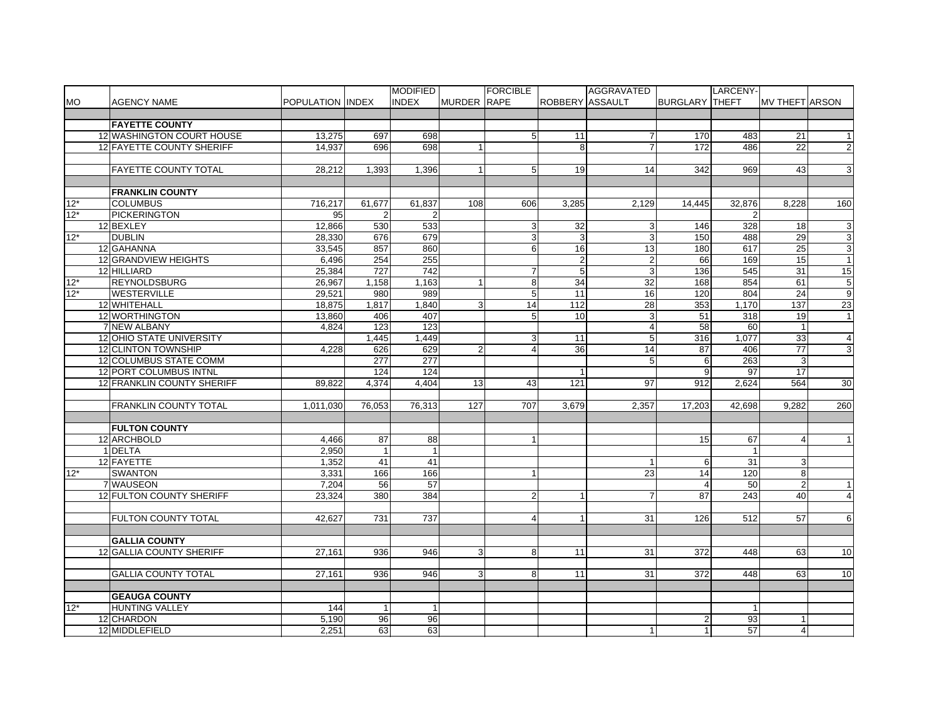|                    |                                 |                  |                | <b>MODIFIED</b>  |                    | <b>FORCIBLE</b> |                        | AGGRAVATED      |                       | LARCENY-       |                 |                  |
|--------------------|---------------------------------|------------------|----------------|------------------|--------------------|-----------------|------------------------|-----------------|-----------------------|----------------|-----------------|------------------|
| <b>MO</b>          | <b>AGENCY NAME</b>              | POPULATION INDEX |                | <b>INDEX</b>     | <b>MURDER RAPE</b> |                 | <b>ROBBERY ASSAULT</b> |                 | <b>BURGLARY THEFT</b> |                | IMV THEFTIARSON |                  |
|                    |                                 |                  |                |                  |                    |                 |                        |                 |                       |                |                 |                  |
|                    | <b>FAYETTE COUNTY</b>           |                  |                |                  |                    |                 |                        |                 |                       |                |                 |                  |
|                    | 12 WASHINGTON COURT HOUSE       | 13,275           | 697            | 698              |                    | $5\phantom{.0}$ | 11                     | $\overline{7}$  | 170                   | 483            | 21              | $\overline{1}$   |
|                    | 12 FAYETTE COUNTY SHERIFF       | 14,937           | 696            | 698              | $\mathbf{1}$       |                 | 8 <sup>1</sup>         | $\overline{7}$  | 172                   | 486            | 22              | $\overline{2}$   |
|                    |                                 |                  |                |                  |                    |                 |                        |                 |                       |                |                 |                  |
|                    | <b>FAYETTE COUNTY TOTAL</b>     | 28,212           | 1,393          | 1,396            | $\mathbf{1}$       | 5               | 19                     | 14              | 342                   | 969            | 43              | 3                |
|                    |                                 |                  |                |                  |                    |                 |                        |                 |                       |                |                 |                  |
|                    | <b>FRANKLIN COUNTY</b>          |                  |                |                  |                    |                 |                        |                 |                       |                |                 |                  |
| $12*$              | <b>COLUMBUS</b>                 | 716,217          | 61,677         | 61,837           | 108                | 606             | 3,285                  | 2.129           | 14.445                | 32,876         | 8.228           | 160              |
| $12*$              | <b>PICKERINGTON</b>             | 95               | $\overline{2}$ | 2                |                    |                 |                        |                 |                       | $\overline{2}$ |                 |                  |
|                    | 12 BEXLEY                       | 12,866           | 530            | 533              |                    | 3               | 32                     | 3               | 146                   | 328            | 18              | $\mathbf{3}$     |
| $12*$              | <b>DUBLIN</b>                   | 28.330           | 676            | 679              |                    | $\mathbf{3}$    | 3                      | 3               | 150                   | 488            | 29              | $\mathbf{3}$     |
|                    | 12 GAHANNA                      | 33,545           | 857            | 860              |                    | 6               | 16                     | 13              | 180                   | 617            | 25              | $\overline{3}$   |
|                    | 12 GRANDVIEW HEIGHTS            | 6.496            | 254            | 255              |                    |                 | $\boldsymbol{2}$       | $\overline{c}$  | 66                    | 169            | 15              | $\vert$ 1        |
|                    | 12 HILLIARD                     | 25,384           | 727            | 742              |                    | $\overline{7}$  | 5 <sub>5</sub>         | 3               | 136                   | 545            | 31              | 15               |
| $12*$              | <b>REYNOLDSBURG</b>             | 26,967           | 1,158          | 1,163            | $\overline{1}$     | 8               | 34                     | 32              | 168                   | 854            | 61              | 5                |
| $\frac{1}{12^{*}}$ | <b>WESTERVILLE</b>              | 29,521           | 980            | 989              |                    | 5               | $\overline{11}$        | $\overline{16}$ | 120                   | 804            | $\overline{24}$ | $\overline{9}$   |
|                    | 12 WHITEHALL                    | 18,875           | 1,817          | 1,840            | $\overline{3}$     | 14              | 112                    | 28              | 353                   | 1,170          | 137             | 23               |
|                    | 12 WORTHINGTON                  | 13,860           | 406            | 407              |                    | 5               | 10                     | 3               | 51                    | 318            | 19              | $\vert$ 1        |
|                    | 7 NEW ALBANY                    | 4,824            | 123            | 123              |                    |                 |                        | $\overline{4}$  | 58                    | 60             |                 |                  |
|                    | <b>12 OHIO STATE UNIVERSITY</b> |                  | 1,445          | 1,449            |                    | $\mathbf{3}$    | 11                     | 5               | 316                   | 1.077          | 33              | $\overline{a}$   |
|                    | 12 CLINTON TOWNSHIP             | 4.228            | 626            | 629              | $\overline{2}$     | $\overline{4}$  | $\overline{36}$        | $\overline{14}$ | 87                    | 406            | 77              | $\overline{3}$   |
|                    | <b>12 COLUMBUS STATE COMM</b>   |                  | 277            | 277              |                    |                 |                        | 5               | 6                     | 263            | 3               |                  |
|                    | 12 PORT COLUMBUS INTNL          |                  | 124            | 124              |                    |                 |                        |                 | 9                     | 97             | 17              |                  |
|                    | 12 FRANKLIN COUNTY SHERIFF      | 89,822           | 4,374          | 4,404            | 13                 | 43              | $\overline{121}$       | 97              | 912                   | 2,624          | 564             | 30               |
|                    |                                 |                  |                |                  |                    |                 |                        |                 |                       |                |                 |                  |
|                    | <b>FRANKLIN COUNTY TOTAL</b>    | 1,011,030        | 76,053         | 76,313           | 127                | 707             | 3,679                  | 2,357           | 17,203                | 42,698         | 9,282           | 260              |
|                    |                                 |                  |                |                  |                    |                 |                        |                 |                       |                |                 |                  |
|                    | <b>FULTON COUNTY</b>            |                  |                |                  |                    |                 |                        |                 |                       |                |                 |                  |
|                    | 12 ARCHBOLD                     | 4,466            | 87             | 88               |                    | $\mathbf{1}$    |                        |                 | 15                    | 67             | $\overline{4}$  | $\mathbf{1}$     |
|                    | 1 DELTA                         | 2,950            | $\mathbf{1}$   | $\mathbf{1}$     |                    |                 |                        |                 |                       | $\mathbf{1}$   |                 |                  |
|                    | 12 FAYETTE                      | 1,352            | 41             | 41               |                    |                 |                        | $\mathbf{1}$    | 6                     | 31             | 3               |                  |
| $12*$              | <b>SWANTON</b>                  | 3.331            | 166            | 166              |                    | $\mathbf{1}$    |                        | $\overline{23}$ | 14                    | 120            | 8               |                  |
|                    | 7 WAUSEON                       | 7,204            | 56             | 57               |                    |                 |                        |                 | $\overline{a}$        | 50             | $\overline{2}$  | $\mathbf{1}$     |
|                    | 12 FULTON COUNTY SHERIFF        | 23.324           | 380            | 384              |                    | $\overline{2}$  | 1                      | 7               | 87                    | 243            | 40              | $\overline{4}$   |
|                    |                                 |                  |                |                  |                    |                 |                        |                 |                       |                |                 |                  |
|                    | <b>FULTON COUNTY TOTAL</b>      | 42.627           | 731            | $\overline{737}$ |                    | $\overline{4}$  | $\overline{1}$         | 31              | 126                   | 512            | 57              | $6 \overline{6}$ |
|                    |                                 |                  |                |                  |                    |                 |                        |                 |                       |                |                 |                  |
|                    | <b>GALLIA COUNTY</b>            |                  |                |                  |                    |                 |                        |                 |                       |                |                 |                  |
|                    | 12 GALLIA COUNTY SHERIFF        | 27,161           | 936            | 946              | $\overline{3}$     | 8               | 11                     | 31              | 372                   | 448            | 63              | 10               |
|                    |                                 |                  |                |                  |                    |                 |                        |                 |                       |                |                 |                  |
|                    | <b>GALLIA COUNTY TOTAL</b>      | 27,161           | 936            | 946              | 3                  | 8               | 11                     | 31              | 372                   | 448            | 63              | 10               |
|                    |                                 |                  |                |                  |                    |                 |                        |                 |                       |                |                 |                  |
|                    | <b>GEAUGA COUNTY</b>            |                  |                |                  |                    |                 |                        |                 |                       |                |                 |                  |
| $12*$              | <b>HUNTING VALLEY</b>           | 144              |                |                  |                    |                 |                        |                 |                       |                |                 |                  |
|                    | 12 CHARDON                      | 5,190            | 96             | 96               |                    |                 |                        |                 |                       | 93             |                 |                  |
|                    | 12 MIDDLEFIELD                  | 2,251            | 63             | 63               |                    |                 |                        |                 |                       | 57             | $\overline{4}$  |                  |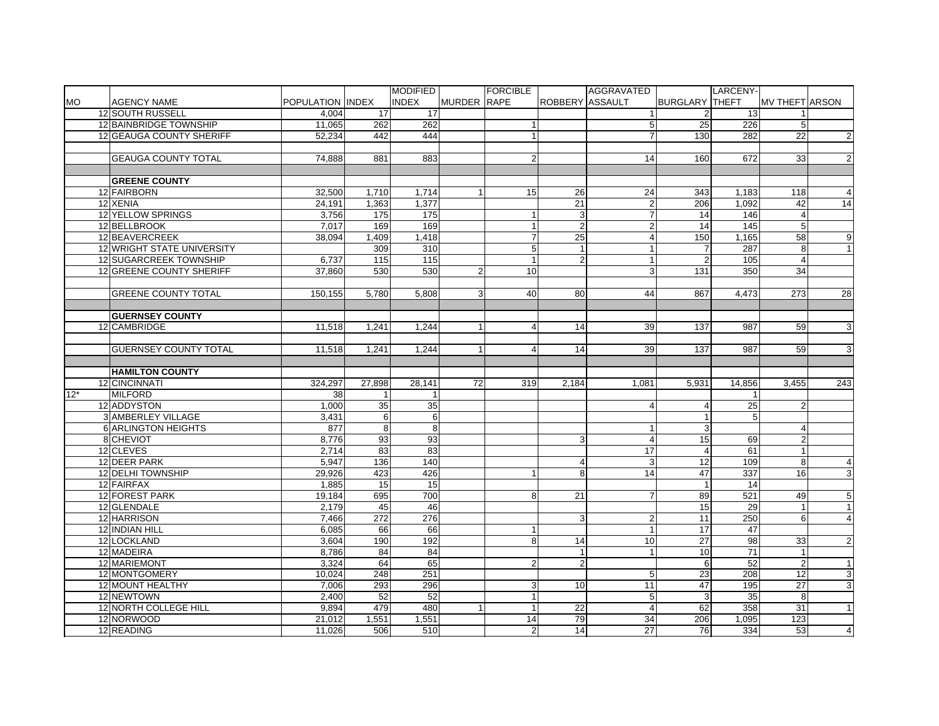|           |                              |                  |                  | <b>MODIFIED</b> |                | <b>FORCIBLE</b>      |                 | AGGRAVATED     |                       | LARCENY-         |                       |                                                          |
|-----------|------------------------------|------------------|------------------|-----------------|----------------|----------------------|-----------------|----------------|-----------------------|------------------|-----------------------|----------------------------------------------------------|
| <b>MO</b> | <b>AGENCY NAME</b>           | POPULATION INDEX |                  | <b>INDEX</b>    | MURDER RAPE    |                      | ROBBERY ASSAULT |                | <b>BURGLARY THEFT</b> |                  | <b>MV THEFT ARSON</b> |                                                          |
|           | 12 SOUTH RUSSELL             | 4.004            | 17               | 17              |                |                      |                 |                |                       | 13               |                       |                                                          |
|           | 12 BAINBRIDGE TOWNSHIP       | 11,065           | 262              | 262             |                |                      |                 | 5              | 25                    | $\overline{226}$ | $5\overline{)}$       |                                                          |
|           | 12 GEAUGA COUNTY SHERIFF     | 52,234           | 442              | 444             |                | $\overline{1}$       |                 | $\overline{7}$ | 130                   | 282              | 22                    | $\overline{c}$                                           |
|           |                              |                  |                  |                 |                |                      |                 |                |                       |                  |                       |                                                          |
|           | <b>GEAUGA COUNTY TOTAL</b>   | 74,888           | 881              | 883             |                | $\overline{2}$       |                 | 14             | 160                   | 672              | 33                    | $\overline{2}$                                           |
|           |                              |                  |                  |                 |                |                      |                 |                |                       |                  |                       |                                                          |
|           | <b>GREENE COUNTY</b>         |                  |                  |                 |                |                      |                 |                |                       |                  |                       |                                                          |
|           | 12 FAIRBORN                  | 32,500           | 1,710            | 1,714           |                | 15                   | 26              | 24             | 343                   | 1,183            | 118                   | $\overline{4}$                                           |
|           | 12 XENIA                     | 24,191           | 1,363            | 1,377           |                |                      | $\overline{21}$ | $\overline{2}$ | 206                   | 1,092            | 42                    | 14                                                       |
|           | <b>12 YELLOW SPRINGS</b>     | 3.756            | 175              | 175             |                | $\mathbf{1}$         | 3               | $\overline{7}$ | 14                    | 146              | $\overline{4}$        |                                                          |
|           | 12 BELLBROOK                 | 7.017            | 169              | 169             |                | $\mathbf{1}$         | $\overline{2}$  | $\overline{c}$ | 14                    | 145              | 5 <sub>1</sub>        |                                                          |
|           | 12 BEAVERCREEK               | 38.094           | 1.409            | 1,418           |                | $\overline{7}$       | 25              | $\overline{4}$ | 150                   | 1.165            | 58                    | 9                                                        |
|           | 12 WRIGHT STATE UNIVERSITY   |                  | 309              | 310             |                | 5                    |                 | $\mathbf{1}$   | 7                     | 287              | 8                     | 1                                                        |
|           | 12 SUGARCREEK TOWNSHIP       | 6,737            | 115              | 115             |                | $\mathbf{1}$         | $\overline{2}$  | $\mathbf{1}$   | $\overline{2}$        | 105              | $\overline{4}$        |                                                          |
|           | 12 GREENE COUNTY SHERIFF     | 37,860           | 530              | 530             | $\overline{2}$ | 10                   |                 | 3              | 131                   | 350              | 34                    |                                                          |
|           |                              |                  |                  |                 |                |                      |                 |                |                       |                  |                       |                                                          |
|           | <b>GREENE COUNTY TOTAL</b>   | 150,155          | 5,780            | 5,808           | $\overline{3}$ | 40                   | 80              | 44             | 867                   | 4,473            | 273                   | 28                                                       |
|           |                              |                  |                  |                 |                |                      |                 |                |                       |                  |                       |                                                          |
|           | <b>GUERNSEY COUNTY</b>       |                  |                  |                 |                |                      |                 |                |                       |                  |                       |                                                          |
|           | 12 CAMBRIDGE                 | 11,518           | 1,241            | 1,244           | $\mathbf{1}$   | $\overline{4}$       | 14              | 39             | 137                   | 987              | 59                    | 3                                                        |
|           |                              |                  |                  |                 |                |                      |                 |                |                       |                  |                       |                                                          |
|           | <b>GUERNSEY COUNTY TOTAL</b> | 11.518           | 1.241            | 1.244           | $\mathbf{1}$   | $\overline{4}$       | 14              | 39             | 137                   | 987              | 59                    | 3                                                        |
|           |                              |                  |                  |                 |                |                      |                 |                |                       |                  |                       |                                                          |
|           |                              |                  |                  |                 |                |                      |                 |                |                       |                  |                       |                                                          |
|           | <b>HAMILTON COUNTY</b>       |                  |                  |                 |                |                      |                 |                |                       |                  |                       |                                                          |
|           | 12 CINCINNATI                | 324,297          | 27,898           | 28,141          | 72             | 319                  | 2,184           | 1,081          | 5,931                 | 14,856           | 3,455                 | 243                                                      |
| $12*$     | <b>MILFORD</b>               | 38               |                  |                 |                |                      |                 |                |                       |                  |                       |                                                          |
|           | 12 ADDYSTON                  | 1,000            | 35               | 35              |                |                      |                 | $\overline{4}$ |                       | 25               | $\overline{2}$        |                                                          |
|           | 3 AMBERLEY VILLAGE           | 3,431            | 6                | $6\phantom{1}$  |                |                      |                 |                |                       | 5                |                       |                                                          |
|           | <b>6 ARLINGTON HEIGHTS</b>   | 877              | 8                | $\overline{8}$  |                |                      |                 | $\mathbf{1}$   | 3                     |                  | $\overline{4}$        |                                                          |
|           | 8 CHEVIOT                    | 8,776            | 93               | 93              |                |                      | 3               | $\overline{4}$ | 15                    | 69               | $\overline{2}$        |                                                          |
|           | 12 CLEVES                    | 2,714            | 83               | 83              |                |                      |                 | 17             | $\overline{4}$        | 61               | 1                     |                                                          |
|           | 12 DEER PARK                 | 5,947            | 136              | 140             |                |                      | $\overline{4}$  | 3              | 12                    | 109              | 8                     | $\overline{4}$                                           |
|           | 12 DELHI TOWNSHIP            | 29.926           | 423              | 426             |                | $\mathbf{1}$         | 8               | 14             | 47                    | 337              | 16 <sup>1</sup>       | 3                                                        |
|           | 12 FAIRFAX                   | 1,885            | 15               | 15              |                |                      |                 |                | $\overline{1}$        | 14               |                       |                                                          |
|           | 12 FOREST PARK               | 19,184           | 695              | 700             |                | 8                    | 21              | $\overline{7}$ | 89                    | 521              | 49                    |                                                          |
|           | 12 GLENDALE                  | 2,179            | 45               | 46              |                |                      |                 |                | 15                    | 29               | 1                     | $\mathbf{1}$                                             |
|           | 12 HARRISON                  | 7,466            | $\overline{272}$ | 276             |                |                      | 3               | $\overline{2}$ | 11                    | 250              | 6                     | $\overline{4}$                                           |
|           | 12 INDIAN HILL               | 6,085            | 66               | 66              |                | $\mathbf{1}$         |                 | $\mathbf{1}$   | 17                    | 47               |                       |                                                          |
|           | 12 LOCKLAND                  | 3,604            | 190              | 192             |                | $\infty$             | 14              | 10             | 27                    | 98               | 33                    |                                                          |
|           | 12 MADEIRA                   | 8,786            | 84               | 84              |                |                      |                 | $\mathbf{1}$   | 10                    | $\overline{71}$  |                       |                                                          |
|           | 12 MARIEMONT                 | 3,324            | 64               | 65              |                | $\overline{2}$       | $\overline{2}$  |                | 6                     | 52               | $\overline{2}$        | $\mathbf{1}$                                             |
|           | 12 MONTGOMERY                | 10,024           | 248              | 251             |                |                      |                 | 5              | $\overline{23}$       | 208              | 12                    |                                                          |
|           | 12 MOUNT HEALTHY             | 7,006            | 293              | 296             |                | $\mathbf{3}$         | 10              | 11             | 47                    | 195              | 27                    | ω                                                        |
|           | <b>12 NEWTOWN</b>            | 2.400            | 52               | 52              |                | $\mathbf{1}$         |                 | 5              | 3                     | 35               | 8                     |                                                          |
|           | 12 NORTH COLLEGE HILL        | 9,894            | 479              | 480             |                | $\mathbf{1}$         | $\overline{22}$ | $\overline{4}$ | 62                    | 358              | $\overline{31}$       | $\mathbf{1}$                                             |
|           | 12 NORWOOD<br>12 READING     | 21,012<br>11,026 | 1,551<br>506     | 1,551<br>510    |                | 14<br>$\overline{2}$ | 79<br>14        | 34<br>27       | 206<br>76             | 1,095<br>334     | 123<br>53             | $5\overline{)}$<br>2 <sub>1</sub><br>3<br>$\overline{4}$ |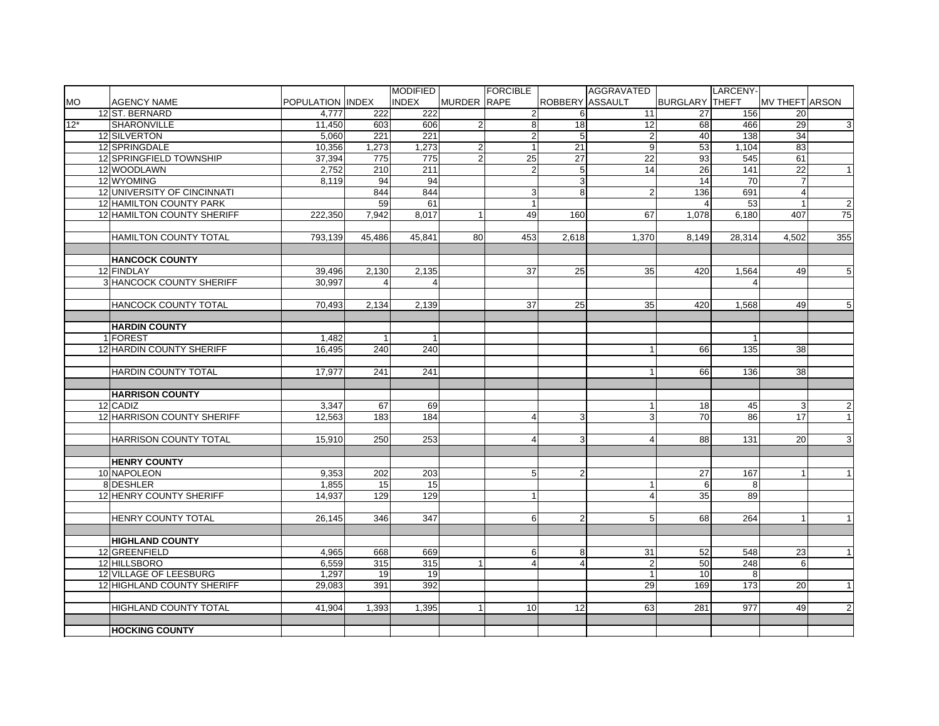|           |                                             |                   |                      | <b>MODIFIED</b>     |                    | <b>FORCIBLE</b> |                 | AGGRAVATED              |                       | LARCENY-                |                       |                |
|-----------|---------------------------------------------|-------------------|----------------------|---------------------|--------------------|-----------------|-----------------|-------------------------|-----------------------|-------------------------|-----------------------|----------------|
| <b>MO</b> | <b>AGENCY NAME</b>                          | POPULATION IINDEX |                      | <b>INDEX</b>        | <b>MURDER RAPE</b> |                 | ROBBERY ASSAULT |                         | <b>BURGLARY THEFT</b> |                         | <b>MV THEFT ARSON</b> |                |
|           | 12 ST. BERNARD                              | 4.777             | 222                  | 222                 |                    | $\overline{2}$  | 6               | 11                      | 27                    | 156                     | 20                    |                |
| $12*$     | <b>SHARONVILLE</b>                          | 11,450            | 603                  | 606                 | $\overline{2}$     | 8               | 18              | 12                      | 68                    | 466                     | 29                    | $\overline{3}$ |
|           | 12 SILVERTON                                | 5,060             | 221                  | 221                 |                    | $\overline{2}$  | 5               | $\overline{2}$          | 40                    | 138                     | 34                    |                |
|           | 12 SPRINGDALE                               | 10,356            | 1,273                | 1,273               | $\overline{c}$     | $\mathbf{1}$    | 21              | 9                       | 53                    | 1,104                   | 83                    |                |
|           | 12 SPRINGFIELD TOWNSHIP                     | 37,394            | 775                  | 775                 | $\overline{2}$     | 25              | $\overline{27}$ | $\overline{22}$         | 93                    | 545                     | 61                    |                |
|           | 12 WOODLAWN                                 | 2,752             | 210                  | 211                 |                    | $\overline{2}$  | 5               | 14                      | 26                    | 141                     | $\overline{22}$       | $\mathbf{1}$   |
|           | 12 WYOMING                                  | 8,119             | 94                   | 94                  |                    |                 | 3               |                         | 14                    | $\overline{70}$         |                       |                |
|           | 12 UNIVERSITY OF CINCINNATI                 |                   | 844                  | 844                 |                    | $\mathbf{3}$    | 8               | $\overline{2}$          | 136                   | 691                     | $\overline{4}$        |                |
|           | 12 HAMILTON COUNTY PARK                     |                   | 59                   | 61                  |                    | $\mathbf{1}$    |                 |                         | $\overline{a}$        | 53                      |                       | $\overline{2}$ |
|           | <b>12 HAMILTON COUNTY SHERIFF</b>           | 222.350           | 7.942                | 8.017               | $\mathbf{1}$       | 49              | 160             | 67                      | 1.078                 | 6.180                   | 407                   | 75             |
|           |                                             |                   |                      |                     |                    |                 |                 |                         |                       |                         |                       |                |
|           | <b>HAMILTON COUNTY TOTAL</b>                | 793,139           | 45.486               | 45.841              | 80                 | 453             | 2,618           | 1,370                   | 8.149                 | 28,314                  | 4.502                 | 355            |
|           |                                             |                   |                      |                     |                    |                 |                 |                         |                       |                         |                       |                |
|           | <b>HANCOCK COUNTY</b>                       |                   |                      |                     |                    |                 |                 |                         |                       |                         |                       |                |
|           | 12 FINDLAY                                  | 39,496            | 2,130                | 2,135               |                    | 37              | 25              | 35                      | 420                   | 1,564                   | 49                    | 5 <sub>5</sub> |
|           | <b>3 HANCOCK COUNTY SHERIFF</b>             | 30.997            | $\overline{4}$       | $\overline{4}$      |                    |                 |                 |                         |                       | $\overline{\mathbf{A}}$ |                       |                |
|           |                                             |                   |                      |                     |                    |                 |                 |                         |                       |                         |                       |                |
|           | HANCOCK COUNTY TOTAL                        | 70,493            | 2,134                | 2,139               |                    | 37              | 25              | 35                      | 420                   | 1,568                   | 49                    | 5 <sub>5</sub> |
|           | <b>HARDIN COUNTY</b>                        |                   |                      |                     |                    |                 |                 |                         |                       |                         |                       |                |
|           |                                             |                   | $\blacktriangleleft$ |                     |                    |                 |                 |                         |                       |                         |                       |                |
|           | 1 FOREST<br><b>12 HARDIN COUNTY SHERIFF</b> | 1.482             | 240                  | $\mathbf{1}$<br>240 |                    |                 |                 | $\mathbf{1}$            |                       | 135                     | 38                    |                |
|           |                                             | 16.495            |                      |                     |                    |                 |                 |                         | 66                    |                         |                       |                |
|           | <b>HARDIN COUNTY TOTAL</b>                  | 17.977            | 241                  | 241                 |                    |                 |                 | $\mathbf{1}$            | 66                    | 136                     | 38                    |                |
|           |                                             |                   |                      |                     |                    |                 |                 |                         |                       |                         |                       |                |
|           | <b>HARRISON COUNTY</b>                      |                   |                      |                     |                    |                 |                 |                         |                       |                         |                       |                |
|           | 12 CADIZ                                    | 3,347             | 67                   | 69                  |                    |                 |                 |                         | 18                    | 45                      | 3                     | $2 \vert$      |
|           | 12 HARRISON COUNTY SHERIFF                  | 12,563            | 183                  | 184                 |                    | $\overline{4}$  | 3               | 3                       | 70                    | 86                      | 17                    | $\overline{1}$ |
|           |                                             |                   |                      |                     |                    |                 |                 |                         |                       |                         |                       |                |
|           | HARRISON COUNTY TOTAL                       | 15,910            | 250                  | 253                 |                    | $\overline{4}$  | 3 <sup>1</sup>  | $\overline{4}$          | 88                    | 131                     | 20                    | $\overline{3}$ |
|           |                                             |                   |                      |                     |                    |                 |                 |                         |                       |                         |                       |                |
|           | <b>HENRY COUNTY</b>                         |                   |                      |                     |                    |                 |                 |                         |                       |                         |                       |                |
|           | 10 NAPOLEON                                 | 9.353             | 202                  | 203                 |                    | 5               | 2               |                         | 27                    | 167                     |                       | $\overline{1}$ |
|           | 8 DESHLER                                   | 1,855             | 15 <sup>1</sup>      | 15                  |                    |                 |                 | 1                       | 6                     | 8                       |                       |                |
|           | 12 HENRY COUNTY SHERIFF                     | 14.937            | 129                  | 129                 |                    | $\vert$ 1       |                 | $\overline{\mathbf{4}}$ | 35                    | 89                      |                       |                |
|           |                                             |                   |                      |                     |                    |                 |                 |                         |                       |                         |                       |                |
|           | <b>HENRY COUNTY TOTAL</b>                   | 26,145            | 346                  | $\overline{347}$    |                    | 6               | $\overline{2}$  | 5                       | 68                    | 264                     | $\mathbf{1}$          | $\mathbf{1}$   |
|           |                                             |                   |                      |                     |                    |                 |                 |                         |                       |                         |                       |                |
|           | <b>HIGHLAND COUNTY</b>                      |                   |                      |                     |                    |                 |                 |                         |                       |                         |                       |                |
|           | 12 GREENFIELD                               | 4,965             | 668                  | 669                 |                    | 6               | 8               | 31                      | 52                    | 548                     | 23                    | $\mathbf{1}$   |
|           | 12 HILLSBORO                                | 6,559             | 315                  | 315                 | $\overline{1}$     | $\overline{a}$  | 4               | $\overline{2}$          | 50                    | 248                     | 6                     |                |
|           | 12 VILLAGE OF LEESBURG                      | 1,297             | 19                   | 19                  |                    |                 |                 | $\mathbf{1}$            | 10                    | 8                       |                       |                |
|           | 12 HIGHLAND COUNTY SHERIFF                  | 29,083            | 391                  | 392                 |                    |                 |                 | 29                      | 169                   | 173                     | 20                    | $\vert$ 1      |
|           |                                             |                   |                      |                     |                    |                 |                 |                         |                       |                         |                       |                |
|           | <b>HIGHLAND COUNTY TOTAL</b>                | 41.904            | 1.393                | 1,395               | 1 <sup>1</sup>     | 10              | 12              | 63                      | 281                   | 977                     | 49                    | $\overline{2}$ |
|           |                                             |                   |                      |                     |                    |                 |                 |                         |                       |                         |                       |                |
|           | <b>HOCKING COUNTY</b>                       |                   |                      |                     |                    |                 |                 |                         |                       |                         |                       |                |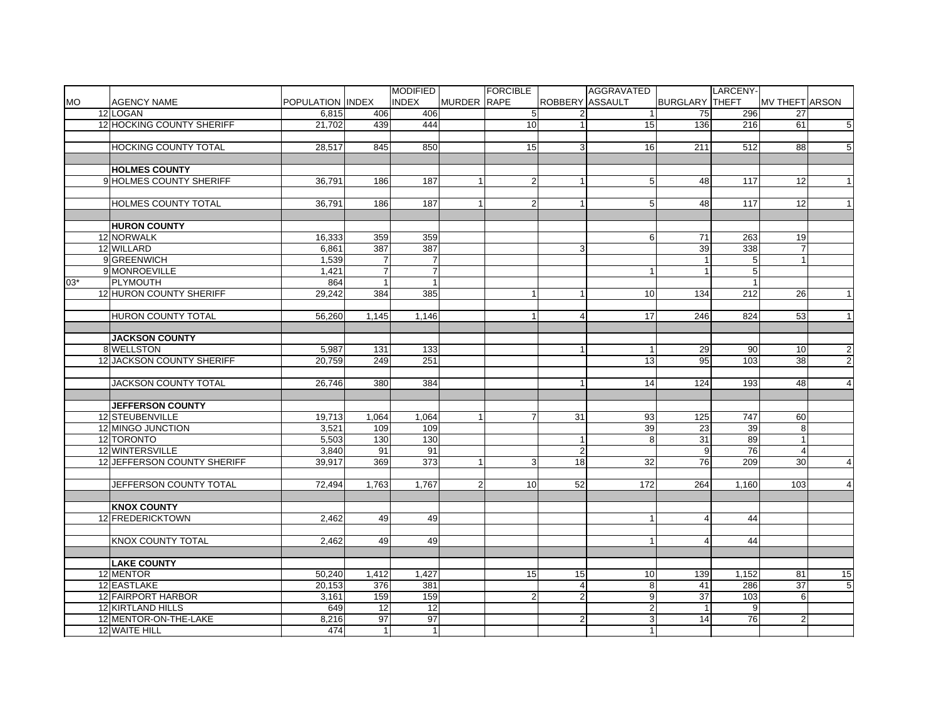|           |                                  |                  |                 | <b>MODIFIED</b> |                    | <b>FORCIBLE</b> |                 | AGGRAVATED      |                       | LARCENY-       |                       |                 |
|-----------|----------------------------------|------------------|-----------------|-----------------|--------------------|-----------------|-----------------|-----------------|-----------------------|----------------|-----------------------|-----------------|
| <b>MO</b> | <b>AGENCY NAME</b>               | POPULATION INDEX |                 | <b>INDEX</b>    | <b>MURDER RAPE</b> |                 | ROBBERY ASSAULT |                 | <b>BURGLARY THEFT</b> |                | <b>MV THEFT ARSON</b> |                 |
|           | 12 LOGAN                         | 6.815            | 406             | 406             |                    | 5               |                 | $\mathbf{1}$    | 75                    | 296            | 27                    |                 |
|           | 12 HOCKING COUNTY SHERIFF        | 21,702           | 439             | 444             |                    | 10              | $\mathbf{1}$    | 15              | 136                   | 216            | 61                    | 5               |
|           |                                  |                  |                 |                 |                    |                 |                 |                 |                       |                |                       |                 |
|           | <b>HOCKING COUNTY TOTAL</b>      | 28,517           | 845             | 850             |                    | 15              | 3               | 16              | 211                   | 512            | 88                    | 5 <sup>1</sup>  |
|           |                                  |                  |                 |                 |                    |                 |                 |                 |                       |                |                       |                 |
|           | <b>HOLMES COUNTY</b>             |                  |                 |                 |                    |                 |                 |                 |                       |                |                       |                 |
|           | 9 HOLMES COUNTY SHERIFF          | 36,791           | 186             | 187             | $\mathbf{1}$       | $\overline{2}$  | 1               | 5               | 48                    | 117            | 12                    | 1               |
|           |                                  |                  |                 |                 |                    |                 |                 |                 |                       |                |                       |                 |
|           | <b>HOLMES COUNTY TOTAL</b>       | 36,791           | 186             | 187             | 1                  | $\overline{2}$  | $\mathbf{1}$    | 5               | 48                    | 117            | 12                    | 1               |
|           |                                  |                  |                 |                 |                    |                 |                 |                 |                       |                |                       |                 |
|           | <b>HURON COUNTY</b>              |                  |                 |                 |                    |                 |                 |                 |                       |                |                       |                 |
|           | 12 NORWALK                       | 16,333           | 359             | 359             |                    |                 |                 | 6               | 71                    | 263            | 19                    |                 |
|           | 12 WILLARD                       | 6,861            | 387             | 387             |                    |                 | 3               |                 | 39                    | 338            |                       |                 |
|           | 9 GREENWICH                      | 1,539            | $\overline{7}$  | $\overline{7}$  |                    |                 |                 |                 | $\overline{1}$        | 5 <sup>1</sup> | $\mathbf{1}$          |                 |
|           | 9 MONROEVILLE                    | 1,421            | $\overline{7}$  | $\overline{7}$  |                    |                 |                 | -1              |                       | 5 <sub>5</sub> |                       |                 |
| $03*$     | PLYMOUTH                         | 864              | $\mathbf{1}$    | $\mathbf{1}$    |                    |                 |                 |                 |                       | $\mathbf{1}$   |                       |                 |
|           | 12 HURON COUNTY SHERIFF          | 29,242           | 384             | 385             |                    | $\mathbf{1}$    | $\mathbf{1}$    | 10              | 134                   | 212            | 26                    | $\overline{1}$  |
|           |                                  |                  |                 |                 |                    |                 |                 |                 |                       |                |                       |                 |
|           | HURON COUNTY TOTAL               | 56,260           | 1,145           | 1,146           |                    | $\mathbf{1}$    | 4               | 17              | 246                   | 824            | 53                    | $\vert$ 1       |
|           |                                  |                  |                 |                 |                    |                 |                 |                 |                       |                |                       |                 |
|           | <b>JACKSON COUNTY</b>            |                  |                 |                 |                    |                 |                 |                 |                       |                |                       |                 |
|           | 8 WELLSTON                       | 5.987            | 131             | 133             |                    |                 | $\overline{1}$  | $\overline{1}$  | 29                    | 90             | 10                    | $\overline{2}$  |
|           | <b>12 JACKSON COUNTY SHERIFF</b> | 20,759           | 249             | 251             |                    |                 |                 | $\overline{13}$ | 95                    | 103            | 38                    | $\overline{2}$  |
|           |                                  |                  |                 |                 |                    |                 |                 |                 |                       |                |                       |                 |
|           | JACKSON COUNTY TOTAL             | 26,746           | 380             | 384             |                    |                 | -1              | 14              | 124                   | 193            | 48                    | $\overline{4}$  |
|           |                                  |                  |                 |                 |                    |                 |                 |                 |                       |                |                       |                 |
|           | <b>JEFFERSON COUNTY</b>          |                  |                 |                 |                    |                 |                 |                 |                       |                |                       |                 |
|           | 12 STEUBENVILLE                  | 19,713           | 1,064           | 1,064           | $\mathbf{1}$       | $\overline{7}$  | 31              | 93              | 125                   | 747            | 60                    |                 |
|           | 12 MINGO JUNCTION                | 3,521            | 109             | 109             |                    |                 |                 | 39              | 23                    | 39             | 8                     |                 |
|           | 12 TORONTO                       | 5,503            | 130             | 130             |                    |                 | $\mathbf{1}$    | 8               | $\overline{31}$       | 89             | $\mathbf{1}$          |                 |
|           | 12 WINTERSVILLE                  | 3.840            | 91              | 91              |                    |                 | $\overline{2}$  |                 | 9                     | 76             | $\overline{4}$        |                 |
|           | 12 JEFFERSON COUNTY SHERIFF      | 39.917           | 369             | 373             | 1                  | 3               | 18              | 32              | 76                    | 209            | 30                    | $\overline{4}$  |
|           |                                  |                  |                 |                 |                    |                 |                 |                 |                       |                |                       |                 |
|           | JEFFERSON COUNTY TOTAL           | 72,494           | 1,763           | 1,767           | 2 <sub>l</sub>     | 10              | 52              | 172             | 264                   | 1,160          | 103                   | $\overline{4}$  |
|           |                                  |                  |                 |                 |                    |                 |                 |                 |                       |                |                       |                 |
|           | <b>KNOX COUNTY</b>               |                  |                 |                 |                    |                 |                 |                 |                       |                |                       |                 |
|           | 12 FREDERICKTOWN                 | 2,462            | 49              | 49              |                    |                 |                 | $\overline{1}$  |                       | 44             |                       |                 |
|           |                                  |                  |                 |                 |                    |                 |                 |                 |                       |                |                       |                 |
|           | <b>KNOX COUNTY TOTAL</b>         | 2.462            | 49              | 49              |                    |                 |                 | $\mathbf{1}$    | 4                     | 44             |                       |                 |
|           |                                  |                  |                 |                 |                    |                 |                 |                 |                       |                |                       |                 |
|           | <b>LAKE COUNTY</b>               |                  |                 |                 |                    |                 |                 |                 |                       |                |                       |                 |
|           | 12 MENTOR                        | 50,240           | 1,412           | 1,427           |                    | 15              | 15              | 10              | 139                   | 1,152          | 81                    | 15              |
|           | 12 EASTLAKE                      | 20,153           | 376             | 381             |                    |                 | $\overline{4}$  | 8               | 41                    | 286            | $\overline{37}$       | $5\overline{)}$ |
|           | 12 FAIRPORT HARBOR               | 3,161            | 159             | 159             |                    | $\overline{2}$  | $\overline{2}$  | 9               | $\overline{37}$       | 103            | 6                     |                 |
|           | 12 KIRTLAND HILLS                | 649              | 12              | $\overline{12}$ |                    |                 |                 | $\overline{c}$  |                       | 9              |                       |                 |
|           | 12 MENTOR-ON-THE-LAKE            | 8,216            | $\overline{97}$ | $\overline{97}$ |                    |                 | $\overline{2}$  | 3               | 14                    | 76             | $\overline{2}$        |                 |
|           | 12 WAITE HILL                    | 474              | 1               | $\mathbf{1}$    |                    |                 |                 | $\mathbf{1}$    |                       |                |                       |                 |
|           |                                  |                  |                 |                 |                    |                 |                 |                 |                       |                |                       |                 |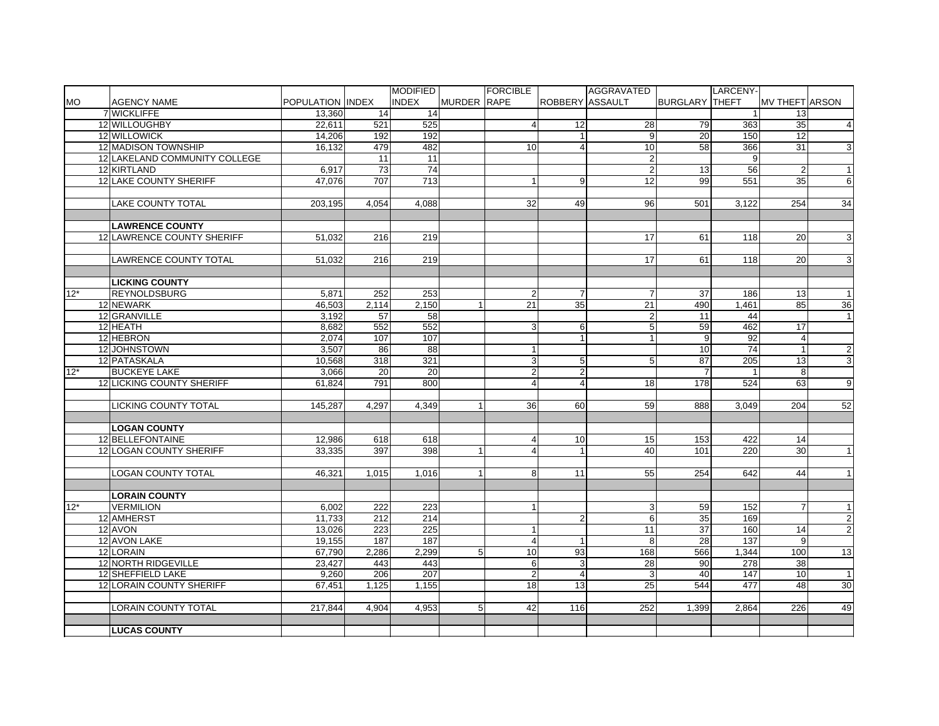|           |                               |                  |                  | <b>MODIFIED</b>  |                    | <b>FORCIBLE</b>         |                 | AGGRAVATED      |                       | LARCENY- |                       |                  |
|-----------|-------------------------------|------------------|------------------|------------------|--------------------|-------------------------|-----------------|-----------------|-----------------------|----------|-----------------------|------------------|
| <b>MO</b> | <b>AGENCY NAME</b>            | POPULATION INDEX |                  | <b>INDEX</b>     | <b>MURDER RAPE</b> |                         | ROBBERY ASSAULT |                 | <b>BURGLARY THEFT</b> |          | <b>MV THEFT ARSON</b> |                  |
|           | 7 WICKLIFFE                   | 13,360           | 14               | 14               |                    |                         |                 |                 |                       |          | 13                    |                  |
|           | 12 WILLOUGHBY                 | 22,611           | 521              | 525              |                    | $\overline{4}$          | 12              | 28              | 79                    | 363      | 35                    | $\overline{4}$   |
|           | 12 WILLOWICK                  | 14,206           | 192              | 192              |                    |                         |                 | 9               | 20                    | 150      | 12                    |                  |
|           | 12 MADISON TOWNSHIP           | 16,132           | 479              | 482              |                    | 10                      | 4               | $\overline{10}$ | 58                    | 366      | 31                    | 3                |
|           | 12 LAKELAND COMMUNITY COLLEGE |                  | 11               | 11               |                    |                         |                 | $\overline{2}$  |                       | 9        |                       |                  |
|           | 12 KIRTLAND                   | 6,917            | 73               | 74               |                    |                         |                 | $\overline{2}$  | 13                    | 56       | $\overline{2}$        | $\vert$ 1        |
|           | 12 LAKE COUNTY SHERIFF        | 47,076           | 707              | $\overline{713}$ |                    | $\overline{1}$          | 9               | 12              | 99                    | 551      | 35                    | $6 \overline{6}$ |
|           |                               |                  |                  |                  |                    |                         |                 |                 |                       |          |                       |                  |
|           | <b>LAKE COUNTY TOTAL</b>      | 203.195          | 4.054            | 4.088            |                    | 32                      | 49              | 96              | 501                   | 3.122    | 254                   | 34               |
|           |                               |                  |                  |                  |                    |                         |                 |                 |                       |          |                       |                  |
|           | <b>LAWRENCE COUNTY</b>        |                  |                  |                  |                    |                         |                 |                 |                       |          |                       |                  |
|           | 12 LAWRENCE COUNTY SHERIFF    | 51.032           | 216              | 219              |                    |                         |                 | 17              | 61                    | 118      | 20                    | 3 <sup>1</sup>   |
|           |                               |                  |                  |                  |                    |                         |                 |                 |                       |          |                       |                  |
|           | LAWRENCE COUNTY TOTAL         | 51,032           | 216              | 219              |                    |                         |                 | 17              | 61                    | 118      | 20                    | $\overline{3}$   |
|           |                               |                  |                  |                  |                    |                         |                 |                 |                       |          |                       |                  |
|           | <b>LICKING COUNTY</b>         |                  |                  |                  |                    |                         |                 |                 |                       |          |                       |                  |
| $12*$     | REYNOLDSBURG                  | 5,871            | 252              | 253              |                    | $\overline{2}$          | $\overline{7}$  | $\overline{7}$  | 37                    | 186      | 13                    | $\vert$ 1        |
|           | 12 NEWARK                     | 46,503           | 2,114            | 2,150            | 1                  | $\overline{21}$         | 35              | $\overline{21}$ | 490                   | 1,461    | 85                    | 36               |
|           | 12 GRANVILLE                  | 3,192            | 57               | 58               |                    |                         |                 | $\overline{2}$  | 11                    | 44       |                       | $\vert$ 1        |
|           | 12 HEATH                      | 8,682            | 552              | 552              |                    | $\mathbf{3}$            | 6               | $\overline{5}$  | 59                    | 462      | 17                    |                  |
|           | 12 HEBRON                     | 2.074            | 107              | 107              |                    |                         | $\mathbf{1}$    | $\overline{1}$  | 9                     | 92       | $\overline{4}$        |                  |
|           | 12 JOHNSTOWN                  | 3.507            | 86               | 88               |                    | $\mathbf{1}$            |                 |                 | 10                    | 74       |                       | $2 \vert$        |
|           | 12 PATASKALA                  | 10,568           | 318              | 321              |                    | $\mathbf{3}$            | 5               | 5               | 87                    | 205      | 13                    | 3 <sup>1</sup>   |
| $12*$     | <b>BUCKEYE LAKE</b>           | 3,066            | <b>20</b>        | 20               |                    | $\overline{2}$          | $\overline{2}$  |                 | $\overline{7}$        |          | 8                     |                  |
|           | 12 LICKING COUNTY SHERIFF     | 61,824           | 791              | 800              |                    | $\overline{4}$          | $\overline{4}$  | $\overline{18}$ | 178                   | 524      | 63                    | 9                |
|           |                               |                  |                  |                  |                    |                         |                 |                 |                       |          |                       |                  |
|           | <b>LICKING COUNTY TOTAL</b>   | 145,287          | 4,297            | 4,349            | $\mathbf{1}$       | 36                      | 60              | 59              | 888                   | 3,049    | 204                   | 52               |
|           |                               |                  |                  |                  |                    |                         |                 |                 |                       |          |                       |                  |
|           | <b>LOGAN COUNTY</b>           |                  |                  |                  |                    |                         |                 |                 |                       |          |                       |                  |
|           | 12 BELLEFONTAINE              | 12,986           | 618              | 618              |                    | $\overline{4}$          | 10              | 15              | 153                   | 422      | 14                    |                  |
|           | 12 LOGAN COUNTY SHERIFF       | 33,335           | 397              | 398              | 1                  | $\overline{\mathbf{A}}$ | $\mathbf{1}$    | 40              | 101                   | 220      | 30                    | $\vert$ 1        |
|           |                               |                  |                  |                  |                    |                         |                 |                 |                       |          |                       |                  |
|           | <b>LOGAN COUNTY TOTAL</b>     | 46.321           | 1.015            | 1.016            | 1                  | 8                       | 11              | 55              | 254                   | 642      | 44                    | $\vert$ 1        |
|           |                               |                  |                  |                  |                    |                         |                 |                 |                       |          |                       |                  |
|           | <b>LORAIN COUNTY</b>          |                  |                  |                  |                    |                         |                 |                 |                       |          |                       |                  |
| $12*$     | <b>VERMILION</b>              | 6,002            | 222              | 223              |                    | $\mathbf{1}$            |                 | 3               | 59                    | 152      | $\overline{7}$        | $\overline{1}$   |
|           | 12 AMHERST                    | 11,733           | $\overline{212}$ | 214              |                    |                         | $\overline{2}$  | $\overline{6}$  | 35                    | 169      |                       | $\overline{2}$   |
|           | 12 AVON                       | 13,026           | 223              | 225              |                    | $\mathbf{1}$            |                 | 11              | 37                    | 160      | 14                    | $\overline{2}$   |
|           | 12 AVON LAKE                  | 19,155           | 187              | 187              |                    | $\overline{4}$          | $\mathbf{1}$    | 8               | 28                    | 137      | 9                     |                  |
|           | 12 LORAIN                     | 67,790           | 2,286            | 2,299            | $5\overline{)}$    | 10                      | 93              | 168             | 566                   | 1,344    | 100                   | 13               |
|           | 12 NORTH RIDGEVILLE           | 23,427           | 443              | 443              |                    | 6                       | 3               | 28              | 90                    | 278      | 38                    |                  |
|           | 12 SHEFFIELD LAKE             | 9,260            | 206              | 207              |                    | $\mathbf 2$             | $\overline{4}$  | 3               | 40                    | 147      | 10                    | $\vert$ 1        |
|           | 12 LORAIN COUNTY SHERIFF      | 67.451           | 1,125            | 1,155            |                    | 18                      | 13              | $\overline{25}$ | 544                   | 477      | 48                    | 30               |
|           | <b>LORAIN COUNTY TOTAL</b>    | 217.844          |                  | 4,953            | 5 <sub>1</sub>     | 42                      | 116             | 252             | 1.399                 |          | 226                   | 49               |
|           |                               |                  | 4.904            |                  |                    |                         |                 |                 |                       | 2.864    |                       |                  |
|           |                               |                  |                  |                  |                    |                         |                 |                 |                       |          |                       |                  |
|           | <b>LUCAS COUNTY</b>           |                  |                  |                  |                    |                         |                 |                 |                       |          |                       |                  |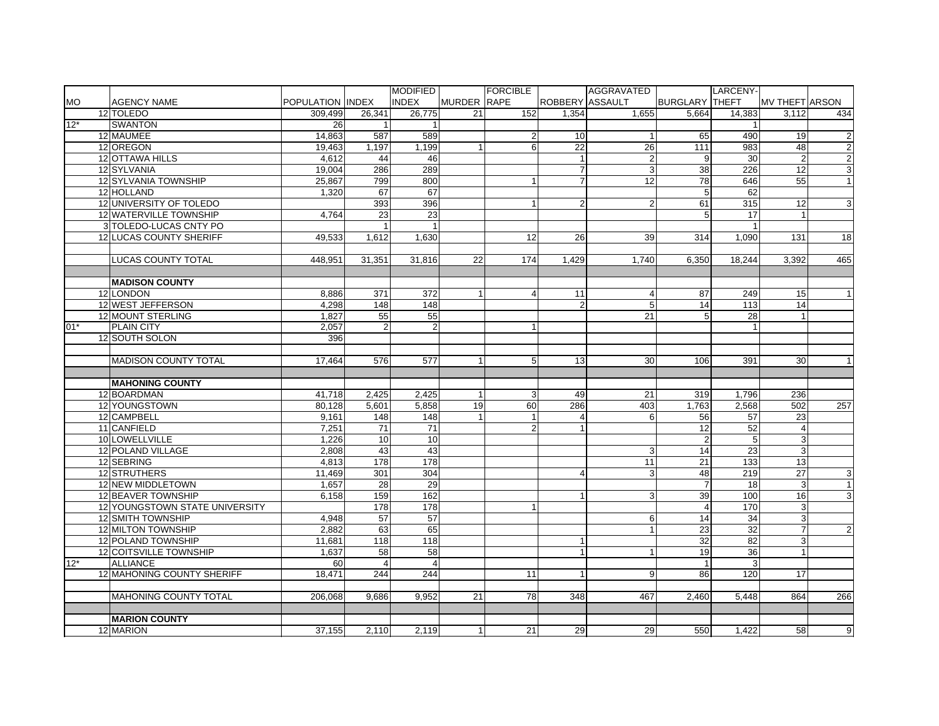|           |                                |                  |                 | <b>MODIFIED</b> |                    | <b>FORCIBLE</b> |                 | AGGRAVATED      |                       | LARCENY-        |                       |                |
|-----------|--------------------------------|------------------|-----------------|-----------------|--------------------|-----------------|-----------------|-----------------|-----------------------|-----------------|-----------------------|----------------|
| <b>MO</b> | <b>AGENCY NAME</b>             | POPULATION INDEX |                 | <b>INDEX</b>    | <b>MURDER RAPE</b> |                 | ROBBERY ASSAULT |                 | <b>BURGLARY THEFT</b> |                 | <b>MV THEFT ARSON</b> |                |
|           | 12 TOLEDO                      | 309,499          | 26,341          | 26,775          | 21                 | 152             | 1,354           | 1.655           | 5,664                 | 14,383          | 3,112                 | 434            |
| $12*$     | <b>SWANTON</b>                 | 26               | $\mathbf{1}$    |                 |                    |                 |                 |                 |                       |                 |                       |                |
|           | 12 MAUMEE                      | 14,863           | 587             | 589             |                    | $\overline{2}$  | 10              | $\overline{1}$  | 65                    | 490             | 19                    | 2              |
|           | 12 OREGON                      | 19,463           | 1,197           | 1,199           | $\mathbf{1}$       | $6 \,$          | 22              | 26              | 111                   | 983             | 48                    | $\overline{2}$ |
|           | 12 OTTAWA HILLS                | 4,612            | 44              | 46              |                    |                 |                 | $\overline{2}$  | 9                     | 30              |                       | $\overline{2}$ |
|           | 12 SYLVANIA                    | 19,004           | 286             | 289             |                    |                 |                 | 3               | $\overline{38}$       | 226             | 12                    | $\mathbf{3}$   |
|           | 12 SYLVANIA TOWNSHIP           | 25,867           | 799             | 800             |                    |                 |                 | $\overline{12}$ | 78                    | 646             | 55                    | $\overline{1}$ |
|           | 12 HOLLAND                     | 1,320            | 67              | 67              |                    |                 |                 |                 | 5                     | 62              |                       |                |
|           | 12 UNIVERSITY OF TOLEDO        |                  | 393             | 396             |                    |                 | $\overline{2}$  | $\overline{2}$  | 61                    | 315             | 12                    | $\overline{3}$ |
|           | 12 WATERVILLE TOWNSHIP         | 4.764            | 23              | $\overline{23}$ |                    |                 |                 |                 | 5                     | 17              |                       |                |
|           | 3 TOLEDO-LUCAS CNTY PO         |                  |                 | $\overline{1}$  |                    |                 |                 |                 |                       | $\overline{1}$  |                       |                |
|           | <b>12 LUCAS COUNTY SHERIFF</b> | 49.533           | 1.612           | 1.630           |                    | 12              | 26              | 39              | 314                   | 1.090           | 131                   | 18             |
|           |                                |                  |                 |                 |                    |                 |                 |                 |                       |                 |                       |                |
|           | <b>LUCAS COUNTY TOTAL</b>      | 448.951          | 31,351          | 31.816          | 22                 | 174             | 1.429           | 1.740           | 6.350                 | 18.244          | 3.392                 | 465            |
|           |                                |                  |                 |                 |                    |                 |                 |                 |                       |                 |                       |                |
|           | <b>MADISON COUNTY</b>          |                  |                 |                 |                    |                 |                 |                 |                       |                 |                       |                |
|           | 12 LONDON                      | 8,886            | 371             | 372             | 1                  | $\overline{4}$  | 11              | 4               | 87                    | 249             | 15                    | $\overline{1}$ |
|           | 12 WEST JEFFERSON              | 4,298            | 148             | 148             |                    |                 | $\overline{2}$  | 5               | 14                    | 113             | 14                    |                |
|           | 12 MOUNT STERLING              | 1,827            | 55              | 55              |                    |                 |                 | 21              | 5                     | 28              |                       |                |
| $01*$     | <b>PLAIN CITY</b>              | 2.057            | 2               | $\overline{2}$  |                    | $\mathbf{1}$    |                 |                 |                       |                 |                       |                |
|           | 12 SOUTH SOLON                 | 396              |                 |                 |                    |                 |                 |                 |                       |                 |                       |                |
|           |                                |                  |                 |                 |                    |                 |                 |                 |                       |                 |                       |                |
|           | <b>MADISON COUNTY TOTAL</b>    | 17.464           | 576             | 577             | 1                  | 5               | 13              | 30              | 106                   | 391             | 30                    | $\overline{1}$ |
|           |                                |                  |                 |                 |                    |                 |                 |                 |                       |                 |                       |                |
|           | <b>MAHONING COUNTY</b>         |                  |                 |                 |                    |                 |                 |                 |                       |                 |                       |                |
|           | 12 BOARDMAN                    | 41,718           | 2,425           | 2,425           | $\mathbf{1}$       | 3               | 49              | 21              | 319                   | 1,796           | 236                   |                |
|           | 12 YOUNGSTOWN                  | 80,128           | 5,601           | 5,858           | 19                 | 60              | 286             | 403             | 1,763                 | 2,568           | 502                   | 257            |
|           | 12 CAMPBELL                    | 9,161            | 148             | 148             |                    | $\overline{1}$  | 4               | 6               | 56                    | 57              | $\overline{23}$       |                |
|           | 11 CANFIELD                    | 7,251            | 71              | 71              |                    | $\overline{2}$  |                 |                 | 12                    | 52              | $\overline{4}$        |                |
|           | 10 LOWELLVILLE                 | 1,226            | 10              | 10              |                    |                 |                 |                 | $\overline{2}$        | $\overline{5}$  | 3                     |                |
|           | 12 POLAND VILLAGE              | 2,808            | 43              | 43              |                    |                 |                 | 3               | 14                    | 23              | 3                     |                |
|           | 12 SEBRING                     | 4,813            | 178             | 178             |                    |                 |                 | $\overline{11}$ | 21                    | 133             | 13                    |                |
|           | 12 STRUTHERS                   | 11.469           | 301             | 304             |                    |                 | 4               | 3               | 48                    | 219             | $\overline{27}$       | $\mathbf{3}$   |
|           | 12 NEW MIDDLETOWN              | 1,657            | 28              | 29              |                    |                 |                 |                 | $\overline{7}$        | 18              | 3                     | $\vert$ 1      |
|           | 12 BEAVER TOWNSHIP             | 6.158            | 159             | 162             |                    |                 | $\mathbf{1}$    | 3               | 39                    | 100             | 16                    | $\mathbf{3}$   |
|           | 12 YOUNGSTOWN STATE UNIVERSITY |                  | 178             | 178             |                    | $\mathbf{1}$    |                 |                 | $\overline{4}$        | 170             | 3                     |                |
|           | <b>12 SMITH TOWNSHIP</b>       | 4.948            | $\overline{57}$ | $\overline{57}$ |                    |                 |                 | 6               | 14                    | $\overline{34}$ | 3                     |                |
|           | 12 MILTON TOWNSHIP             | 2,882            | 63              | 65              |                    |                 |                 | 1               | 23                    | 32              | $\overline{7}$        | $\overline{2}$ |
|           | 12 POLAND TOWNSHIP             | 11,681           | 118             | 118             |                    |                 | $\mathbf{1}$    |                 | 32                    | 82              | 3                     |                |
|           | 12 COITSVILLE TOWNSHIP         | 1,637            | 58              | 58              |                    |                 | $\mathbf{1}$    | $\mathbf{1}$    | 19                    | 36              | $\mathbf{1}$          |                |
| $12*$     | <b>ALLIANCE</b>                | 60               | $\overline{4}$  | $\overline{4}$  |                    |                 |                 |                 | $\overline{1}$        | 3               |                       |                |
|           | 12 MAHONING COUNTY SHERIFF     | 18,471           | 244             | 244             |                    | 11              | $\mathbf{1}$    | 9               | 86                    | 120             | 17                    |                |
|           |                                |                  |                 |                 |                    |                 |                 |                 |                       |                 |                       |                |
|           | <b>MAHONING COUNTY TOTAL</b>   | 206.068          | 9.686           | 9.952           | 21                 | 78              | 348             | 467             | 2.460                 | 5.448           | 864                   | 266            |
|           |                                |                  |                 |                 |                    |                 |                 |                 |                       |                 |                       |                |
|           | <b>MARION COUNTY</b>           |                  |                 |                 |                    |                 |                 |                 |                       |                 |                       |                |
|           | 12 MARION                      | 37,155           | 2,110           | 2,119           | 1 <sup>1</sup>     | 21              | 29              | 29              | 550                   | 1,422           | 58                    | 9              |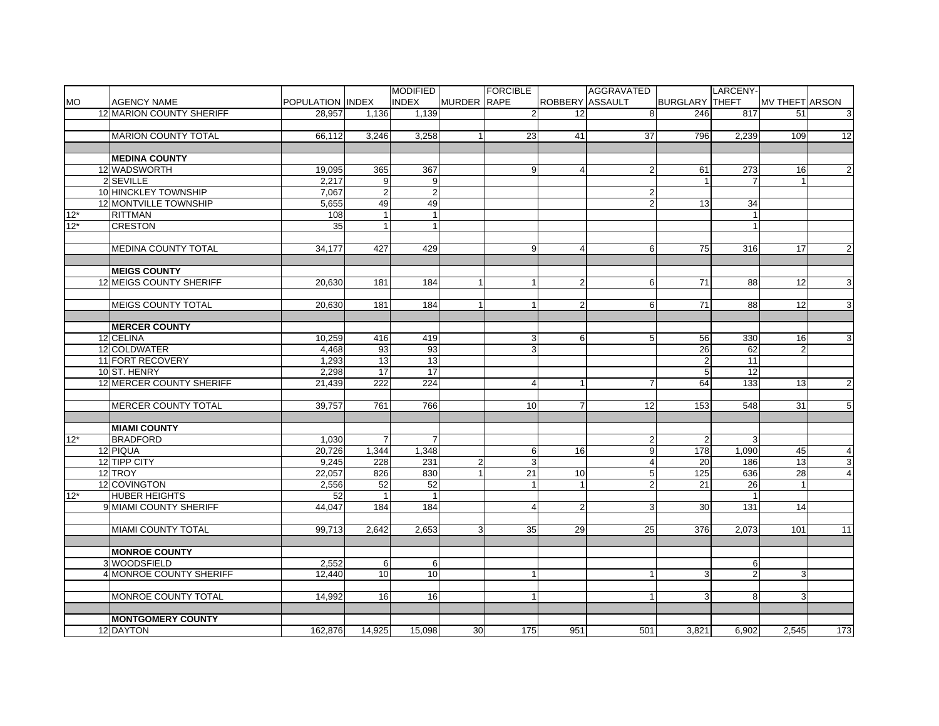|           |                                        |                  |                 | <b>MODIFIED</b>  |                                  | FORCIBLE       |                 | AGGRAVATED          |                       | LARCENY-        |                       |                |
|-----------|----------------------------------------|------------------|-----------------|------------------|----------------------------------|----------------|-----------------|---------------------|-----------------------|-----------------|-----------------------|----------------|
| <b>MO</b> | <b>AGENCY NAME</b>                     | POPULATION INDEX |                 | <b>INDEX</b>     | MURDER RAPE                      |                |                 | ROBBERY ASSAULT     | <b>BURGLARY THEFT</b> |                 | <b>MV THEFT ARSON</b> |                |
|           | <b>12 MARION COUNTY SHERIFF</b>        | 28,957           | 1,136           | 1,139            |                                  | $\overline{2}$ | $\overline{12}$ | 8                   | 246                   | 817             | 51                    | 3              |
|           |                                        |                  |                 |                  |                                  |                |                 |                     |                       |                 |                       |                |
|           | <b>MARION COUNTY TOTAL</b>             | 66.112           | 3,246           | 3,258            | 1 <sup>1</sup>                   | 23             | 41              | 37                  | 796                   | 2,239           | 109                   | 12             |
|           |                                        |                  |                 |                  |                                  |                |                 |                     |                       |                 |                       |                |
|           | <b>MEDINA COUNTY</b>                   |                  |                 |                  |                                  |                |                 |                     |                       |                 |                       |                |
|           | 12 WADSWORTH                           | 19,095           | 365             | 367              |                                  | 9              | 4               | $\overline{2}$      | 61                    | 273             | 16                    | $\overline{2}$ |
|           | 2 SEVILLE                              | 2,217            | 9               | 9                |                                  |                |                 |                     |                       | $\overline{7}$  |                       |                |
|           | 10 HINCKLEY TOWNSHIP                   | 7,067            | $\overline{2}$  | $\boldsymbol{2}$ |                                  |                |                 | $\overline{2}$      |                       |                 |                       |                |
|           | 12 MONTVILLE TOWNSHIP                  | 5,655            | 49              | 49               |                                  |                |                 | $\overline{2}$      | 13                    | 34              |                       |                |
| $12^{*}$  | <b>RITTMAN</b>                         | 108              | $\mathbf{1}$    | $\mathbf{1}$     |                                  |                |                 |                     |                       | 1               |                       |                |
| $12*$     | <b>CRESTON</b>                         | 35               | $\mathbf{1}$    | $\mathbf{1}$     |                                  |                |                 |                     |                       | 1               |                       |                |
|           |                                        |                  |                 |                  |                                  |                |                 |                     |                       |                 |                       |                |
|           | <b>MEDINA COUNTY TOTAL</b>             | 34,177           | 427             | 429              |                                  | 9              | 4               | 6                   | 75                    | 316             | 17                    | $\overline{2}$ |
|           |                                        |                  |                 |                  |                                  |                |                 |                     |                       |                 |                       |                |
|           | <b>MEIGS COUNTY</b>                    |                  |                 |                  |                                  |                |                 |                     |                       |                 |                       |                |
|           | <b>12 MEIGS COUNTY SHERIFF</b>         | 20.630           | 181             | 184              | 1 <sup>1</sup>                   | 1              | $\overline{a}$  | 6                   | 71                    | 88              | 12                    | 3              |
|           |                                        |                  |                 |                  |                                  |                |                 |                     |                       |                 |                       |                |
|           | <b>MEIGS COUNTY TOTAL</b>              | 20.630           | 181             | 184              | 1 <sup>1</sup>                   | 1              | $\overline{2}$  | 6                   | 71                    | 88              | 12                    | $\mathbf{3}$   |
|           |                                        |                  |                 |                  |                                  |                |                 |                     |                       |                 |                       |                |
|           | <b>MERCER COUNTY</b>                   |                  |                 |                  |                                  |                |                 |                     |                       |                 |                       |                |
|           | 12 CELINA                              | 10,259           | 416             | 419              |                                  | 3              | 6               | 5                   | 56                    | 330             | 16                    | 3              |
|           | 12 COLDWATER                           | 4,468            | 93              | 93               |                                  | 3              |                 |                     | 26                    | 62              | $\overline{2}$        |                |
|           | 11 FORT RECOVERY                       | 1,293            | 13              | 13               |                                  |                |                 |                     | $\overline{2}$        | 11              |                       |                |
|           | 10 ST. HENRY                           | 2,298            | $\overline{17}$ | $\overline{17}$  |                                  |                |                 |                     | 5                     | $\overline{12}$ |                       |                |
|           | 12 MERCER COUNTY SHERIFF               |                  | 222             | 224              |                                  |                |                 | $\overline{7}$      |                       |                 |                       |                |
|           |                                        | 21,439           |                 |                  |                                  | $\overline{4}$ |                 |                     | 64                    | 133             | 13                    | $\overline{2}$ |
|           | <b>MERCER COUNTY TOTAL</b>             | 39,757           | 761             | 766              |                                  | 10             | $\overline{7}$  | $\overline{12}$     | 153                   | 548             | 31                    | 5 <sup>1</sup> |
|           |                                        |                  |                 |                  |                                  |                |                 |                     |                       |                 |                       |                |
|           |                                        |                  |                 |                  |                                  |                |                 |                     |                       |                 |                       |                |
| $12*$     | <b>MIAMI COUNTY</b><br><b>BRADFORD</b> |                  | $\overline{7}$  | 7                |                                  |                |                 |                     |                       | 3               |                       |                |
|           | 12 PIQUA                               | 1,030<br>20,726  | 1,344           | 1,348            |                                  |                | 16              | $\overline{c}$<br>9 | $\overline{2}$<br>178 | 1,090           | 45                    | $\overline{4}$ |
|           |                                        |                  |                 |                  |                                  | 6              |                 |                     |                       |                 |                       |                |
|           | 12 TIPP CITY<br>12 TROY                | 9,245            | 228             | 231              | $\overline{2}$<br>1 <sup>1</sup> | 3              |                 | $\overline{4}$      | 20                    | 186             | 13                    | $\mathbf{3}$   |
|           |                                        | 22,057           | 826             | 830              |                                  | 21             | 10              | $\mathbf 5$         | 125                   | 636             | 28                    | $\overline{4}$ |
|           | 12 COVINGTON                           | 2,556            | 52              | 52               |                                  | $\mathbf{1}$   | $\mathbf{1}$    | $\overline{2}$      | 21                    | 26              | $\mathbf{1}$          |                |
| $12*$     | <b>HUBER HEIGHTS</b>                   | 52               | $\mathbf{1}$    | $\mathbf{1}$     |                                  |                |                 |                     |                       | $\mathbf{1}$    |                       |                |
|           | 9 MIAMI COUNTY SHERIFF                 | 44,047           | 184             | 184              |                                  | $\overline{4}$ | $\overline{2}$  | 3                   | 30                    | 131             | 14                    |                |
|           |                                        |                  |                 |                  |                                  |                |                 |                     |                       |                 |                       |                |
|           | <b>MIAMI COUNTY TOTAL</b>              | 99,713           | 2,642           | 2,653            | 3 <sup>1</sup>                   | 35             | 29              | 25                  | 376                   | 2,073           | 101                   | 11             |
|           |                                        |                  |                 |                  |                                  |                |                 |                     |                       |                 |                       |                |
|           | <b>MONROE COUNTY</b>                   |                  |                 |                  |                                  |                |                 |                     |                       |                 |                       |                |
|           | 3 WOODSFIELD                           | 2,552            | 6               | 6                |                                  |                |                 | $\overline{1}$      |                       | 6               |                       |                |
|           | 4 MONROE COUNTY SHERIFF                | 12,440           | 10              | 10               |                                  | $\mathbf{1}$   |                 |                     | 3                     | $\overline{2}$  | 3                     |                |
|           |                                        |                  |                 |                  |                                  |                |                 |                     |                       |                 |                       |                |
|           | MONROE COUNTY TOTAL                    | 14,992           | 16              | 16               |                                  |                |                 |                     | 3                     | 8               | 3 <sup>1</sup>        |                |
|           |                                        |                  |                 |                  |                                  |                |                 |                     |                       |                 |                       |                |
|           | <b>MONTGOMERY COUNTY</b>               |                  |                 |                  |                                  |                |                 |                     |                       |                 |                       |                |
|           | 12 DAYTON                              | 162,876          | 14,925          | 15,098           | 30 <sup>1</sup>                  | 175            | 951             | 501                 | 3,821                 | 6,902           | 2,545                 | 173            |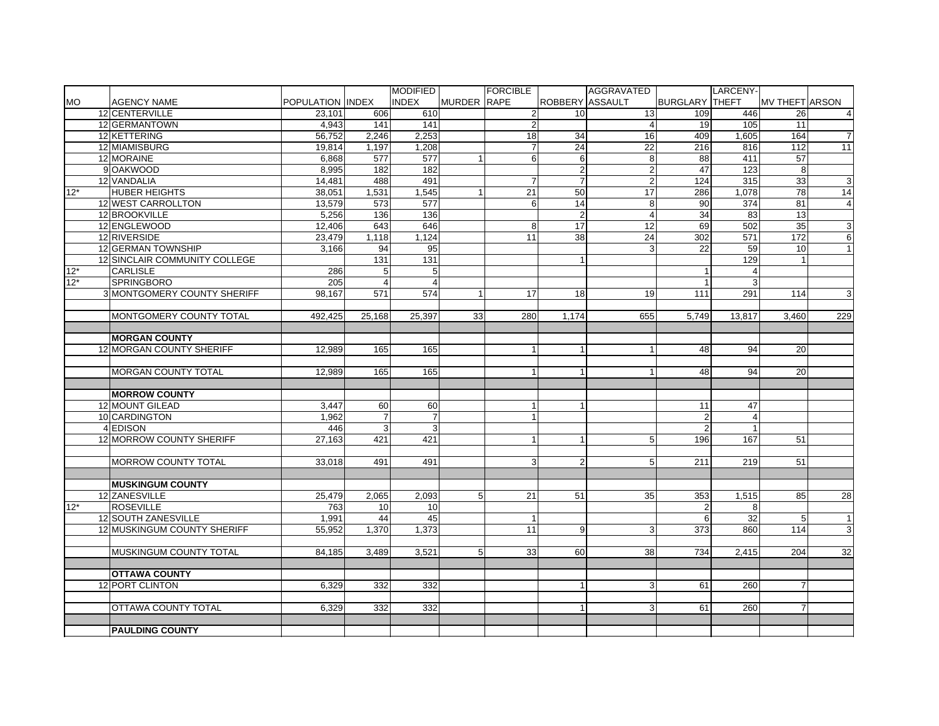|           |                               |                  |                | <b>MODIFIED</b>  |                    | <b>FORCIBLE</b> |                        | AGGRAVATED      |                       | LARCENY-        |                       |                |
|-----------|-------------------------------|------------------|----------------|------------------|--------------------|-----------------|------------------------|-----------------|-----------------------|-----------------|-----------------------|----------------|
| <b>MO</b> | <b>AGENCY NAME</b>            | POPULATION INDEX |                | <b>INDEX</b>     | <b>MURDER RAPE</b> |                 | <b>ROBBERY ASSAULT</b> |                 | <b>BURGLARY THEFT</b> |                 | <b>MV THEFT ARSON</b> |                |
|           | 12 CENTERVILLE                | 23,101           | 606            | 610              |                    | $\overline{2}$  | 10                     | 13              | 109                   | 446             | 26                    | $\overline{4}$ |
|           | 12 GERMANTOWN                 | 4,943            | 141            | 141              |                    | $\overline{2}$  |                        | $\overline{4}$  | 19                    | 105             | 11                    |                |
|           | 12 KETTERING                  | 56,752           | 2,246          | 2,253            |                    | 18              | 34                     | 16              | 409                   | 1,605           | 164                   | $\overline{7}$ |
|           | 12 MIAMISBURG                 | 19,814           | 1,197          | 1,208            |                    | $\overline{7}$  | $\overline{24}$        | $\overline{22}$ | 216                   | 816             | 112                   | 11             |
|           | 12 MORAINE                    | 6,868            | 577            | 577              |                    | 6               | 6                      | $\overline{8}$  | 88                    | 411             | 57                    |                |
|           | 9 OAKWOOD                     | 8,995            | 182            | 182              |                    |                 | $\overline{2}$         | $\overline{2}$  | 47                    | 123             | 8                     |                |
|           | 12 VANDALIA                   | 14,481           | 488            | 491              |                    | $\overline{7}$  | $\overline{7}$         | $\overline{2}$  | $\frac{1}{24}$        | 315             | 33                    | $\mathbf{3}$   |
| $12*$     | <b>HUBER HEIGHTS</b>          | 38,051           | 1,531          | 1,545            | 1                  | $\overline{21}$ | 50                     | 17              | 286                   | 1,078           | $\overline{78}$       | 14             |
|           | 12 WEST CARROLLTON            | 13,579           | 573            | 577              |                    | $6 \mid$        | 14                     | 8               | 90                    | 374             | 81                    | $\overline{4}$ |
|           | 12 BROOKVILLE                 | 5.256            | 136            | 136              |                    |                 | 2                      | $\overline{4}$  | 34                    | 83              | 13                    |                |
|           | 12 ENGLEWOOD                  | 12.406           | 643            | 646              |                    | 8 <sup>1</sup>  | 17                     | 12              | 69                    | 502             | 35                    | 3              |
|           | 12 RIVERSIDE                  | 23.479           | 1.118          | 1.124            |                    | 11              | 38                     | 24              | 302                   | 571             | 172                   | 6              |
|           | 12 GERMAN TOWNSHIP            | 3.166            | 94             | 95               |                    |                 |                        | 3               | $\overline{22}$       | 59              | 10                    | $\mathbf{1}$   |
|           | 12 SINCLAIR COMMUNITY COLLEGE |                  | 131            | $\overline{131}$ |                    |                 |                        |                 |                       | 129             | 1                     |                |
| $12*$     | CARLISLE                      | 286              | 5 <sup>1</sup> | 5                |                    |                 |                        |                 |                       | 4               |                       |                |
| $12*$     | <b>SPRINGBORO</b>             | 205              | $\overline{4}$ | $\overline{4}$   |                    |                 |                        |                 | $\overline{1}$        | 3               |                       |                |
|           | 3 MONTGOMERY COUNTY SHERIFF   | 98,167           | 571            | 574              |                    | 17              | 18                     | 19              | 111                   | 291             | 114                   | 3              |
|           |                               |                  |                |                  |                    |                 |                        |                 |                       |                 |                       |                |
|           | MONTGOMERY COUNTY TOTAL       | 492,425          | 25,168         | 25,397           | 33                 | 280             | 1,174                  | 655             | 5,749                 | 13,817          | 3,460                 | 229            |
|           |                               |                  |                |                  |                    |                 |                        |                 |                       |                 |                       |                |
|           | <b>MORGAN COUNTY</b>          |                  |                |                  |                    |                 |                        |                 |                       |                 |                       |                |
|           | 12 MORGAN COUNTY SHERIFF      | 12.989           | 165            | 165              |                    | 1               |                        | $\overline{1}$  | 48                    | 94              | <b>20</b>             |                |
|           |                               |                  |                |                  |                    |                 |                        |                 |                       |                 |                       |                |
|           | <b>MORGAN COUNTY TOTAL</b>    | 12.989           | 165            | 165              |                    | $\mathbf{1}$    |                        |                 | 48                    | 94              | <b>20</b>             |                |
|           |                               |                  |                |                  |                    |                 |                        |                 |                       |                 |                       |                |
|           | <b>MORROW COUNTY</b>          |                  |                |                  |                    |                 |                        |                 |                       |                 |                       |                |
|           | 12 MOUNT GILEAD               | 3,447            | 60             | 60               |                    | $\mathbf{1}$    |                        |                 | 11                    | 47              |                       |                |
|           | 10 CARDINGTON                 | 1,962            | $\overline{7}$ | $\overline{7}$   |                    | $\mathbf{1}$    |                        |                 | $\overline{2}$        | $\overline{4}$  |                       |                |
|           | 4 EDISON                      | 446              | 3 <sup>1</sup> | 3                |                    |                 |                        |                 | $\overline{2}$        |                 |                       |                |
|           | 12 MORROW COUNTY SHERIFF      | 27,163           | 421            | 421              |                    | 1               |                        | 5               | 196                   | 167             | 51                    |                |
|           |                               |                  |                |                  |                    |                 |                        |                 |                       |                 |                       |                |
|           | MORROW COUNTY TOTAL           | 33,018           | 491            | 491              |                    | 3               | $\overline{2}$         | 5               | 211                   | 219             | 51                    |                |
|           |                               |                  |                |                  |                    |                 |                        |                 |                       |                 |                       |                |
|           | <b>MUSKINGUM COUNTY</b>       |                  |                |                  |                    |                 |                        |                 |                       |                 |                       |                |
|           | 12 ZANESVILLE                 | 25,479           | 2.065          | 2.093            | 5 <sub>5</sub>     | 21              | 51                     | 35              | 353                   | 1,515           | 85                    | 28             |
| $12*$     | <b>ROSEVILLE</b>              | 763              | 10             | 10               |                    |                 |                        |                 | 2                     | 8               |                       |                |
|           | 12 SOUTH ZANESVILLE           | 1,991            | 44             | $\overline{45}$  |                    | 1               |                        |                 | 6                     | $\overline{32}$ | 5 <sup>1</sup>        | $\mathbf{1}$   |
|           | 12 MUSKINGUM COUNTY SHERIFF   | 55,952           | 1.370          | 1,373            |                    | $\overline{11}$ | 9                      | 3               | 373                   | 860             | 114                   | ω              |
|           |                               |                  |                |                  |                    |                 |                        |                 |                       |                 |                       |                |
|           | MUSKINGUM COUNTY TOTAL        | 84,185           | 3.489          | 3,521            | 5 <sup>1</sup>     | 33              | 60                     | 38              | 734                   | 2,415           | 204                   | 32             |
|           |                               |                  |                |                  |                    |                 |                        |                 |                       |                 |                       |                |
|           | <b>OTTAWA COUNTY</b>          |                  |                |                  |                    |                 |                        |                 |                       |                 |                       |                |
|           | 12 PORT CLINTON               | 6,329            | 332            | 332              |                    |                 |                        | 3               | 61                    | 260             | $\overline{7}$        |                |
|           |                               |                  |                |                  |                    |                 |                        |                 |                       |                 |                       |                |
|           | OTTAWA COUNTY TOTAL           | 6.329            | 332            | 332              |                    |                 |                        | 3               | 61                    | 260             | $\overline{7}$        |                |
|           |                               |                  |                |                  |                    |                 |                        |                 |                       |                 |                       |                |
|           | <b>PAULDING COUNTY</b>        |                  |                |                  |                    |                 |                        |                 |                       |                 |                       |                |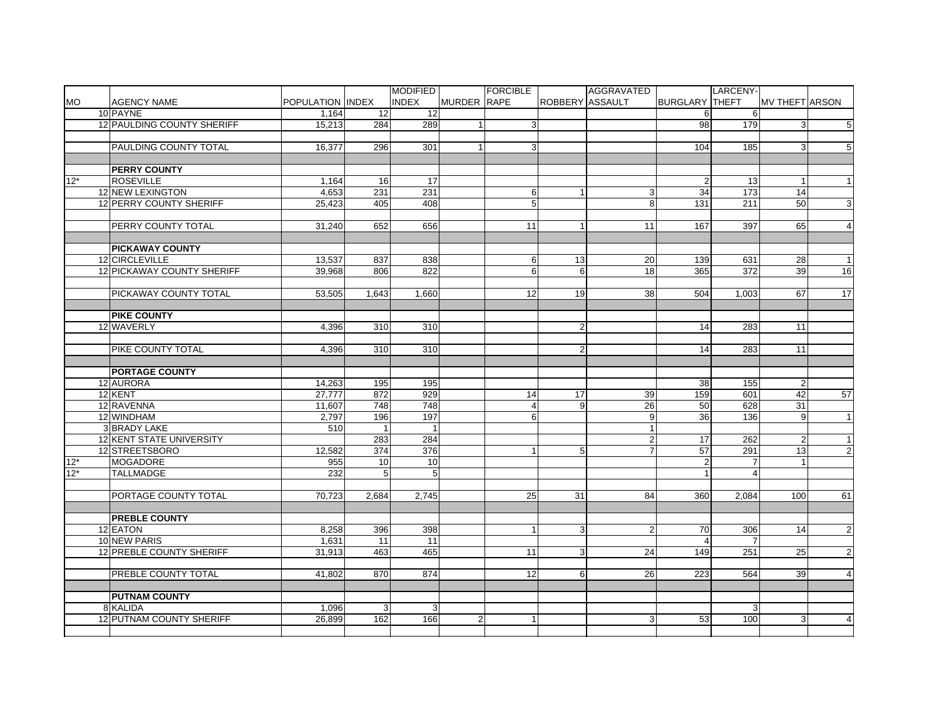|                |                                 |                  |                       | <b>MODIFIED</b>     |                | <b>FORCIBLE</b>                    |                 | AGGRAVATED                   |                         | LARCENY-       |                       |                 |
|----------------|---------------------------------|------------------|-----------------------|---------------------|----------------|------------------------------------|-----------------|------------------------------|-------------------------|----------------|-----------------------|-----------------|
| <b>MO</b>      | <b>AGENCY NAME</b>              | POPULATION INDEX |                       | <b>INDEX</b>        | MURDER RAPE    |                                    | ROBBERY ASSAULT |                              | <b>BURGLARY THEFT</b>   |                | <b>MV THEFT ARSON</b> |                 |
|                | 10 PAYNE                        | 1,164            | 12                    | 12                  |                |                                    |                 |                              | 6                       | 6              |                       |                 |
|                | 12 PAULDING COUNTY SHERIFF      | 15,213           | 284                   | 289                 | $\mathbf{1}$   | 3                                  |                 |                              | 98                      | 179            | 3                     | $5\overline{)}$ |
|                |                                 |                  |                       |                     |                |                                    |                 |                              |                         |                |                       |                 |
|                | PAULDING COUNTY TOTAL           | 16,377           | 296                   | 301                 |                | 3                                  |                 |                              | 104                     | 185            | 3                     | 5               |
|                |                                 |                  |                       |                     |                |                                    |                 |                              |                         |                |                       |                 |
|                | <b>PERRY COUNTY</b>             |                  |                       |                     |                |                                    |                 |                              |                         |                |                       |                 |
| $12*$          | <b>ROSEVILLE</b>                | 1,164            | 16                    | $\overline{17}$     |                |                                    |                 |                              | $\overline{2}$          | 13             |                       | $\mathbf{1}$    |
|                | 12 NEW LEXINGTON                | 4,653            | 231                   | 231                 |                | 6                                  |                 | 3                            | 34                      | 173            | 14                    |                 |
|                | 12 PERRY COUNTY SHERIFF         | 25,423           | 405                   | 408                 |                | $\overline{5}$                     |                 | $\overline{8}$               | 131                     | 211            | 50                    | ω               |
|                |                                 |                  |                       |                     |                |                                    |                 |                              |                         |                |                       |                 |
|                | PERRY COUNTY TOTAL              | 31,240           | 652                   | 656                 |                | 11                                 |                 | 11                           | 167                     | 397            | 65                    | $\overline{a}$  |
|                |                                 |                  |                       |                     |                |                                    |                 |                              |                         |                |                       |                 |
|                | <b>PICKAWAY COUNTY</b>          |                  |                       |                     |                |                                    |                 |                              |                         |                |                       |                 |
|                | 12 CIRCLEVILLE                  | 13,537           | 837                   | 838                 |                | 6                                  | 13              | 20                           | 139                     | 631            | 28                    | $\mathbf{1}$    |
|                | 12 PICKAWAY COUNTY SHERIFF      | 39,968           | 806                   | 822                 |                | $6 \overline{6}$                   | 6               | 18                           | 365                     | 372            | 39                    | $\overline{16}$ |
|                |                                 |                  |                       |                     |                |                                    |                 |                              |                         |                |                       |                 |
|                | PICKAWAY COUNTY TOTAL           | 53,505           | 1,643                 | 1,660               |                | 12                                 | 19              | 38                           | 504                     | 1,003          | 67                    | 17              |
|                |                                 |                  |                       |                     |                |                                    |                 |                              |                         |                |                       |                 |
|                | <b>PIKE COUNTY</b>              |                  |                       |                     |                |                                    |                 |                              |                         |                |                       |                 |
|                | 12 WAVERLY                      | 4,396            | 310                   | 310                 |                |                                    | $\overline{2}$  |                              | 14                      | 283            | 11                    |                 |
|                |                                 |                  |                       |                     |                |                                    |                 |                              |                         |                |                       |                 |
|                | PIKE COUNTY TOTAL               | 4,396            | 310                   | 310                 |                |                                    | $\overline{2}$  |                              | 14                      | 283            | 11                    |                 |
|                |                                 |                  |                       |                     |                |                                    |                 |                              |                         |                |                       |                 |
|                | <b>PORTAGE COUNTY</b>           |                  |                       |                     |                |                                    |                 |                              |                         |                |                       |                 |
|                | 12 AURORA<br>12 KENT            | 14,263<br>27,777 | 195<br>872            | 195<br>929          |                | 14                                 | 17              | 39                           | 38<br>159               | 155<br>601     | $\overline{2}$<br>42  | 57              |
|                | 12 RAVENNA                      |                  | 748                   | 748                 |                |                                    |                 | $\overline{26}$              |                         | 628            | 31                    |                 |
|                | 12 WINDHAM                      | 11,607           |                       |                     |                | $\overline{4}$<br>$6 \overline{6}$ | 9               |                              | 50<br>36                | 136            |                       | $\overline{1}$  |
|                | <b>3 BRADY LAKE</b>             | 2,797<br>510     | 196<br>$\overline{1}$ | 197<br>$\mathbf{1}$ |                |                                    |                 | 9<br>$\mathbf{1}$            |                         |                | 9                     |                 |
|                | 12 KENT STATE UNIVERSITY        |                  | 283                   | 284                 |                |                                    |                 |                              | 17                      | 262            |                       | $\mathbf{1}$    |
|                | 12 STREETSBORO                  | 12,582           | 374                   | 376                 |                | $\mathbf{1}$                       | 5               | $\sqrt{2}$<br>$\overline{7}$ | 57                      | 291            | $\overline{2}$<br>13  | $\overline{2}$  |
|                | <b>MOGADORE</b>                 |                  | 10                    |                     |                |                                    |                 |                              | $\overline{2}$          | $\overline{7}$ | $\mathbf{1}$          |                 |
| $12*$<br>$12*$ | <b>TALLMADGE</b>                | 955<br>232       | 5 <sup>5</sup>        | 10<br>5             |                |                                    |                 |                              | $\overline{\mathbf{1}}$ | 4              |                       |                 |
|                |                                 |                  |                       |                     |                |                                    |                 |                              |                         |                |                       |                 |
|                | PORTAGE COUNTY TOTAL            | 70,723           | 2,684                 | 2,745               |                | 25                                 | 31              | 84                           | 360                     | 2,084          | 100 <sup>1</sup>      | 61              |
|                |                                 |                  |                       |                     |                |                                    |                 |                              |                         |                |                       |                 |
|                | <b>PREBLE COUNTY</b>            |                  |                       |                     |                |                                    |                 |                              |                         |                |                       |                 |
|                | 12 EATON                        | 8,258            | 396                   | 398                 |                | $\mathbf{1}$                       | 3               | $\overline{c}$               | 70                      | 306            | 14                    | $\overline{c}$  |
|                | 10 NEW PARIS                    | 1.631            | 11                    | 11                  |                |                                    |                 |                              | $\overline{4}$          | $\overline{7}$ |                       |                 |
|                | <b>12 PREBLE COUNTY SHERIFF</b> | 31,913           | 463                   | 465                 |                | 11                                 | 3               | 24                           | 149                     | 251            | 25                    | $\overline{2}$  |
|                |                                 |                  |                       |                     |                |                                    |                 |                              |                         |                |                       |                 |
|                | <b>PREBLE COUNTY TOTAL</b>      | 41,802           | 870                   | 874                 |                | 12                                 | 6               | $\overline{26}$              | 223                     | 564            | 39                    | $\overline{4}$  |
|                |                                 |                  |                       |                     |                |                                    |                 |                              |                         |                |                       |                 |
|                | <b>PUTNAM COUNTY</b>            |                  |                       |                     |                |                                    |                 |                              |                         |                |                       |                 |
|                | 8 KALIDA                        | 1,096            | 3                     | 3                   |                |                                    |                 |                              |                         | 3 <sup>1</sup> |                       |                 |
|                | 12 PUTNAM COUNTY SHERIFF        | 26,899           | 162                   | 166                 | $\overline{2}$ | $\mathbf{1}$                       |                 | 3                            | 53                      | 100            | 3                     | $\overline{4}$  |
|                |                                 |                  |                       |                     |                |                                    |                 |                              |                         |                |                       |                 |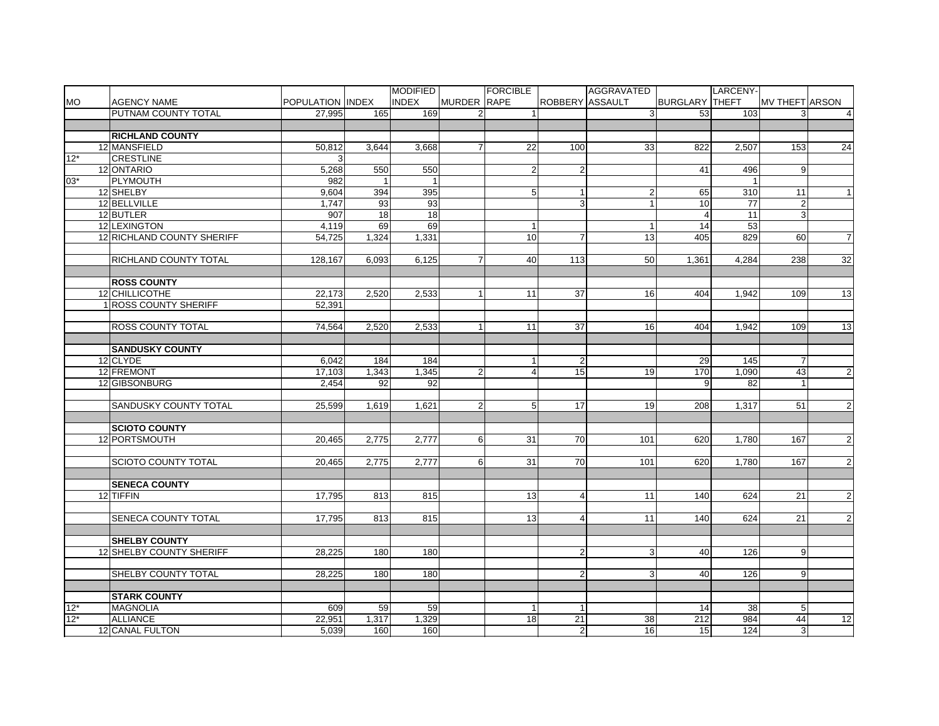|           |                              |                  |       | <b>MODIFIED</b> |                | FORCIBLE        |                 | AGGRAVATED              |                       | LARCENY- |                 |                |
|-----------|------------------------------|------------------|-------|-----------------|----------------|-----------------|-----------------|-------------------------|-----------------------|----------|-----------------|----------------|
| <b>MO</b> | <b>AGENCY NAME</b>           | POPULATION INDEX |       | <b>INDEX</b>    | MURDER RAPE    |                 | ROBBERY ASSAULT |                         | <b>BURGLARY THEFT</b> |          | MV THEFT ARSON  |                |
|           | PUTNAM COUNTY TOTAL          | 27.995           | 165   | 169             | $\overline{2}$ |                 |                 | 3                       | 53                    | 103      | 3               | $\overline{4}$ |
|           |                              |                  |       |                 |                |                 |                 |                         |                       |          |                 |                |
|           | <b>RICHLAND COUNTY</b>       |                  |       |                 |                |                 |                 |                         |                       |          |                 |                |
|           | 12 MANSFIELD                 | 50,812           | 3,644 | 3,668           | $\overline{7}$ | 22              | 100             | 33                      | 822                   | 2,507    | 153             | 24             |
| $12*$     | <b>CRESTLINE</b>             |                  |       |                 |                |                 |                 |                         |                       |          |                 |                |
|           | 12 ONTARIO                   | 5,268            | 550   | 550             |                | $\overline{2}$  |                 |                         | 41                    | 496      | 9               |                |
| $03*$     | PLYMOUTH                     | 982              |       |                 |                |                 |                 |                         |                       |          |                 |                |
|           | 12 SHELBY                    | 9,604            | 394   | 395             |                | 5               | $\mathbf{1}$    | $\overline{\mathbf{c}}$ | 65                    | 310      | $\overline{11}$ | $\vert$ 1      |
|           | 12 BELLVILLE                 | 1,747            | 93    | 93              |                |                 | 3               | $\mathbf{1}$            | 10                    | 77       | $\overline{c}$  |                |
|           | 12 BUTLER                    | 907              | 18    | 18              |                |                 |                 |                         | $\overline{4}$        | 11       | 3 <sup>1</sup>  |                |
|           | 12 LEXINGTON                 | 4,119            | 69    | 69              |                | $\mathbf{1}$    |                 | $\mathbf{1}$            | 14                    | 53       |                 |                |
|           | 12 RICHLAND COUNTY SHERIFF   | 54,725           | 1,324 | 1,331           |                | 10              | 7               | $\overline{13}$         | 405                   | 829      | 60              | $\overline{7}$ |
|           |                              |                  |       |                 |                |                 |                 |                         |                       |          |                 |                |
|           | <b>RICHLAND COUNTY TOTAL</b> | 128.167          | 6.093 | 6,125           | $\overline{7}$ | 40              | 113             | 50                      | 1.361                 | 4.284    | 238             | 32             |
|           |                              |                  |       |                 |                |                 |                 |                         |                       |          |                 |                |
|           | <b>ROSS COUNTY</b>           |                  |       |                 |                |                 |                 |                         |                       |          |                 |                |
|           | 12 CHILLICOTHE               | 22,173           | 2,520 | 2,533           | $\mathbf{1}$   | 11              | $\overline{37}$ | 16                      | 404                   | 1,942    | 109             | 13             |
|           | 1 ROSS COUNTY SHERIFF        | 52.391           |       |                 |                |                 |                 |                         |                       |          |                 |                |
|           |                              |                  |       |                 |                |                 |                 |                         |                       |          |                 |                |
|           | <b>ROSS COUNTY TOTAL</b>     | 74,564           | 2,520 | 2,533           | $\overline{1}$ | 11              | $\overline{37}$ | 16                      | 404                   | 1,942    | 109             | 13             |
|           |                              |                  |       |                 |                |                 |                 |                         |                       |          |                 |                |
|           | <b>SANDUSKY COUNTY</b>       |                  |       |                 |                |                 |                 |                         |                       |          |                 |                |
|           | 12 CLYDE                     | 6,042            | 184   | 184             |                |                 |                 |                         | 29                    | 145      |                 |                |
|           | 12 FREMONT                   | 17,103           | 1,343 | 1,345           | 2 <sub>l</sub> | $\overline{4}$  | 15              | 19                      | 170                   | 1,090    | 43              | $\overline{2}$ |
|           | 12 GIBSONBURG                | 2,454            | 92    | 92              |                |                 |                 |                         | 9                     | 82       |                 |                |
|           |                              |                  |       |                 |                |                 |                 |                         |                       |          |                 |                |
|           | SANDUSKY COUNTY TOTAL        | 25,599           | 1,619 | 1,621           | $\overline{2}$ | 5 <sub>5</sub>  | 17              | 19                      | 208                   | 1,317    | 51              | $\overline{2}$ |
|           |                              |                  |       |                 |                |                 |                 |                         |                       |          |                 |                |
|           | <b>SCIOTO COUNTY</b>         |                  |       |                 |                |                 |                 |                         |                       |          |                 |                |
|           | 12 PORTSMOUTH                | 20,465           | 2.775 | 2,777           | $6 \mid$       | 31              | 70              | 101                     | 620                   | 1,780    | 167             | $\overline{2}$ |
|           |                              |                  |       |                 |                |                 |                 |                         |                       |          |                 |                |
|           | <b>SCIOTO COUNTY TOTAL</b>   | 20.465           | 2.775 | 2,777           | $6 \mid$       | 31              | 70              | 101                     | 620                   | 1.780    | 167             | $\overline{2}$ |
|           |                              |                  |       |                 |                |                 |                 |                         |                       |          |                 |                |
|           | <b>SENECA COUNTY</b>         |                  |       |                 |                |                 |                 |                         |                       |          |                 |                |
|           | 12 TIFFIN                    | 17,795           | 813   | 815             |                | 13              | 4               | 11                      | 140                   | 624      | 21              | $\overline{2}$ |
|           |                              |                  |       |                 |                |                 |                 |                         |                       |          |                 |                |
|           | SENECA COUNTY TOTAL          | 17,795           | 813   | 815             |                | 13              | 4               | 11                      | 140                   | 624      | 21              | $\overline{2}$ |
|           |                              |                  |       |                 |                |                 |                 |                         |                       |          |                 |                |
|           | <b>SHELBY COUNTY</b>         |                  |       |                 |                |                 |                 |                         |                       |          |                 |                |
|           | 12 SHELBY COUNTY SHERIFF     | 28,225           | 180   | 180             |                |                 | $\overline{c}$  | 3                       | 40                    | 126      | 9               |                |
|           |                              |                  |       |                 |                |                 |                 |                         |                       |          |                 |                |
|           | SHELBY COUNTY TOTAL          | 28,225           | 180   | 180             |                |                 | $\overline{2}$  | 3                       | 40                    | 126      | 9               |                |
|           |                              |                  |       |                 |                |                 |                 |                         |                       |          |                 |                |
|           | <b>STARK COUNTY</b>          |                  |       |                 |                |                 |                 |                         |                       |          |                 |                |
| $12*$     | <b>MAGNOLIA</b>              | 609              | 59    | 59              |                | $\overline{1}$  |                 |                         | 14                    | 38       | $\sqrt{5}$      |                |
| $12*$     | <b>ALLIANCE</b>              | 22,951           | 1,317 | 1,329           |                | $\overline{18}$ | 21              | 38                      | 212                   | 984      | 44              | 12             |
|           | 12 CANAL FULTON              | 5,039            | 160   | 160             |                |                 | $2 \vert$       | 16                      | 15                    | 124      | $\mathbf{3}$    |                |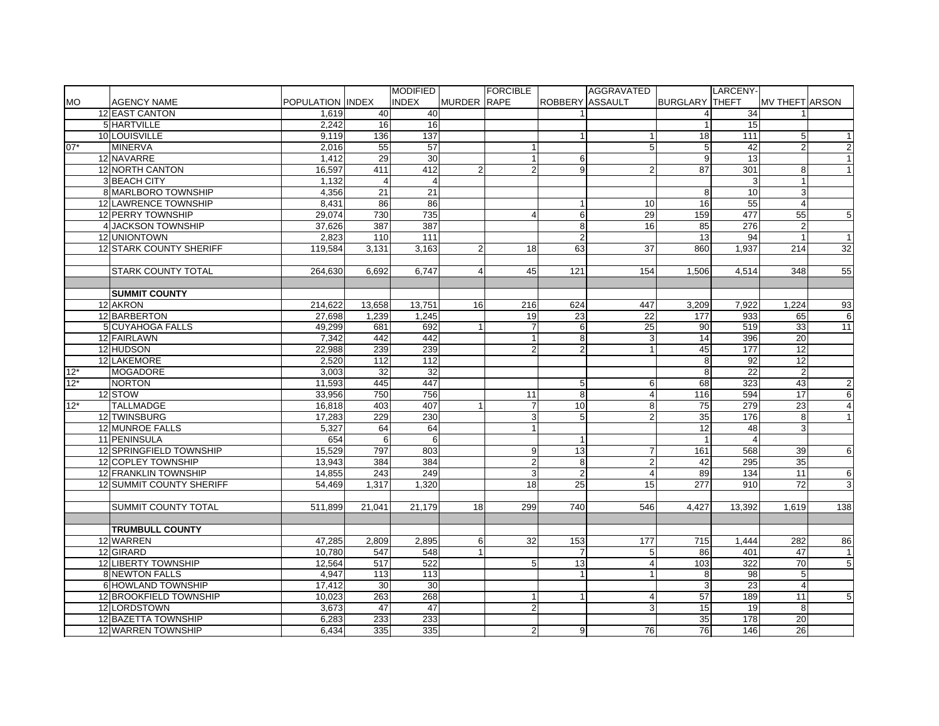|                |                                 |                  |                | <b>MODIFIED</b> |                    | <b>FORCIBLE</b> |                 | AGGRAVATED          |                       | LARCENY-        |                       |                   |
|----------------|---------------------------------|------------------|----------------|-----------------|--------------------|-----------------|-----------------|---------------------|-----------------------|-----------------|-----------------------|-------------------|
| <b>MO</b>      | <b>AGENCY NAME</b>              | POPULATION INDEX |                | <b>INDEX</b>    | <b>MURDER RAPE</b> |                 | ROBBERY ASSAULT |                     | <b>BURGLARY THEFT</b> |                 | <b>MV THEFT ARSON</b> |                   |
|                | 12 EAST CANTON                  | 1,619            | 40             | 40              |                    |                 |                 |                     | 4                     | 34              |                       |                   |
|                | 5 HARTVILLE                     | 2,242            | 16             | 16              |                    |                 |                 |                     |                       | 15              |                       |                   |
|                | 10 LOUISVILLE                   | 9,119            | 136            | $\frac{1}{137}$ |                    |                 | $\mathbf{1}$    | 1                   | 18                    | 111             | 5                     | $\vert$ 1         |
| $07*$          | <b>MINERVA</b>                  | 2,016            | 55             | 57              |                    | $\overline{1}$  |                 | 5                   | 5                     | 42              | $\overline{2}$        | 2                 |
|                | 12 NAVARRE                      | 1,412            | 29             | 30              |                    | $\mathbf{1}$    | 6               |                     | 9                     | $\overline{13}$ |                       | $\mathbf{1}$      |
|                | 12 NORTH CANTON                 | 16,597           | 411            | 412             | $\overline{2}$     | $\overline{2}$  | 9               | $\overline{2}$      | 87                    | 301             | 8                     | $\mathbf{1}$      |
|                | 3 BEACH CITY                    | 1,132            | $\overline{4}$ |                 |                    |                 |                 |                     |                       | 3               |                       |                   |
|                | 8 MARLBORO TOWNSHIP             | 4,356            | 21             | 21              |                    |                 |                 |                     | 8                     | 10              | 3                     |                   |
|                | 12 LAWRENCE TOWNSHIP            | 8,431            | 86             | 86              |                    |                 |                 | 10                  | 16                    | 55              | 4                     |                   |
|                | 12 PERRY TOWNSHIP               | 29,074           | 730            | 735             |                    | $\overline{4}$  | 6               | 29                  | 159                   | 477             | 55                    | 5 <sub>5</sub>    |
|                | 4 JACKSON TOWNSHIP              | 37.626           | 387            | 387             |                    |                 | 8 <sup>1</sup>  | 16                  | 85                    | 276             | $\overline{2}$        |                   |
|                | 12 UNIONTOWN                    | 2.823            | 110            | 111             |                    |                 | $\overline{2}$  |                     | 13                    | 94              |                       | $\vert$ 1         |
|                | <b>12 STARK COUNTY SHERIFF</b>  | 119.584          | 3.131          | 3.163           | $\overline{2}$     | 18              | 63              | 37                  | 860                   | 1.937           | 214                   | 32                |
|                |                                 |                  |                |                 |                    |                 |                 |                     |                       |                 |                       |                   |
|                | <b>STARK COUNTY TOTAL</b>       | 264.630          | 6.692          | 6.747           | $\overline{4}$     | 45              | 121             | 154                 | 1.506                 | 4.514           | 348                   | 55                |
|                |                                 |                  |                |                 |                    |                 |                 |                     |                       |                 |                       |                   |
|                | <b>SUMMIT COUNTY</b>            |                  |                |                 |                    |                 |                 |                     |                       |                 |                       |                   |
|                | 12 AKRON                        | 214.622          | 13,658         | 13,751          | 16 <sup>1</sup>    | 216             | 624             | 447                 | 3.209                 | 7.922           | 1.224                 | 93                |
|                | 12 BARBERTON                    | 27.698           | 1.239          | 1,245           |                    | 19              | 23              | $\overline{22}$     | 177                   | 933<br>519      | 65                    | 6                 |
|                | 5 CUYAHOGA FALLS                | 49,299           | 681            | 692             | 1                  | $\overline{7}$  | 6               | $\overline{25}$     | 90                    |                 | 33                    | 11                |
|                | 12 FAIRLAWN                     | 7,342            | 442            | 442             |                    | $\mathbf{1}$    | 8 <sup>1</sup>  | 3                   | 14                    | 396             | 20                    |                   |
|                | 12 HUDSON                       | 22,988           | 239            | 239             |                    | $\overline{2}$  | $\overline{2}$  |                     | 45                    | 177             | 12                    |                   |
|                | 12 LAKEMORE<br><b>MOGADORE</b>  | 2,520            | 112<br>32      | 112<br>32       |                    |                 |                 |                     | 8                     | 92<br>22        | 12<br>$\overline{2}$  |                   |
| $12*$<br>$12*$ |                                 | 3,003            |                |                 |                    |                 |                 |                     | 8                     |                 |                       |                   |
|                | <b>NORTON</b><br>12 STOW        | 11,593<br>33,956 | 445<br>750     | 447<br>756      |                    | 11              | 5<br>8          | 6<br>$\overline{4}$ | 68<br>116             | 323<br>594      | 43<br>17              | $\mathbf{2}$<br>6 |
| $12*$          | <b>TALLMADGE</b>                | 16,818           | 403            | 407             |                    | $\overline{7}$  | 10              | 8                   | $\overline{75}$       | 279             | $\overline{23}$       | $\overline{4}$    |
|                | 12 TWINSBURG                    | 17,283           | 229            | 230             |                    | 3               | 5               | $\overline{2}$      | 35                    | 176             | 8                     | $\mathbf{1}$      |
|                | 12 MUNROE FALLS                 | 5,327            | 64             | 64              |                    | $\mathbf{1}$    |                 |                     | $\overline{12}$       | 48              | 3                     |                   |
|                | 11 PENINSULA                    | 654              | 6              | 6               |                    |                 | $\mathbf{1}$    |                     | $\mathbf{1}$          | $\overline{4}$  |                       |                   |
|                | 12 SPRINGFIELD TOWNSHIP         | 15,529           | 797            | 803             |                    | 9               | 13              | 7                   | 161                   | 568             | 39                    | 6                 |
|                | 12 COPLEY TOWNSHIP              | 13,943           | 384            | 384             |                    | $\overline{2}$  | 8               | $\overline{2}$      | 42                    | 295             | 35                    |                   |
|                | 12 FRANKLIN TOWNSHIP            | 14.855           | 243            | 249             |                    | 3               | 2               | $\overline{4}$      | 89                    | 134             | 11                    | 6                 |
|                | <b>12 SUMMIT COUNTY SHERIFF</b> | 54.469           | 1.317          | 1.320           |                    | 18              | 25              | 15                  | 277                   | 910             | 72                    | 3 <sup>1</sup>    |
|                |                                 |                  |                |                 |                    |                 |                 |                     |                       |                 |                       |                   |
|                | SUMMIT COUNTY TOTAL             | 511,899          | 21,041         | 21,179          | 18                 | 299             | 740             | 546                 | 4,427                 | 13,392          | 1,619                 | 138               |
|                |                                 |                  |                |                 |                    |                 |                 |                     |                       |                 |                       |                   |
|                | <b>TRUMBULL COUNTY</b>          |                  |                |                 |                    |                 |                 |                     |                       |                 |                       |                   |
|                | 12 WARREN                       | 47.285           | 2,809          | 2,895           | 6                  | 32              | 153             | 177                 | 715                   | 1.444           | 282                   | 86                |
|                | 12 GIRARD                       | 10.780           | 547            | 548             | 1                  |                 | 7               | 5                   | 86                    | 401             | 47                    | $\overline{1}$    |
|                | 12 LIBERTY TOWNSHIP             | 12,564           | 517            | 522             |                    | 5               | 13              | $\overline{4}$      | 103                   | 322             | 70                    | 5 <sup>1</sup>    |
|                | 8 NEWTON FALLS                  | 4,947            | 113            | 113             |                    |                 | $\mathbf{1}$    | $\overline{1}$      | 8                     | 98              | $5\phantom{.0}$       |                   |
|                | 6 HOWLAND TOWNSHIP              | 17,412           | 30             | 30              |                    |                 |                 |                     | 3                     | $\overline{23}$ | $\overline{4}$        |                   |
|                | 12 BROOKFIELD TOWNSHIP          | 10,023           | 263            | 268             |                    |                 |                 | $\overline{4}$      | 57                    | 189             | 11                    | 5 <sub>5</sub>    |
|                | 12 LORDSTOWN                    | 3,673            | 47             | 47              |                    | $\overline{2}$  |                 | 3                   | 15                    | 19              | 8                     |                   |
|                | 12 BAZETTA TOWNSHIP             | 6,283            | 233            | 233             |                    |                 |                 |                     | 35                    | 178             | 20                    |                   |
|                | 12 WARREN TOWNSHIP              | 6,434            | 335            | 335             |                    | $\overline{2}$  | 9               | 76                  | 76                    | 146             | 26                    |                   |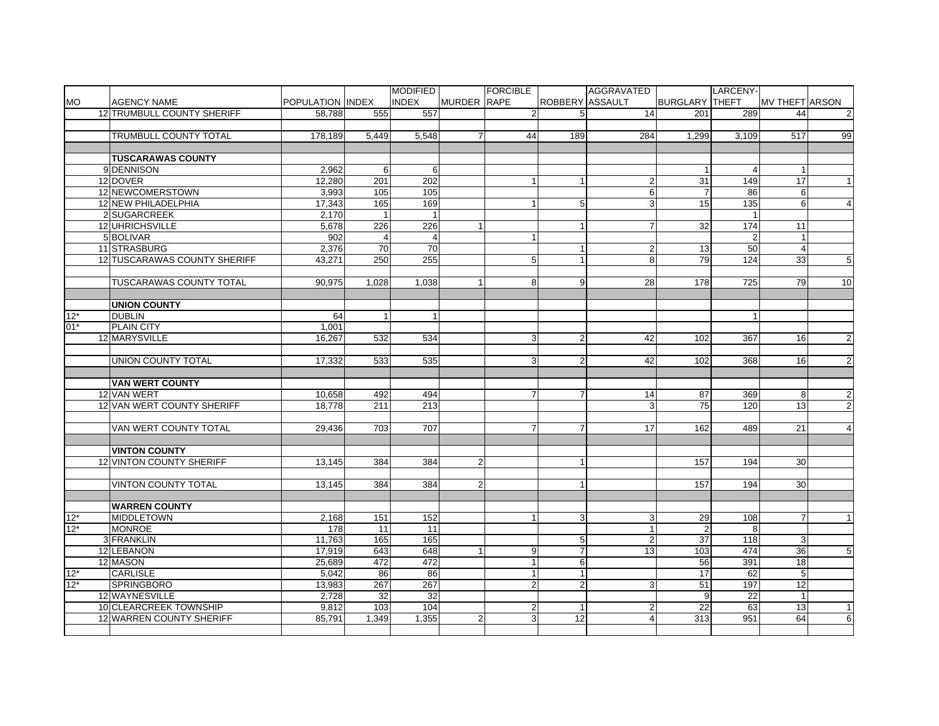|                     |                                |                  |                | <b>MODIFIED</b> |                | <b>FORCIBLE</b> |                        | AGGRAVATED      |                       | LARCENY-        |                       |                 |
|---------------------|--------------------------------|------------------|----------------|-----------------|----------------|-----------------|------------------------|-----------------|-----------------------|-----------------|-----------------------|-----------------|
| <b>MO</b>           | <b>AGENCY NAME</b>             | POPULATION INDEX |                | <b>INDEX</b>    | MURDER RAPE    |                 | <b>ROBBERY ASSAULT</b> |                 | <b>BURGLARY THEFT</b> |                 | <b>MV THEFT ARSON</b> |                 |
|                     | 12 TRUMBULL COUNTY SHERIFF     | 58.788           | 555            | 557             |                | $\overline{2}$  | 5                      | 14              | 201                   | 289             | 44                    | $\overline{2}$  |
|                     |                                |                  |                |                 |                |                 |                        |                 |                       |                 |                       |                 |
|                     | TRUMBULL COUNTY TOTAL          | 178,189          | 5,449          | 5,548           | $\overline{7}$ | 44              | 189                    | 284             | 1,299                 | 3,109           | 517                   | 99              |
|                     |                                |                  |                |                 |                |                 |                        |                 |                       |                 |                       |                 |
|                     | <b>TUSCARAWAS COUNTY</b>       |                  |                |                 |                |                 |                        |                 |                       |                 |                       |                 |
|                     | 9 DENNISON                     | 2,962            | 6              | 6               |                |                 |                        |                 |                       | $\overline{4}$  |                       |                 |
|                     | 12 DOVER                       | 12,280           | 201            | 202             |                |                 | 1                      | $\overline{2}$  | 31                    | 149             | 17                    | $\vert$ 1       |
|                     | 12 NEWCOMERSTOWN               | 3,993            | 105            | $\frac{105}{2}$ |                |                 |                        | 6               | $\overline{7}$        | 86              | 6                     |                 |
|                     | 12 NEW PHILADELPHIA            | 17,343           | 165            | 169             |                | 1               | 5                      | ვ               | 15                    | 135             | 6                     | $\overline{4}$  |
|                     | 2 SUGARCREEK                   | 2.170            | $\overline{1}$ | $\mathbf{1}$    |                |                 |                        |                 |                       | $\mathbf{1}$    |                       |                 |
|                     | 12 UHRICHSVILLE                | 5,678            | 226            | 226             | $\mathbf{1}$   |                 | $\mathbf{1}$           | $\overline{7}$  | 32                    | 174             | 11                    |                 |
|                     | 5 BOLIVAR                      | 902              | $\overline{4}$ | $\overline{4}$  |                | $\mathbf{1}$    |                        |                 |                       | $\overline{2}$  |                       |                 |
|                     | 11 STRASBURG                   | 2,376            | 70             | 70              |                |                 | 1                      | $\overline{c}$  | 13                    | 50              | 4                     |                 |
|                     | 12 TUSCARAWAS COUNTY SHERIFF   | 43.271           | 250            | 255             |                | 5               | $\mathbf{1}$           | 8               | 79                    | 124             | 33                    | $5\overline{)}$ |
|                     |                                |                  |                |                 |                |                 |                        |                 |                       |                 |                       |                 |
|                     | <b>TUSCARAWAS COUNTY TOTAL</b> | 90.975           | 1.028          | 1.038           | $\mathbf{1}$   | 8               | 9                      | 28              |                       | 725             | 79                    | 10              |
|                     |                                |                  |                |                 |                |                 |                        |                 | 178                   |                 |                       |                 |
|                     |                                |                  |                |                 |                |                 |                        |                 |                       |                 |                       |                 |
|                     | <b>UNION COUNTY</b>            |                  |                |                 |                |                 |                        |                 |                       |                 |                       |                 |
| $12*$<br>$01*$      | <b>DUBLIN</b>                  | 64               | $\mathbf{1}$   | $\mathbf{1}$    |                |                 |                        |                 |                       | $\mathbf{1}$    |                       |                 |
|                     | <b>PLAIN CITY</b>              | 1.001            |                |                 |                |                 |                        |                 |                       |                 |                       |                 |
|                     | 12 MARYSVILLE                  | 16,267           | 532            | 534             |                | 3               | $\overline{2}$         | 42              | 102                   | 367             | 16                    | $\mathbf{2}$    |
|                     |                                |                  |                |                 |                |                 |                        |                 |                       |                 |                       |                 |
|                     | <b>UNION COUNTY TOTAL</b>      | 17,332           | 533            | 535             |                | 3               | $\overline{2}$         | 42              | 102                   | 368             | 16                    | $\overline{2}$  |
|                     |                                |                  |                |                 |                |                 |                        |                 |                       |                 |                       |                 |
|                     | <b>VAN WERT COUNTY</b>         |                  |                |                 |                |                 |                        |                 |                       |                 |                       |                 |
|                     | 12 VAN WERT                    | 10,658           | 492            | 494             |                | 7               | 7                      | 14              | 87                    | 369             | 8                     | $\overline{2}$  |
|                     | 12 VAN WERT COUNTY SHERIFF     | 18,778           | 211            | 213             |                |                 |                        | 3               | 75                    | 120             | 13                    | $\overline{2}$  |
|                     |                                |                  |                |                 |                |                 |                        |                 |                       |                 |                       |                 |
|                     | VAN WERT COUNTY TOTAL          | 29.436           | 703            | 707             |                | $\overline{7}$  | $\overline{7}$         | 17              | 162                   | 489             | 21                    | $\overline{4}$  |
|                     |                                |                  |                |                 |                |                 |                        |                 |                       |                 |                       |                 |
|                     | <b>VINTON COUNTY</b>           |                  |                |                 |                |                 |                        |                 |                       |                 |                       |                 |
|                     | 12 VINTON COUNTY SHERIFF       | 13,145           | 384            | 384             | $\overline{2}$ |                 | 1                      |                 | 157                   | 194             | 30                    |                 |
|                     |                                |                  |                |                 |                |                 |                        |                 |                       |                 |                       |                 |
|                     | <b>VINTON COUNTY TOTAL</b>     | 13,145           | 384            | 384             | $\overline{2}$ |                 | $\mathbf{1}$           |                 | 157                   | 194             | 30                    |                 |
|                     |                                |                  |                |                 |                |                 |                        |                 |                       |                 |                       |                 |
|                     | <b>WARREN COUNTY</b>           |                  |                |                 |                |                 |                        |                 |                       |                 |                       |                 |
| $\frac{12^*}{12^*}$ | <b>MIDDLETOWN</b>              | 2,168            | 151            | 152             |                | $\mathbf{1}$    | 3                      | 3               | 29                    | $\frac{1}{108}$ | $\overline{7}$        | 1               |
|                     | <b>MONROE</b>                  | 178              | 11             | 11              |                |                 |                        | $\overline{1}$  | $\overline{2}$        | 8               |                       |                 |
|                     | 3 FRANKLIN                     | 11,763           | 165            | 165             |                |                 | 5                      | $\overline{2}$  | 37                    | 118             | 3                     |                 |
|                     | 12 LEBANON                     | 17,919           | 643            | 648             | $\mathbf{1}$   | 9               | $\overline{7}$         | $\overline{13}$ | 103                   | 474             | 36                    | 5               |
|                     | 12 MASON                       | 25,689           | 472            | 472             |                | $\mathbf{1}$    | 6                      |                 | 56                    | 391             | $\overline{18}$       |                 |
| $12*$               | <b>CARLISLE</b>                | 5.042            | 86             | 86              |                | $\mathbf{1}$    | 1                      |                 | 17                    | 62              | 5                     |                 |
| $12*$               | <b>SPRINGBORO</b>              | 13,983           | 267            | 267             |                | $\overline{2}$  | $\overline{2}$         | 3               | 51                    | 197             | $\overline{12}$       |                 |
|                     | 12 WAYNESVILLE                 | 2,728            | 32             | 32              |                |                 |                        |                 | 9                     | 22              |                       |                 |
|                     | 10 CLEARCREEK TOWNSHIP         | 9,812            | 103            | 104             |                | $\overline{c}$  |                        | $\overline{2}$  | 22                    | 63              | 13                    | $\vert$ 1       |
|                     | 12 WARREN COUNTY SHERIFF       | 85,791           | 1,349          | 1,355           | 21             | 3               | $\overline{12}$        | $\overline{4}$  | 313                   | 951             | 64                    | 6               |
|                     |                                |                  |                |                 |                |                 |                        |                 |                       |                 |                       |                 |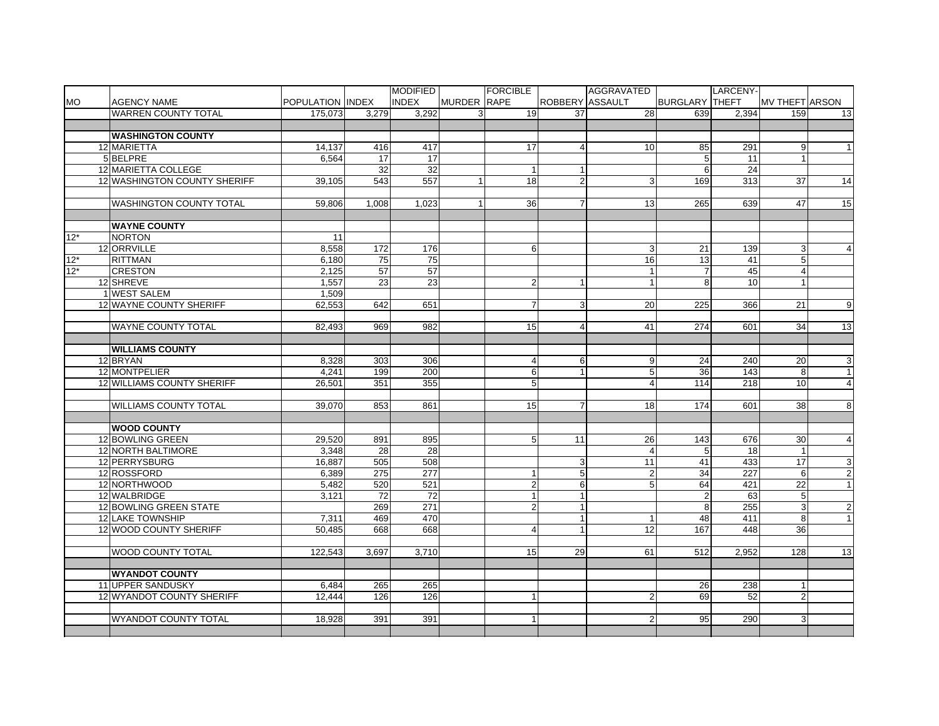|           |                                |                  |       | <b>MODIFIED</b> |              | <b>FORCIBLE</b> |                 | AGGRAVATED     |                       | LARCENY-        |                       |                |
|-----------|--------------------------------|------------------|-------|-----------------|--------------|-----------------|-----------------|----------------|-----------------------|-----------------|-----------------------|----------------|
| <b>MO</b> | <b>AGENCY NAME</b>             | POPULATION INDEX |       | <b>INDEX</b>    | MURDER RAPE  |                 | ROBBERY ASSAULT |                | <b>BURGLARY THEFT</b> |                 | <b>MV THEFT ARSON</b> |                |
|           | <b>WARREN COUNTY TOTAL</b>     | 175.073          | 3.279 | 3.292           | $\mathbf{3}$ | 19              | 37              | 28             | 639                   | 2.394           | 159                   | 13             |
|           |                                |                  |       |                 |              |                 |                 |                |                       |                 |                       |                |
|           | <b>WASHINGTON COUNTY</b>       |                  |       |                 |              |                 |                 |                |                       |                 |                       |                |
|           | 12 MARIETTA                    | 14,137           | 416   | 417             |              | 17              | 4               | 10             | 85                    | 291             | 9                     | $\mathbf{1}$   |
|           | 5 BELPRE                       | 6.564            | 17    | 17              |              |                 |                 |                | 5                     | 11              |                       |                |
|           | 12 MARIETTA COLLEGE            |                  | 32    | $\overline{32}$ |              |                 |                 |                | 6                     | $\overline{24}$ |                       |                |
|           | 12 WASHINGTON COUNTY SHERIFF   | 39,105           | 543   | 557             | $\mathbf{1}$ | 18              | $\overline{2}$  | 3              | 169                   | 313             | 37                    | 14             |
|           |                                |                  |       |                 |              |                 |                 |                |                       |                 |                       |                |
|           | <b>WASHINGTON COUNTY TOTAL</b> | 59,806           | 1,008 | 1,023           | $\mathbf{1}$ | 36              | $\overline{7}$  | 13             | 265                   | 639             | 47                    | 15             |
|           |                                |                  |       |                 |              |                 |                 |                |                       |                 |                       |                |
|           | <b>WAYNE COUNTY</b>            |                  |       |                 |              |                 |                 |                |                       |                 |                       |                |
| $12*$     | <b>NORTON</b>                  | 11               |       |                 |              |                 |                 |                |                       |                 |                       |                |
|           | 12 ORRVILLE                    | 8,558            | 172   | 176             |              | 6               |                 | 3              | 21                    | 139             | 3                     | $\overline{4}$ |
| $12*$     | <b>RITTMAN</b>                 | 6.180            | 75    | $\overline{75}$ |              |                 |                 | 16             | 13                    | 41              | 5                     |                |
| $12*$     | <b>CRESTON</b>                 | 2,125            | 57    | 57              |              |                 |                 | $\mathbf{1}$   | $\overline{7}$        | 45              | $\overline{4}$        |                |
|           | 12 SHREVE                      | 1,557            | 23    | 23              |              | $\overline{2}$  | $\mathbf{1}$    | 1              | 8                     | 10              | $\mathbf{1}$          |                |
|           | 1 WEST SALEM                   | 1,509            |       |                 |              |                 |                 |                |                       |                 |                       |                |
|           | 12 WAYNE COUNTY SHERIFF        | 62.553           | 642   | 651             |              | $\overline{7}$  | 3               | 20             | 225                   | 366             | 21                    | 9              |
|           |                                |                  |       |                 |              |                 |                 |                |                       |                 |                       |                |
|           | <b>WAYNE COUNTY TOTAL</b>      | 82.493           | 969   | 982             |              | 15              | 4               | 41             | 274                   | 601             | 34                    | 13             |
|           |                                |                  |       |                 |              |                 |                 |                |                       |                 |                       |                |
|           | <b>WILLIAMS COUNTY</b>         |                  |       |                 |              |                 |                 |                |                       |                 |                       |                |
|           | 12 BRYAN                       | 8,328            | 303   | 306             |              | $\overline{4}$  | 6               | 9              | 24                    | 240             | 20                    | $\mathbf{3}$   |
|           | 12 MONTPELIER                  | 4,241            | 199   | 200             |              | 6               | $\mathbf{1}$    | $\overline{5}$ | 36                    | 143             | 8                     | $\overline{1}$ |
|           | 12 WILLIAMS COUNTY SHERIFF     | 26,501           | 351   | 355             |              | $5\phantom{.0}$ |                 | $\overline{4}$ | 114                   | 218             | 10                    | $\overline{4}$ |
|           |                                |                  |       |                 |              |                 |                 |                |                       |                 |                       |                |
|           | <b>WILLIAMS COUNTY TOTAL</b>   | 39,070           | 853   | 861             |              | 15              | 7               | 18             | 174                   | 601             | 38                    | 8 <sup>1</sup> |
|           |                                |                  |       |                 |              |                 |                 |                |                       |                 |                       |                |
|           | <b>WOOD COUNTY</b>             |                  |       |                 |              |                 |                 |                |                       |                 |                       |                |
|           | 12 BOWLING GREEN               | 29,520           | 891   | 895             |              | 5               | 11              | 26             | 143                   | 676             | 30                    | $\overline{4}$ |
|           | 12 NORTH BALTIMORE             | 3,348            | 28    | 28              |              |                 |                 | $\overline{4}$ | 5                     | 18              |                       |                |
|           | 12 PERRYSBURG                  | 16,887           | 505   | 508             |              |                 | 3               | 11             | 41                    | 433             | 17                    | $\mathbf{3}$   |
|           | 12 ROSSFORD                    | 6.389            | 275   | 277             |              | $\mathbf{1}$    | 5 <sub>5</sub>  | $\overline{2}$ | 34                    | 227             | 6                     | 2              |
|           | 12 NORTHWOOD                   | 5,482            | 520   | 521             |              | $\overline{2}$  | $6 \mid$        | 5              | 64                    | 421             | 22                    | $\mathbf{1}$   |
|           | 12 WALBRIDGE                   | 3.121            | 72    | $\overline{72}$ |              | 1               | $\mathbf{1}$    |                | $\overline{2}$        | 63              | 5 <sub>5</sub>        |                |
|           | 12 BOWLING GREEN STATE         |                  | 269   | 271             |              | $\mathbf 2$     | $\mathbf{1}$    |                | 8                     | 255             | 3                     | $\overline{2}$ |
|           | <b>12 LAKE TOWNSHIP</b>        | 7,311            | 469   | 470             |              |                 | $\overline{1}$  | $\mathbf{1}$   | 48                    | 411             | 8                     | $\overline{1}$ |
|           | 12 WOOD COUNTY SHERIFF         | 50.485           | 668   | 668             |              | $\overline{4}$  | $\mathbf{1}$    | 12             | 167                   | 448             | 36                    |                |
|           |                                |                  |       |                 |              |                 |                 |                |                       |                 |                       |                |
|           | <b>WOOD COUNTY TOTAL</b>       | 122.543          | 3.697 | 3.710           |              | 15              | 29              | 61             | 512                   | 2.952           | 128                   | 13             |
|           |                                |                  |       |                 |              |                 |                 |                |                       |                 |                       |                |
|           | <b>WYANDOT COUNTY</b>          |                  |       |                 |              |                 |                 |                |                       |                 |                       |                |
|           | 11 UPPER SANDUSKY              | 6.484            | 265   | 265             |              |                 |                 |                | 26                    | 238             |                       |                |
|           | 12 WYANDOT COUNTY SHERIFF      | 12,444           | 126   | 126             |              |                 |                 | $\overline{2}$ | 69                    | 52              | $\overline{2}$        |                |
|           |                                |                  |       |                 |              |                 |                 |                |                       |                 |                       |                |
|           | WYANDOT COUNTY TOTAL           | 18,928           | 391   | 391             |              |                 |                 | $\overline{2}$ | 95                    | 290             | 3                     |                |
|           |                                |                  |       |                 |              |                 |                 |                |                       |                 |                       |                |